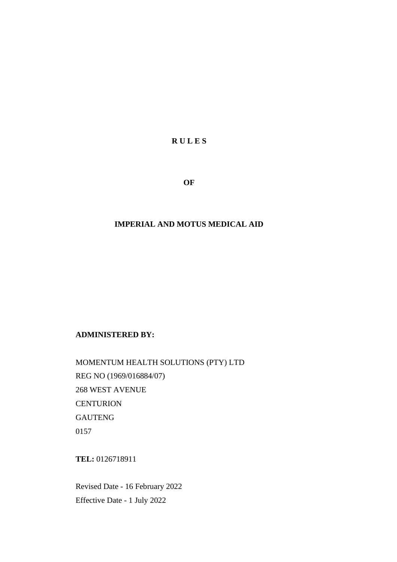**R U L E S**

**OF**

### **IMPERIAL AND MOTUS MEDICAL AID**

#### **ADMINISTERED BY:**

MOMENTUM HEALTH SOLUTIONS (PTY) LTD REG NO (1969/016884/07) 268 WEST AVENUE **CENTURION** GAUTENG 0157

**TEL:** 0126718911

Revised Date - 16 February 2022 Effective Date - 1 July 2022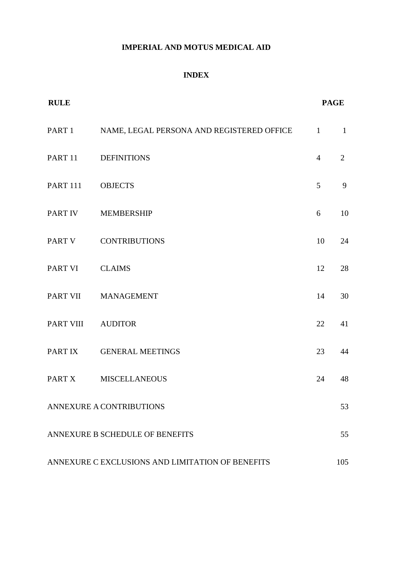# **IMPERIAL AND MOTUS MEDICAL AID**

# **INDEX**

| <b>RULE</b>       |                                                  |                | <b>PAGE</b>  |  |
|-------------------|--------------------------------------------------|----------------|--------------|--|
|                   | PART 1 NAME, LEGAL PERSONA AND REGISTERED OFFICE | $\mathbf{1}$   | $\mathbf{1}$ |  |
|                   | PART 11 DEFINITIONS                              | $\overline{4}$ | 2            |  |
| <b>PART 111</b>   | <b>OBJECTS</b>                                   | 5              | 9            |  |
|                   | PART IV MEMBERSHIP                               | 6              | 10           |  |
|                   | PART V CONTRIBUTIONS                             | 10             | 24           |  |
| PART VI CLAIMS    |                                                  | 12             | 28           |  |
|                   | PART VII MANAGEMENT                              | 14             | 30           |  |
| PART VIII AUDITOR |                                                  | 22             | 41           |  |
|                   | PART IX GENERAL MEETINGS                         | 23             | 44           |  |
| PART X            | <b>MISCELLANEOUS</b>                             | 24             | 48           |  |
|                   | <b>ANNEXURE A CONTRIBUTIONS</b>                  |                | 53           |  |
|                   | ANNEXURE B SCHEDULE OF BENEFITS                  |                | 55           |  |
|                   | ANNEXURE C EXCLUSIONS AND LIMITATION OF BENEFITS |                | 105          |  |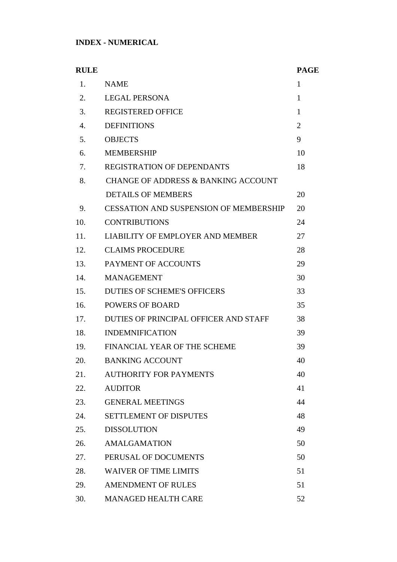# **INDEX - NUMERICAL**

| <b>RULE</b>    |                                                | <b>PAGE</b>    |
|----------------|------------------------------------------------|----------------|
| 1.             | <b>NAME</b>                                    | 1              |
| 2.             | <b>LEGAL PERSONA</b>                           | $\mathbf{1}$   |
| 3.             | <b>REGISTERED OFFICE</b>                       | $\mathbf{1}$   |
| $\mathbf{4}$ . | <b>DEFINITIONS</b>                             | $\overline{2}$ |
| 5.             | <b>OBJECTS</b>                                 | 9              |
| 6.             | <b>MEMBERSHIP</b>                              | 10             |
| 7.             | <b>REGISTRATION OF DEPENDANTS</b>              | 18             |
| 8.             | <b>CHANGE OF ADDRESS &amp; BANKING ACCOUNT</b> |                |
|                | <b>DETAILS OF MEMBERS</b>                      | 20             |
| 9.             | <b>CESSATION AND SUSPENSION OF MEMBERSHIP</b>  | 20             |
| 10.            | <b>CONTRIBUTIONS</b>                           | 24             |
| 11.            | LIABILITY OF EMPLOYER AND MEMBER               | 27             |
| 12.            | <b>CLAIMS PROCEDURE</b>                        | 28             |
| 13.            | PAYMENT OF ACCOUNTS                            | 29             |
| 14.            | <b>MANAGEMENT</b>                              | 30             |
| 15.            | <b>DUTIES OF SCHEME'S OFFICERS</b>             | 33             |
| 16.            | <b>POWERS OF BOARD</b>                         | 35             |
| 17.            | DUTIES OF PRINCIPAL OFFICER AND STAFF          | 38             |
| 18.            | <b>INDEMNIFICATION</b>                         | 39             |
| 19.            | FINANCIAL YEAR OF THE SCHEME                   | 39             |
| 20.            | <b>BANKING ACCOUNT</b>                         | 40             |
| 21.            | <b>AUTHORITY FOR PAYMENTS</b>                  | 40             |
| 22.            | <b>AUDITOR</b>                                 | 41             |
| 23.            | <b>GENERAL MEETINGS</b>                        | 44             |
| 24.            | <b>SETTLEMENT OF DISPUTES</b>                  | 48             |
| 25.            | <b>DISSOLUTION</b>                             | 49             |
| 26.            | <b>AMALGAMATION</b>                            | 50             |
| 27.            | PERUSAL OF DOCUMENTS                           | 50             |
| 28.            | <b>WAIVER OF TIME LIMITS</b>                   | 51             |
| 29.            | <b>AMENDMENT OF RULES</b>                      | 51             |
| 30.            | <b>MANAGED HEALTH CARE</b>                     | 52             |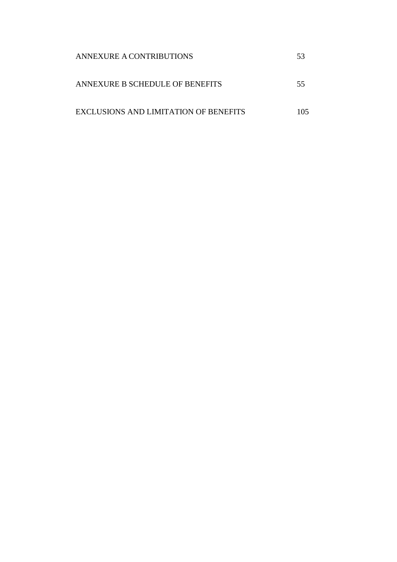| ANNEXURE A CONTRIBUTIONS              |     |
|---------------------------------------|-----|
| ANNEXURE B SCHEDULE OF BENEFITS       | 55  |
| EXCLUSIONS AND LIMITATION OF BENEFITS | -05 |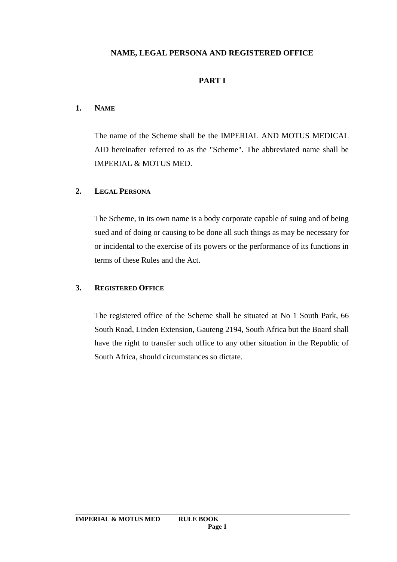# **NAME, LEGAL PERSONA AND REGISTERED OFFICE**

### **PART I**

### **1. NAME**

The name of the Scheme shall be the IMPERIAL AND MOTUS MEDICAL AID hereinafter referred to as the "Scheme". The abbreviated name shall be IMPERIAL & MOTUS MED.

### **2. LEGAL PERSONA**

The Scheme, in its own name is a body corporate capable of suing and of being sued and of doing or causing to be done all such things as may be necessary for or incidental to the exercise of its powers or the performance of its functions in terms of these Rules and the Act.

# **3. REGISTERED OFFICE**

The registered office of the Scheme shall be situated at No 1 South Park, 66 South Road, Linden Extension, Gauteng 2194, South Africa but the Board shall have the right to transfer such office to any other situation in the Republic of South Africa, should circumstances so dictate.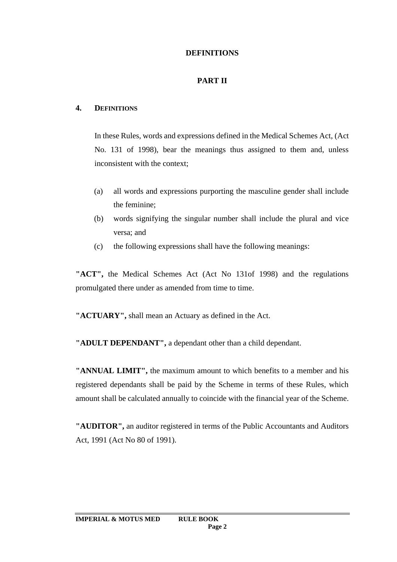# **DEFINITIONS**

# **PART II**

### **4. DEFINITIONS**

In these Rules, words and expressions defined in the Medical Schemes Act, (Act No. 131 of 1998), bear the meanings thus assigned to them and, unless inconsistent with the context;

- (a) all words and expressions purporting the masculine gender shall include the feminine;
- (b) words signifying the singular number shall include the plural and vice versa; and
- (c) the following expressions shall have the following meanings:

**"ACT",** the Medical Schemes Act (Act No 131of 1998) and the regulations promulgated there under as amended from time to time.

**"ACTUARY",** shall mean an Actuary as defined in the Act.

**"ADULT DEPENDANT",** a dependant other than a child dependant.

**"ANNUAL LIMIT",** the maximum amount to which benefits to a member and his registered dependants shall be paid by the Scheme in terms of these Rules, which amount shall be calculated annually to coincide with the financial year of the Scheme.

**"AUDITOR",** an auditor registered in terms of the Public Accountants and Auditors Act, 1991 (Act No 80 of 1991).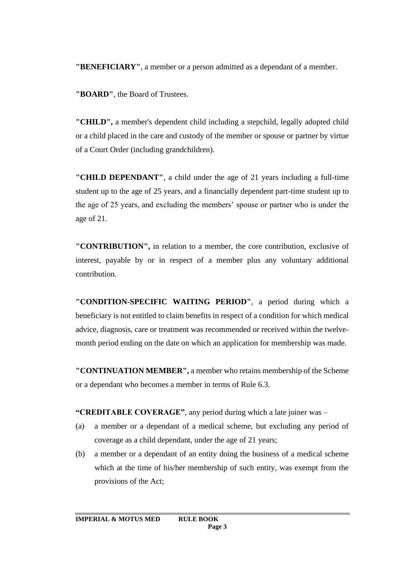**"BENEFICIARY"**, a member or a person admitted as a dependant of a member.

**"BOARD"**, the Board of Trustees.

**"CHILD",** a member's dependent child including a stepchild, legally adopted child or a child placed in the care and custody of the member or spouse or partner by virtue of a Court Order (including grandchildren).

**"CHILD DEPENDANT"**, a child under the age of 21 years including a full-time student up to the age of 25 years, and a financially dependent part-time student up to the age of 25 years, and excluding the members' spouse or partner who is under the age of 21.

**"CONTRIBUTION",** in relation to a member, the core contribution, exclusive of interest, payable by or in respect of a member plus any voluntary additional contribution.

**"CONDITION-SPECIFIC WAITING PERIOD"**, a period during which a beneficiary is not entitled to claim benefits in respect of a condition for which medical advice, diagnosis, care or treatment was recommended or received within the twelvemonth period ending on the date on which an application for membership was made.

**"CONTINUATION MEMBER",** a member who retains membership of the Scheme or a dependant who becomes a member in terms of Rule 6.3.

**"CREDITABLE COVERAGE"**, any period during which a late joiner was –

- (a) a member or a dependant of a medical scheme, but excluding any period of coverage as a child dependant, under the age of 21 years;
- (b) a member or a dependant of an entity doing the business of a medical scheme which at the time of his/her membership of such entity, was exempt from the provisions of the Act;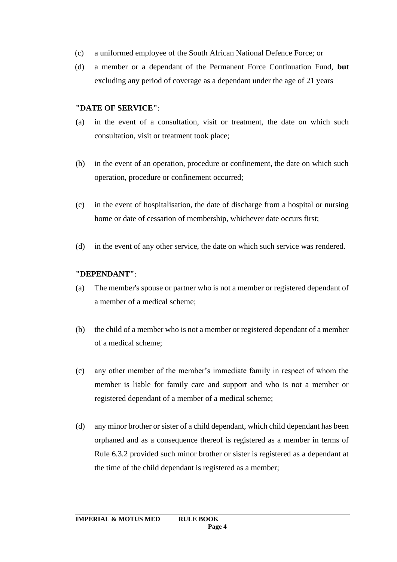- (c) a uniformed employee of the South African National Defence Force; or
- (d) a member or a dependant of the Permanent Force Continuation Fund, **but** excluding any period of coverage as a dependant under the age of 21 years

### **"DATE OF SERVICE"**:

- (a) in the event of a consultation, visit or treatment, the date on which such consultation, visit or treatment took place;
- (b) in the event of an operation, procedure or confinement, the date on which such operation, procedure or confinement occurred;
- (c) in the event of hospitalisation, the date of discharge from a hospital or nursing home or date of cessation of membership, whichever date occurs first;
- (d) in the event of any other service, the date on which such service was rendered.

#### **"DEPENDANT"**:

- (a) The member's spouse or partner who is not a member or registered dependant of a member of a medical scheme;
- (b) the child of a member who is not a member or registered dependant of a member of a medical scheme;
- (c) any other member of the member's immediate family in respect of whom the member is liable for family care and support and who is not a member or registered dependant of a member of a medical scheme;
- (d) any minor brother or sister of a child dependant, which child dependant has been orphaned and as a consequence thereof is registered as a member in terms of Rule 6.3.2 provided such minor brother or sister is registered as a dependant at the time of the child dependant is registered as a member;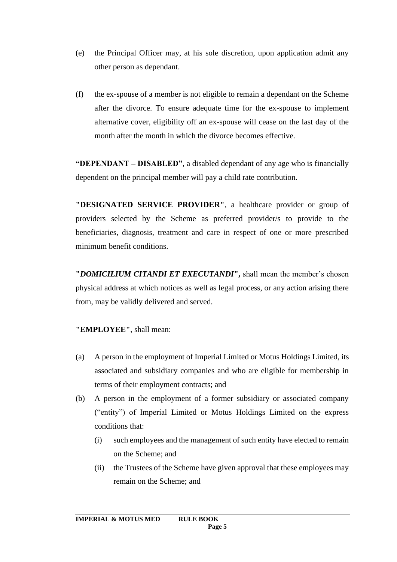- (e) the Principal Officer may, at his sole discretion, upon application admit any other person as dependant.
- (f) the ex-spouse of a member is not eligible to remain a dependant on the Scheme after the divorce. To ensure adequate time for the ex-spouse to implement alternative cover, eligibility off an ex-spouse will cease on the last day of the month after the month in which the divorce becomes effective.

**"DEPENDANT – DISABLED"**, a disabled dependant of any age who is financially dependent on the principal member will pay a child rate contribution.

**"DESIGNATED SERVICE PROVIDER"**, a healthcare provider or group of providers selected by the Scheme as preferred provider/s to provide to the beneficiaries, diagnosis, treatment and care in respect of one or more prescribed minimum benefit conditions.

**"***DOMICILIUM CITANDI ET EXECUTANDI***",** shall mean the member's chosen physical address at which notices as well as legal process, or any action arising there from, may be validly delivered and served.

**"EMPLOYEE"**, shall mean:

- (a) A person in the employment of Imperial Limited or Motus Holdings Limited, its associated and subsidiary companies and who are eligible for membership in terms of their employment contracts; and
- (b) A person in the employment of a former subsidiary or associated company ("entity") of Imperial Limited or Motus Holdings Limited on the express conditions that:
	- (i) such employees and the management of such entity have elected to remain on the Scheme; and
	- (ii) the Trustees of the Scheme have given approval that these employees may remain on the Scheme; and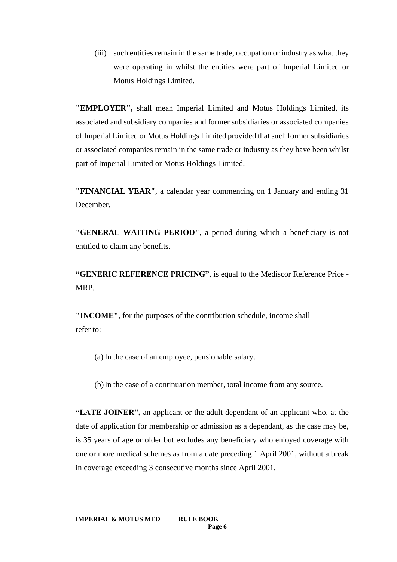(iii) such entities remain in the same trade, occupation or industry as what they were operating in whilst the entities were part of Imperial Limited or Motus Holdings Limited.

**"EMPLOYER",** shall mean Imperial Limited and Motus Holdings Limited, its associated and subsidiary companies and former subsidiaries or associated companies of Imperial Limited or Motus Holdings Limited provided that such former subsidiaries or associated companies remain in the same trade or industry as they have been whilst part of Imperial Limited or Motus Holdings Limited.

**"FINANCIAL YEAR"**, a calendar year commencing on 1 January and ending 31 December.

**"GENERAL WAITING PERIOD"**, a period during which a beneficiary is not entitled to claim any benefits.

**"GENERIC REFERENCE PRICING"**, is equal to the Mediscor Reference Price - MRP.

**"INCOME"**, for the purposes of the contribution schedule, income shall refer to:

(a) In the case of an employee, pensionable salary.

(b)In the case of a continuation member, total income from any source.

**"LATE JOINER",** an applicant or the adult dependant of an applicant who, at the date of application for membership or admission as a dependant, as the case may be, is 35 years of age or older but excludes any beneficiary who enjoyed coverage with one or more medical schemes as from a date preceding 1 April 2001, without a break in coverage exceeding 3 consecutive months since April 2001.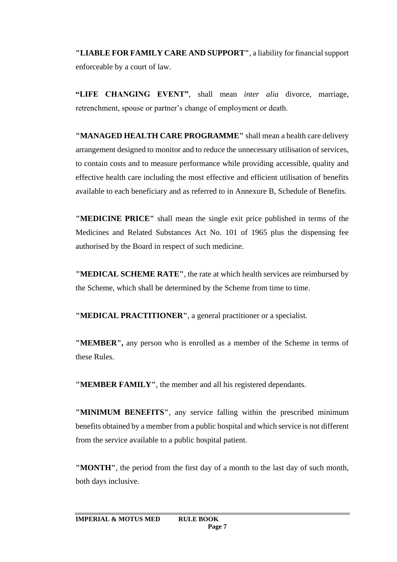**"LIABLE FOR FAMILY CARE AND SUPPORT"**, a liability for financial support enforceable by a court of law.

**"LIFE CHANGING EVENT"**, shall mean *inter alia* divorce, marriage, retrenchment, spouse or partner's change of employment or death.

**"MANAGED HEALTH CARE PROGRAMME"** shall mean a health care delivery arrangement designed to monitor and to reduce the unnecessary utilisation of services, to contain costs and to measure performance while providing accessible, quality and effective health care including the most effective and efficient utilisation of benefits available to each beneficiary and as referred to in Annexure B, Schedule of Benefits.

**"MEDICINE PRICE"** shall mean the single exit price published in terms of the Medicines and Related Substances Act No. 101 of 1965 plus the dispensing fee authorised by the Board in respect of such medicine.

**"MEDICAL SCHEME RATE"**, the rate at which health services are reimbursed by the Scheme, which shall be determined by the Scheme from time to time.

**"MEDICAL PRACTITIONER"**, a general practitioner or a specialist.

**"MEMBER",** any person who is enrolled as a member of the Scheme in terms of these Rules.

**"MEMBER FAMILY"**, the member and all his registered dependants.

**"MINIMUM BENEFITS"**, any service falling within the prescribed minimum benefits obtained by a member from a public hospital and which service is not different from the service available to a public hospital patient.

**"MONTH"**, the period from the first day of a month to the last day of such month, both days inclusive.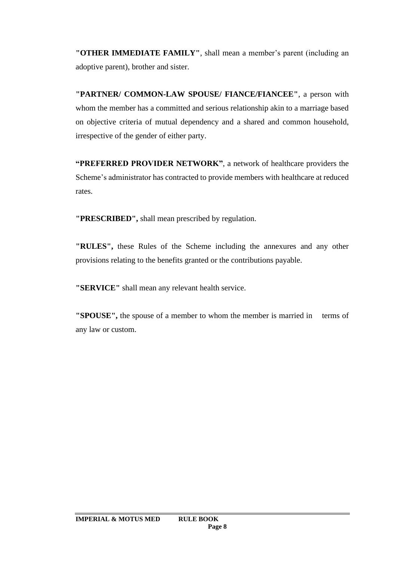**"OTHER IMMEDIATE FAMILY"**, shall mean a member's parent (including an adoptive parent), brother and sister.

**"PARTNER/ COMMON-LAW SPOUSE/ FIANCE/FIANCEE"**, a person with whom the member has a committed and serious relationship akin to a marriage based on objective criteria of mutual dependency and a shared and common household, irrespective of the gender of either party.

**"PREFERRED PROVIDER NETWORK"**, a network of healthcare providers the Scheme's administrator has contracted to provide members with healthcare at reduced rates.

**"PRESCRIBED",** shall mean prescribed by regulation.

**"RULES",** these Rules of the Scheme including the annexures and any other provisions relating to the benefits granted or the contributions payable.

**"SERVICE"** shall mean any relevant health service.

**"SPOUSE",** the spouse of a member to whom the member is married in terms of any law or custom.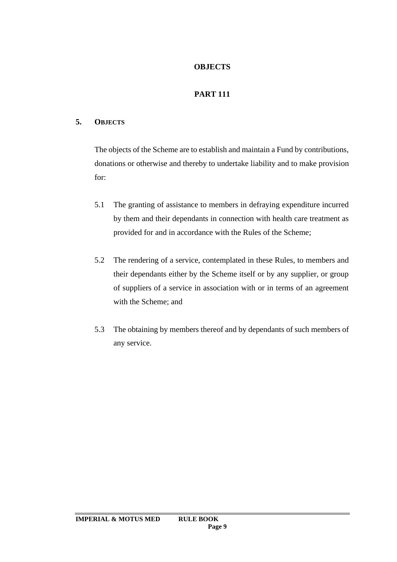# **OBJECTS**

# **PART 111**

# **5. OBJECTS**

The objects of the Scheme are to establish and maintain a Fund by contributions, donations or otherwise and thereby to undertake liability and to make provision for:

- 5.1 The granting of assistance to members in defraying expenditure incurred by them and their dependants in connection with health care treatment as provided for and in accordance with the Rules of the Scheme;
- 5.2 The rendering of a service, contemplated in these Rules, to members and their dependants either by the Scheme itself or by any supplier, or group of suppliers of a service in association with or in terms of an agreement with the Scheme; and
- 5.3 The obtaining by members thereof and by dependants of such members of any service.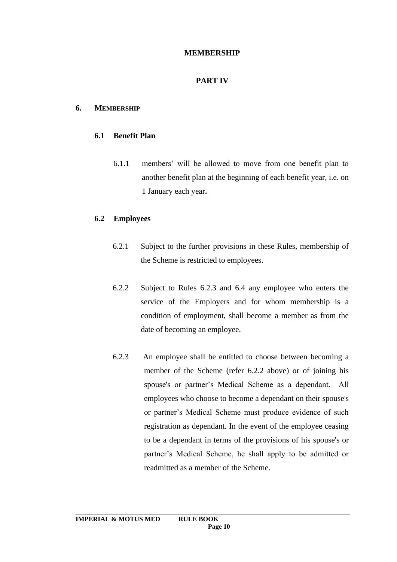### **MEMBERSHIP**

# **PART IV**

### **6. MEMBERSHIP**

### **6.1 Benefit Plan**

6.1.1 members' will be allowed to move from one benefit plan to another benefit plan at the beginning of each benefit year, i.e. on 1 January each year**.**

### **6.2 Employees**

- 6.2.1 Subject to the further provisions in these Rules, membership of the Scheme is restricted to employees.
- 6.2.2 Subject to Rules 6.2.3 and 6.4 any employee who enters the service of the Employers and for whom membership is a condition of employment, shall become a member as from the date of becoming an employee.
- 6.2.3 An employee shall be entitled to choose between becoming a member of the Scheme (refer 6.2.2 above) or of joining his spouse's or partner's Medical Scheme as a dependant. All employees who choose to become a dependant on their spouse's or partner's Medical Scheme must produce evidence of such registration as dependant. In the event of the employee ceasing to be a dependant in terms of the provisions of his spouse's or partner's Medical Scheme, he shall apply to be admitted or readmitted as a member of the Scheme.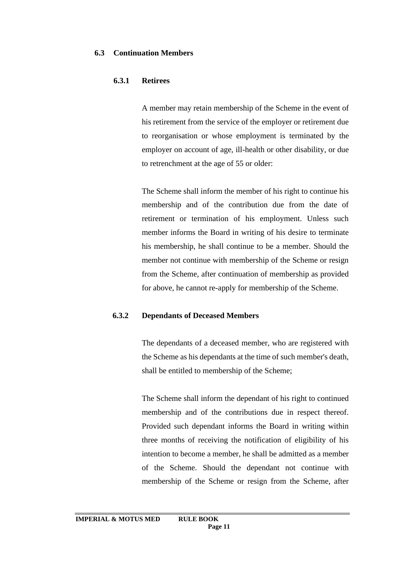#### **6.3 Continuation Members**

#### **6.3.1 Retirees**

A member may retain membership of the Scheme in the event of his retirement from the service of the employer or retirement due to reorganisation or whose employment is terminated by the employer on account of age, ill-health or other disability, or due to retrenchment at the age of 55 or older:

The Scheme shall inform the member of his right to continue his membership and of the contribution due from the date of retirement or termination of his employment. Unless such member informs the Board in writing of his desire to terminate his membership, he shall continue to be a member. Should the member not continue with membership of the Scheme or resign from the Scheme, after continuation of membership as provided for above, he cannot re-apply for membership of the Scheme.

### **6.3.2 Dependants of Deceased Members**

The dependants of a deceased member, who are registered with the Scheme as his dependants at the time of such member's death, shall be entitled to membership of the Scheme;

The Scheme shall inform the dependant of his right to continued membership and of the contributions due in respect thereof. Provided such dependant informs the Board in writing within three months of receiving the notification of eligibility of his intention to become a member, he shall be admitted as a member of the Scheme. Should the dependant not continue with membership of the Scheme or resign from the Scheme, after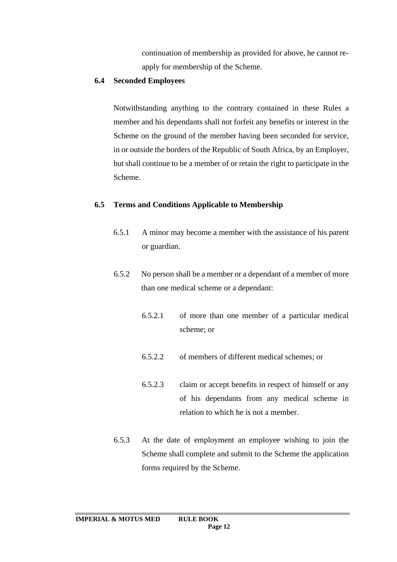continuation of membership as provided for above, he cannot reapply for membership of the Scheme.

### **6.4 Seconded Employees**

Notwithstanding anything to the contrary contained in these Rules a member and his dependants shall not forfeit any benefits or interest in the Scheme on the ground of the member having been seconded for service, in or outside the borders of the Republic of South Africa, by an Employer, but shall continue to be a member of or retain the right to participate in the Scheme.

# **6.5 Terms and Conditions Applicable to Membership**

- 6.5.1 A minor may become a member with the assistance of his parent or guardian.
- 6.5.2 No person shall be a member or a dependant of a member of more than one medical scheme or a dependant:
	- 6.5.2.1 of more than one member of a particular medical scheme; or
	- 6.5.2.2 of members of different medical schemes; or
	- 6.5.2.3 claim or accept benefits in respect of himself or any of his dependants from any medical scheme in relation to which he is not a member.
- 6.5.3 At the date of employment an employee wishing to join the Scheme shall complete and submit to the Scheme the application forms required by the Scheme.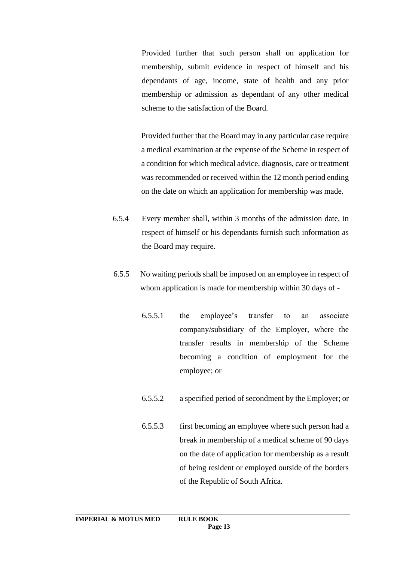Provided further that such person shall on application for membership, submit evidence in respect of himself and his dependants of age, income, state of health and any prior membership or admission as dependant of any other medical scheme to the satisfaction of the Board.

Provided further that the Board may in any particular case require a medical examination at the expense of the Scheme in respect of a condition for which medical advice, diagnosis, care or treatment was recommended or received within the 12 month period ending on the date on which an application for membership was made.

- 6.5.4 Every member shall, within 3 months of the admission date, in respect of himself or his dependants furnish such information as the Board may require.
- 6.5.5 No waiting periods shall be imposed on an employee in respect of whom application is made for membership within 30 days of -
	- 6.5.5.1 the employee's transfer to an associate company/subsidiary of the Employer, where the transfer results in membership of the Scheme becoming a condition of employment for the employee; or
	- 6.5.5.2 a specified period of secondment by the Employer; or
	- 6.5.5.3 first becoming an employee where such person had a break in membership of a medical scheme of 90 days on the date of application for membership as a result of being resident or employed outside of the borders of the Republic of South Africa.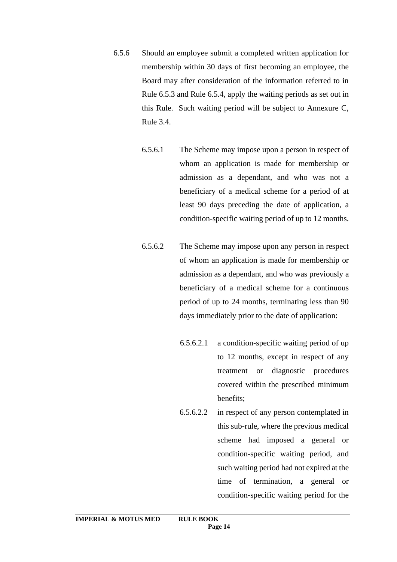- 6.5.6 Should an employee submit a completed written application for membership within 30 days of first becoming an employee, the Board may after consideration of the information referred to in Rule 6.5.3 and Rule 6.5.4, apply the waiting periods as set out in this Rule. Such waiting period will be subject to Annexure C, Rule 3.4.
	- 6.5.6.1 The Scheme may impose upon a person in respect of whom an application is made for membership or admission as a dependant, and who was not a beneficiary of a medical scheme for a period of at least 90 days preceding the date of application, a condition-specific waiting period of up to 12 months.
	- 6.5.6.2 The Scheme may impose upon any person in respect of whom an application is made for membership or admission as a dependant, and who was previously a beneficiary of a medical scheme for a continuous period of up to 24 months, terminating less than 90 days immediately prior to the date of application:
		- 6.5.6.2.1 a condition-specific waiting period of up to 12 months, except in respect of any treatment or diagnostic procedures covered within the prescribed minimum benefits;
		- 6.5.6.2.2 in respect of any person contemplated in this sub-rule, where the previous medical scheme had imposed a general or condition-specific waiting period, and such waiting period had not expired at the time of termination, a general or condition-specific waiting period for the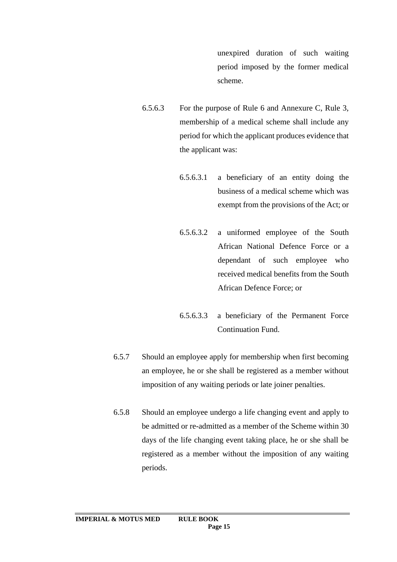unexpired duration of such waiting period imposed by the former medical scheme.

- 6.5.6.3 For the purpose of Rule 6 and Annexure C, Rule 3, membership of a medical scheme shall include any period for which the applicant produces evidence that the applicant was:
	- 6.5.6.3.1 a beneficiary of an entity doing the business of a medical scheme which was exempt from the provisions of the Act; or
	- 6.5.6.3.2 a uniformed employee of the South African National Defence Force or a dependant of such employee who received medical benefits from the South African Defence Force; or
	- 6.5.6.3.3 a beneficiary of the Permanent Force Continuation Fund.
- 6.5.7 Should an employee apply for membership when first becoming an employee, he or she shall be registered as a member without imposition of any waiting periods or late joiner penalties.
- 6.5.8 Should an employee undergo a life changing event and apply to be admitted or re-admitted as a member of the Scheme within 30 days of the life changing event taking place, he or she shall be registered as a member without the imposition of any waiting periods.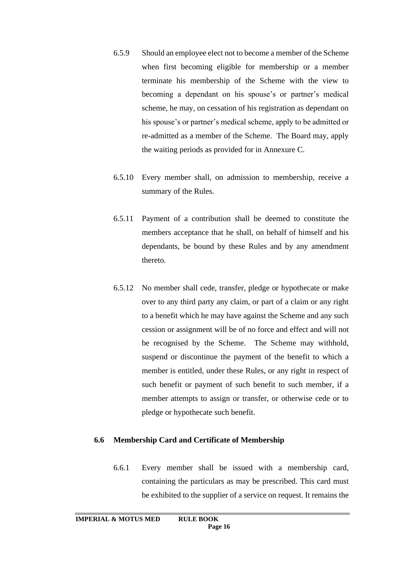- 6.5.9 Should an employee elect not to become a member of the Scheme when first becoming eligible for membership or a member terminate his membership of the Scheme with the view to becoming a dependant on his spouse's or partner's medical scheme, he may, on cessation of his registration as dependant on his spouse's or partner's medical scheme, apply to be admitted or re-admitted as a member of the Scheme. The Board may, apply the waiting periods as provided for in Annexure C.
- 6.5.10 Every member shall, on admission to membership, receive a summary of the Rules.
- 6.5.11 Payment of a contribution shall be deemed to constitute the members acceptance that he shall, on behalf of himself and his dependants, be bound by these Rules and by any amendment thereto.
- 6.5.12 No member shall cede, transfer, pledge or hypothecate or make over to any third party any claim, or part of a claim or any right to a benefit which he may have against the Scheme and any such cession or assignment will be of no force and effect and will not be recognised by the Scheme. The Scheme may withhold, suspend or discontinue the payment of the benefit to which a member is entitled, under these Rules, or any right in respect of such benefit or payment of such benefit to such member, if a member attempts to assign or transfer, or otherwise cede or to pledge or hypothecate such benefit.

### **6.6 Membership Card and Certificate of Membership**

6.6.1 Every member shall be issued with a membership card, containing the particulars as may be prescribed. This card must be exhibited to the supplier of a service on request. It remains the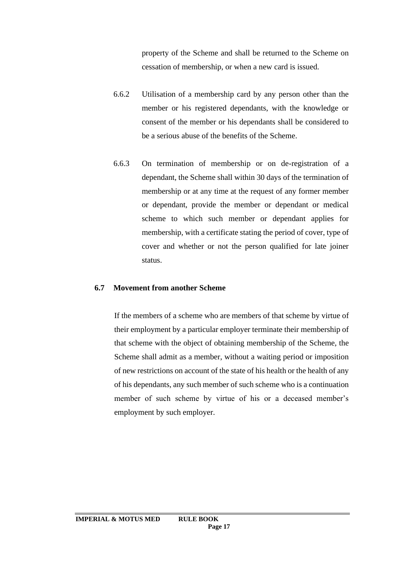property of the Scheme and shall be returned to the Scheme on cessation of membership, or when a new card is issued.

- 6.6.2 Utilisation of a membership card by any person other than the member or his registered dependants, with the knowledge or consent of the member or his dependants shall be considered to be a serious abuse of the benefits of the Scheme.
- 6.6.3 On termination of membership or on de-registration of a dependant, the Scheme shall within 30 days of the termination of membership or at any time at the request of any former member or dependant, provide the member or dependant or medical scheme to which such member or dependant applies for membership, with a certificate stating the period of cover, type of cover and whether or not the person qualified for late joiner status.

#### **6.7 Movement from another Scheme**

If the members of a scheme who are members of that scheme by virtue of their employment by a particular employer terminate their membership of that scheme with the object of obtaining membership of the Scheme, the Scheme shall admit as a member, without a waiting period or imposition of new restrictions on account of the state of his health or the health of any of his dependants, any such member of such scheme who is a continuation member of such scheme by virtue of his or a deceased member's employment by such employer.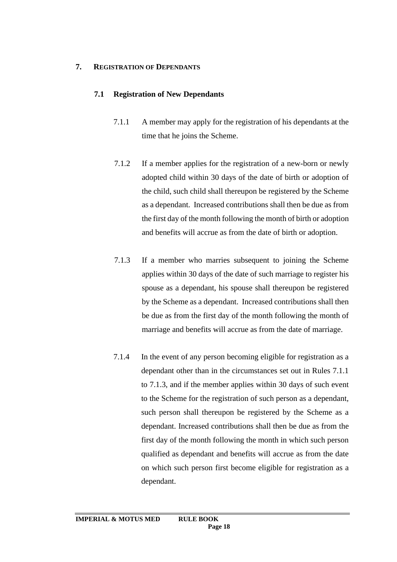### **7. REGISTRATION OF DEPENDANTS**

# **7.1 Registration of New Dependants**

- 7.1.1 A member may apply for the registration of his dependants at the time that he joins the Scheme.
- 7.1.2 If a member applies for the registration of a new-born or newly adopted child within 30 days of the date of birth or adoption of the child, such child shall thereupon be registered by the Scheme as a dependant. Increased contributions shall then be due as from the first day of the month following the month of birth or adoption and benefits will accrue as from the date of birth or adoption.
- 7.1.3 If a member who marries subsequent to joining the Scheme applies within 30 days of the date of such marriage to register his spouse as a dependant, his spouse shall thereupon be registered by the Scheme as a dependant. Increased contributions shall then be due as from the first day of the month following the month of marriage and benefits will accrue as from the date of marriage.
- 7.1.4 In the event of any person becoming eligible for registration as a dependant other than in the circumstances set out in Rules 7.1.1 to 7.1.3, and if the member applies within 30 days of such event to the Scheme for the registration of such person as a dependant, such person shall thereupon be registered by the Scheme as a dependant. Increased contributions shall then be due as from the first day of the month following the month in which such person qualified as dependant and benefits will accrue as from the date on which such person first become eligible for registration as a dependant.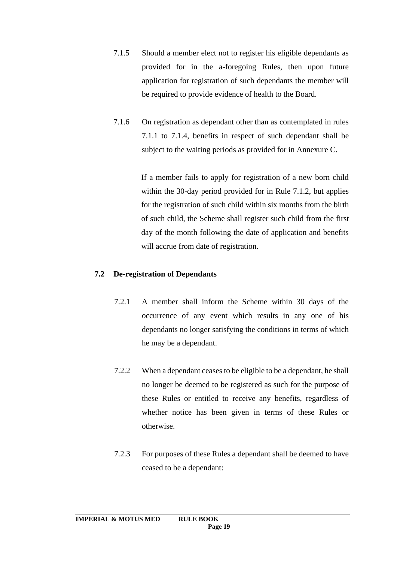- 7.1.5 Should a member elect not to register his eligible dependants as provided for in the a-foregoing Rules, then upon future application for registration of such dependants the member will be required to provide evidence of health to the Board.
- 7.1.6 On registration as dependant other than as contemplated in rules 7.1.1 to 7.1.4, benefits in respect of such dependant shall be subject to the waiting periods as provided for in Annexure C.

If a member fails to apply for registration of a new born child within the 30-day period provided for in Rule 7.1.2, but applies for the registration of such child within six months from the birth of such child, the Scheme shall register such child from the first day of the month following the date of application and benefits will accrue from date of registration.

### **7.2 De-registration of Dependants**

- 7.2.1 A member shall inform the Scheme within 30 days of the occurrence of any event which results in any one of his dependants no longer satisfying the conditions in terms of which he may be a dependant.
- 7.2.2 When a dependant ceases to be eligible to be a dependant, he shall no longer be deemed to be registered as such for the purpose of these Rules or entitled to receive any benefits, regardless of whether notice has been given in terms of these Rules or otherwise.
- 7.2.3 For purposes of these Rules a dependant shall be deemed to have ceased to be a dependant: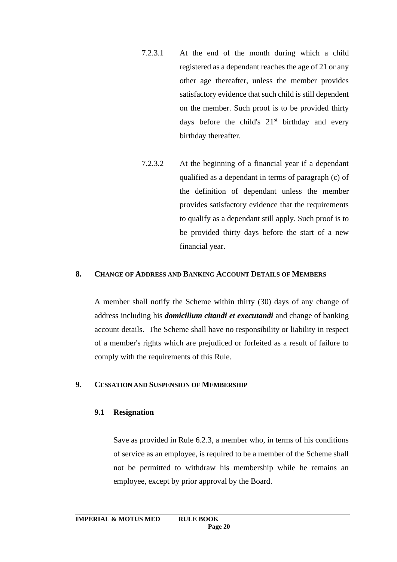- 7.2.3.1 At the end of the month during which a child registered as a dependant reaches the age of 21 or any other age thereafter, unless the member provides satisfactory evidence that such child is still dependent on the member. Such proof is to be provided thirty days before the child's  $21<sup>st</sup>$  birthday and every birthday thereafter.
- 7.2.3.2 At the beginning of a financial year if a dependant qualified as a dependant in terms of paragraph (c) of the definition of dependant unless the member provides satisfactory evidence that the requirements to qualify as a dependant still apply. Such proof is to be provided thirty days before the start of a new financial year.

### **8. CHANGE OF ADDRESS AND BANKING ACCOUNT DETAILS OF MEMBERS**

A member shall notify the Scheme within thirty (30) days of any change of address including his *domicilium citandi et executandi* and change of banking account details. The Scheme shall have no responsibility or liability in respect of a member's rights which are prejudiced or forfeited as a result of failure to comply with the requirements of this Rule.

### **9. CESSATION AND SUSPENSION OF MEMBERSHIP**

### **9.1 Resignation**

Save as provided in Rule 6.2.3, a member who, in terms of his conditions of service as an employee, is required to be a member of the Scheme shall not be permitted to withdraw his membership while he remains an employee, except by prior approval by the Board.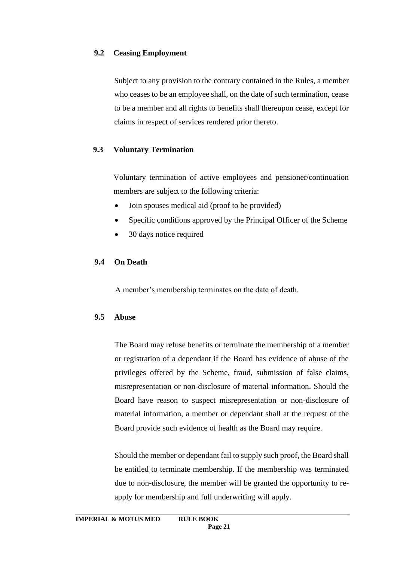### **9.2 Ceasing Employment**

Subject to any provision to the contrary contained in the Rules, a member who ceases to be an employee shall, on the date of such termination, cease to be a member and all rights to benefits shall thereupon cease, except for claims in respect of services rendered prior thereto.

# **9.3 Voluntary Termination**

Voluntary termination of active employees and pensioner/continuation members are subject to the following criteria:

- Join spouses medical aid (proof to be provided)
- Specific conditions approved by the Principal Officer of the Scheme
- 30 days notice required

# **9.4 On Death**

A member's membership terminates on the date of death.

# **9.5 Abuse**

The Board may refuse benefits or terminate the membership of a member or registration of a dependant if the Board has evidence of abuse of the privileges offered by the Scheme, fraud, submission of false claims, misrepresentation or non-disclosure of material information. Should the Board have reason to suspect misrepresentation or non-disclosure of material information, a member or dependant shall at the request of the Board provide such evidence of health as the Board may require.

Should the member or dependant fail to supply such proof, the Board shall be entitled to terminate membership. If the membership was terminated due to non-disclosure, the member will be granted the opportunity to reapply for membership and full underwriting will apply.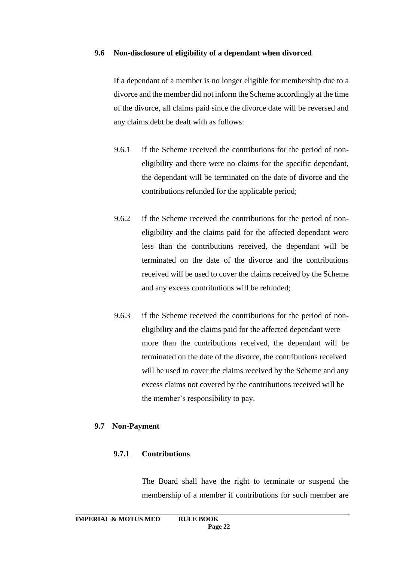#### **9.6 Non-disclosure of eligibility of a dependant when divorced**

If a dependant of a member is no longer eligible for membership due to a divorce and the member did not inform the Scheme accordingly at the time of the divorce, all claims paid since the divorce date will be reversed and any claims debt be dealt with as follows:

- 9.6.1 if the Scheme received the contributions for the period of noneligibility and there were no claims for the specific dependant, the dependant will be terminated on the date of divorce and the contributions refunded for the applicable period;
- 9.6.2 if the Scheme received the contributions for the period of noneligibility and the claims paid for the affected dependant were less than the contributions received, the dependant will be terminated on the date of the divorce and the contributions received will be used to cover the claims received by the Scheme and any excess contributions will be refunded;
- 9.6.3 if the Scheme received the contributions for the period of noneligibility and the claims paid for the affected dependant were more than the contributions received, the dependant will be terminated on the date of the divorce, the contributions received will be used to cover the claims received by the Scheme and any excess claims not covered by the contributions received will be the member's responsibility to pay.

### **9.7 Non-Payment**

### **9.7.1 Contributions**

The Board shall have the right to terminate or suspend the membership of a member if contributions for such member are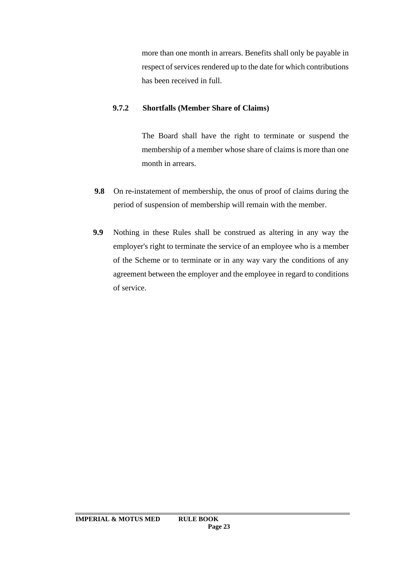more than one month in arrears. Benefits shall only be payable in respect of services rendered up to the date for which contributions has been received in full.

### **9.7.2 Shortfalls (Member Share of Claims)**

The Board shall have the right to terminate or suspend the membership of a member whose share of claims is more than one month in arrears.

- **9.8** On re-instatement of membership, the onus of proof of claims during the period of suspension of membership will remain with the member.
- **9.9** Nothing in these Rules shall be construed as altering in any way the employer's right to terminate the service of an employee who is a member of the Scheme or to terminate or in any way vary the conditions of any agreement between the employer and the employee in regard to conditions of service.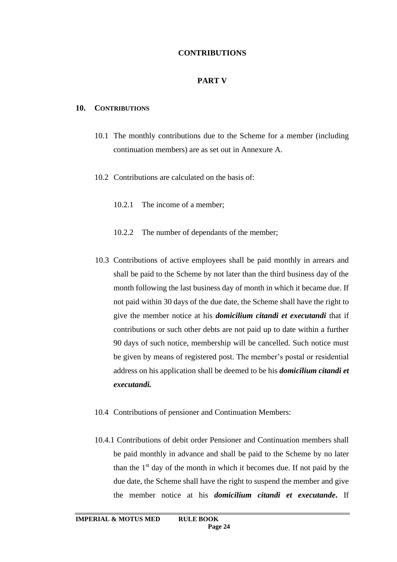### **CONTRIBUTIONS**

#### **PART V**

#### **10. CONTRIBUTIONS**

- 10.1 The monthly contributions due to the Scheme for a member (including continuation members) are as set out in Annexure A.
- 10.2 Contributions are calculated on the basis of:
	- 10.2.1 The income of a member;
	- 10.2.2 The number of dependants of the member;
- 10.3 Contributions of active employees shall be paid monthly in arrears and shall be paid to the Scheme by not later than the third business day of the month following the last business day of month in which it became due. If not paid within 30 days of the due date, the Scheme shall have the right to give the member notice at his *domicilium citandi et executandi* that if contributions or such other debts are not paid up to date within a further 90 days of such notice, membership will be cancelled. Such notice must be given by means of registered post. The member's postal or residential address on his application shall be deemed to be his *domicilium citandi et executandi.*
- 10.4 Contributions of pensioner and Continuation Members:
- 10.4.1 Contributions of debit order Pensioner and Continuation members shall be paid monthly in advance and shall be paid to the Scheme by no later than the  $1<sup>st</sup>$  day of the month in which it becomes due. If not paid by the due date, the Scheme shall have the right to suspend the member and give the member notice at his *domicilium citandi et executande***.** If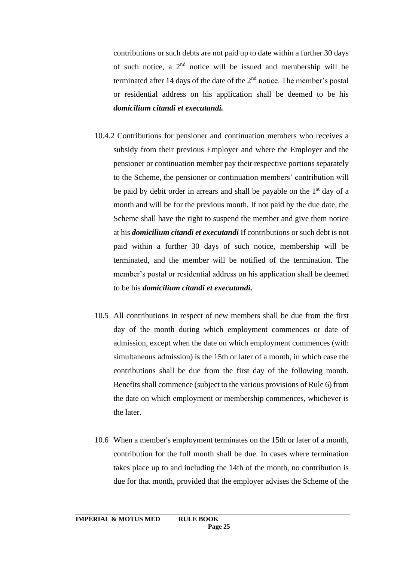contributions or such debts are not paid up to date within a further 30 days of such notice, a  $2<sup>nd</sup>$  notice will be issued and membership will be terminated after 14 days of the date of the  $2<sup>nd</sup>$  notice. The member's postal or residential address on his application shall be deemed to be his *domicilium citandi et executandi.*

- 10.4.2 Contributions for pensioner and continuation members who receives a subsidy from their previous Employer and where the Employer and the pensioner or continuation member pay their respective portions separately to the Scheme, the pensioner or continuation members' contribution will be paid by debit order in arrears and shall be payable on the  $1<sup>st</sup>$  day of a month and will be for the previous month. If not paid by the due date, the Scheme shall have the right to suspend the member and give them notice at his *domicilium citandi et executandi* If contributions or such debt is not paid within a further 30 days of such notice, membership will be terminated, and the member will be notified of the termination. The member's postal or residential address on his application shall be deemed to be his *domicilium citandi et executandi.*
- 10.5 All contributions in respect of new members shall be due from the first day of the month during which employment commences or date of admission, except when the date on which employment commences (with simultaneous admission) is the 15th or later of a month, in which case the contributions shall be due from the first day of the following month. Benefits shall commence (subject to the various provisions of Rule 6) from the date on which employment or membership commences, whichever is the later.
- 10.6 When a member's employment terminates on the 15th or later of a month, contribution for the full month shall be due. In cases where termination takes place up to and including the 14th of the month, no contribution is due for that month, provided that the employer advises the Scheme of the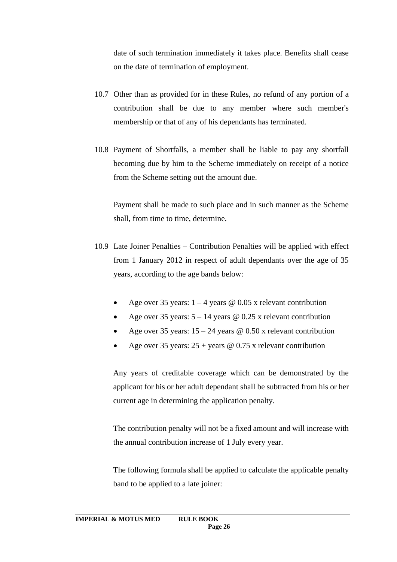date of such termination immediately it takes place. Benefits shall cease on the date of termination of employment.

- 10.7 Other than as provided for in these Rules, no refund of any portion of a contribution shall be due to any member where such member's membership or that of any of his dependants has terminated.
- 10.8 Payment of Shortfalls, a member shall be liable to pay any shortfall becoming due by him to the Scheme immediately on receipt of a notice from the Scheme setting out the amount due.

Payment shall be made to such place and in such manner as the Scheme shall, from time to time, determine.

- 10.9 Late Joiner Penalties Contribution Penalties will be applied with effect from 1 January 2012 in respect of adult dependants over the age of 35 years, according to the age bands below:
	- Age over 35 years:  $1 4$  years @ 0.05 x relevant contribution
	- Age over 35 years:  $5 14$  years @ 0.25 x relevant contribution
	- Age over 35 years:  $15 24$  years @ 0.50 x relevant contribution
	- Age over 35 years:  $25 + \text{years} \otimes 0.75 \times \text{relevant contribution}$

Any years of creditable coverage which can be demonstrated by the applicant for his or her adult dependant shall be subtracted from his or her current age in determining the application penalty.

The contribution penalty will not be a fixed amount and will increase with the annual contribution increase of 1 July every year.

The following formula shall be applied to calculate the applicable penalty band to be applied to a late joiner: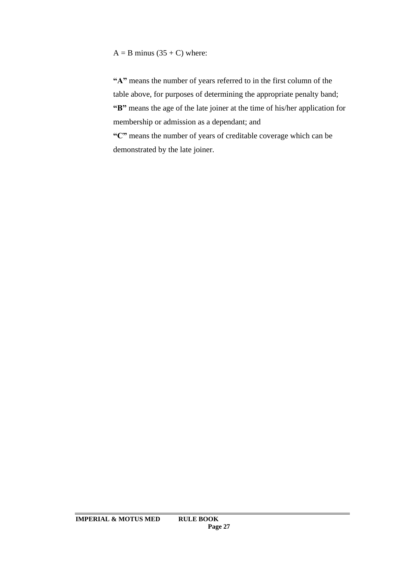$A = B$  minus (35 + C) where:

**"A"** means the number of years referred to in the first column of the table above, for purposes of determining the appropriate penalty band; **"B"** means the age of the late joiner at the time of his/her application for membership or admission as a dependant; and

**"C"** means the number of years of creditable coverage which can be demonstrated by the late joiner.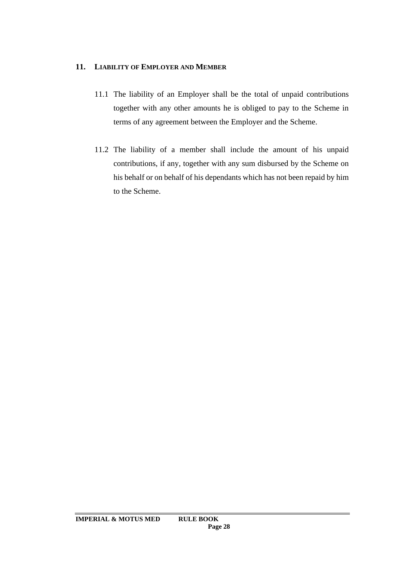# **11. LIABILITY OF EMPLOYER AND MEMBER**

- 11.1 The liability of an Employer shall be the total of unpaid contributions together with any other amounts he is obliged to pay to the Scheme in terms of any agreement between the Employer and the Scheme.
- 11.2 The liability of a member shall include the amount of his unpaid contributions, if any, together with any sum disbursed by the Scheme on his behalf or on behalf of his dependants which has not been repaid by him to the Scheme.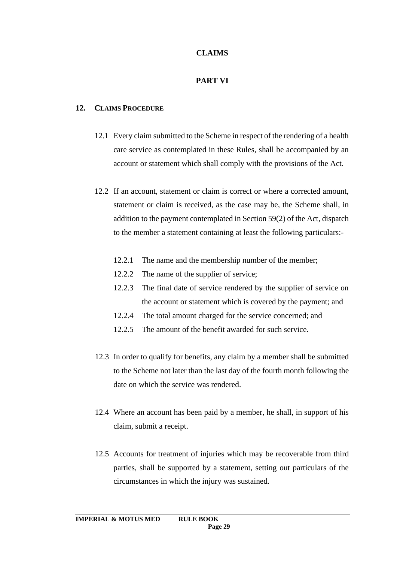### **CLAIMS**

# **PART VI**

### **12. CLAIMS PROCEDURE**

- 12.1 Every claim submitted to the Scheme in respect of the rendering of a health care service as contemplated in these Rules, shall be accompanied by an account or statement which shall comply with the provisions of the Act.
- 12.2 If an account, statement or claim is correct or where a corrected amount, statement or claim is received, as the case may be, the Scheme shall, in addition to the payment contemplated in Section 59(2) of the Act, dispatch to the member a statement containing at least the following particulars:-
	- 12.2.1 The name and the membership number of the member;
	- 12.2.2 The name of the supplier of service;
	- 12.2.3 The final date of service rendered by the supplier of service on the account or statement which is covered by the payment; and
	- 12.2.4 The total amount charged for the service concerned; and
	- 12.2.5 The amount of the benefit awarded for such service.
- 12.3 In order to qualify for benefits, any claim by a member shall be submitted to the Scheme not later than the last day of the fourth month following the date on which the service was rendered.
- 12.4 Where an account has been paid by a member, he shall, in support of his claim, submit a receipt.
- 12.5 Accounts for treatment of injuries which may be recoverable from third parties, shall be supported by a statement, setting out particulars of the circumstances in which the injury was sustained.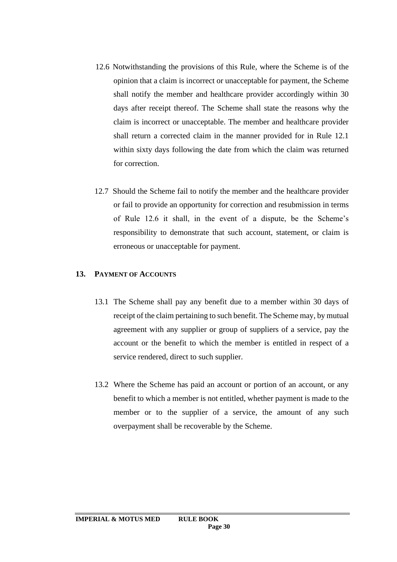- 12.6 Notwithstanding the provisions of this Rule, where the Scheme is of the opinion that a claim is incorrect or unacceptable for payment, the Scheme shall notify the member and healthcare provider accordingly within 30 days after receipt thereof. The Scheme shall state the reasons why the claim is incorrect or unacceptable. The member and healthcare provider shall return a corrected claim in the manner provided for in Rule 12.1 within sixty days following the date from which the claim was returned for correction.
- 12.7 Should the Scheme fail to notify the member and the healthcare provider or fail to provide an opportunity for correction and resubmission in terms of Rule 12.6 it shall, in the event of a dispute, be the Scheme's responsibility to demonstrate that such account, statement, or claim is erroneous or unacceptable for payment.

#### **13. PAYMENT OF ACCOUNTS**

- 13.1 The Scheme shall pay any benefit due to a member within 30 days of receipt of the claim pertaining to such benefit. The Scheme may, by mutual agreement with any supplier or group of suppliers of a service, pay the account or the benefit to which the member is entitled in respect of a service rendered, direct to such supplier.
- 13.2 Where the Scheme has paid an account or portion of an account, or any benefit to which a member is not entitled, whether payment is made to the member or to the supplier of a service, the amount of any such overpayment shall be recoverable by the Scheme.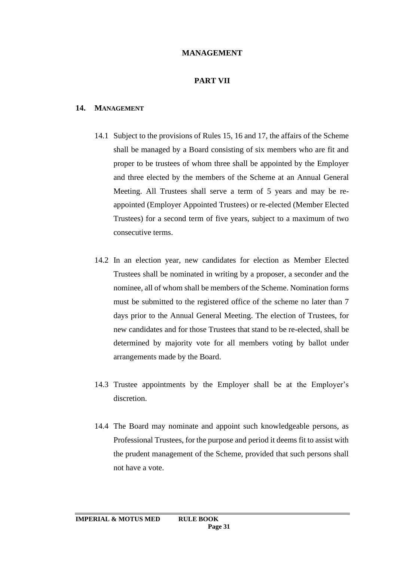### **MANAGEMENT**

### **PART VII**

#### **14. MANAGEMENT**

- 14.1 Subject to the provisions of Rules 15, 16 and 17, the affairs of the Scheme shall be managed by a Board consisting of six members who are fit and proper to be trustees of whom three shall be appointed by the Employer and three elected by the members of the Scheme at an Annual General Meeting. All Trustees shall serve a term of 5 years and may be reappointed (Employer Appointed Trustees) or re-elected (Member Elected Trustees) for a second term of five years, subject to a maximum of two consecutive terms.
- 14.2 In an election year, new candidates for election as Member Elected Trustees shall be nominated in writing by a proposer, a seconder and the nominee, all of whom shall be members of the Scheme. Nomination forms must be submitted to the registered office of the scheme no later than 7 days prior to the Annual General Meeting. The election of Trustees, for new candidates and for those Trustees that stand to be re-elected, shall be determined by majority vote for all members voting by ballot under arrangements made by the Board.
- 14.3 Trustee appointments by the Employer shall be at the Employer's discretion.
- 14.4 The Board may nominate and appoint such knowledgeable persons, as Professional Trustees, for the purpose and period it deems fit to assist with the prudent management of the Scheme, provided that such persons shall not have a vote.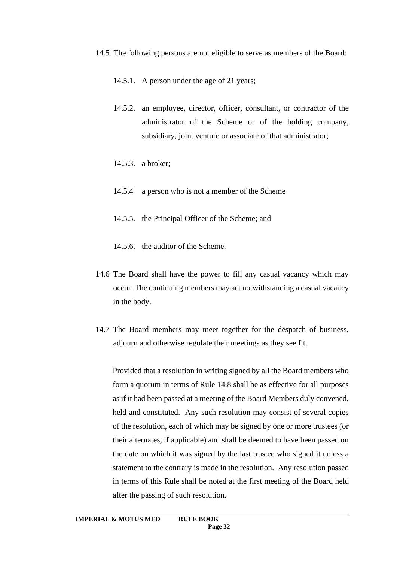- 14.5 The following persons are not eligible to serve as members of the Board:
	- 14.5.1. A person under the age of 21 years;
	- 14.5.2. an employee, director, officer, consultant, or contractor of the administrator of the Scheme or of the holding company, subsidiary, joint venture or associate of that administrator;
	- 14.5.3. a broker;
	- 14.5.4 a person who is not a member of the Scheme
	- 14.5.5. the Principal Officer of the Scheme; and
	- 14.5.6. the auditor of the Scheme.
- 14.6 The Board shall have the power to fill any casual vacancy which may occur. The continuing members may act notwithstanding a casual vacancy in the body.
- 14.7 The Board members may meet together for the despatch of business, adjourn and otherwise regulate their meetings as they see fit.

Provided that a resolution in writing signed by all the Board members who form a quorum in terms of Rule 14.8 shall be as effective for all purposes as if it had been passed at a meeting of the Board Members duly convened, held and constituted. Any such resolution may consist of several copies of the resolution, each of which may be signed by one or more trustees (or their alternates, if applicable) and shall be deemed to have been passed on the date on which it was signed by the last trustee who signed it unless a statement to the contrary is made in the resolution. Any resolution passed in terms of this Rule shall be noted at the first meeting of the Board held after the passing of such resolution.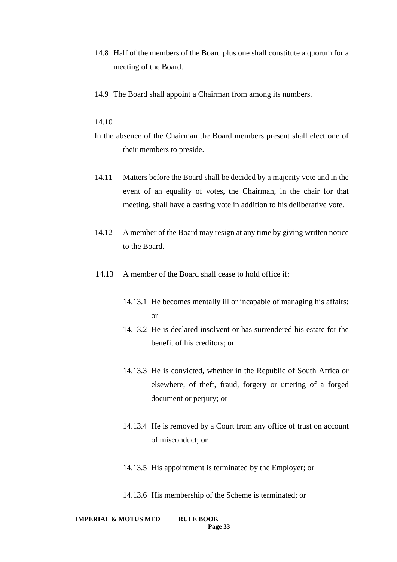- 14.8 Half of the members of the Board plus one shall constitute a quorum for a meeting of the Board.
- 14.9 The Board shall appoint a Chairman from among its numbers.

#### 14.10

- In the absence of the Chairman the Board members present shall elect one of their members to preside.
- 14.11 Matters before the Board shall be decided by a majority vote and in the event of an equality of votes, the Chairman, in the chair for that meeting, shall have a casting vote in addition to his deliberative vote.
- 14.12 A member of the Board may resign at any time by giving written notice to the Board.
- 14.13 A member of the Board shall cease to hold office if:
	- 14.13.1 He becomes mentally ill or incapable of managing his affairs; or
	- 14.13.2 He is declared insolvent or has surrendered his estate for the benefit of his creditors; or
	- 14.13.3 He is convicted, whether in the Republic of South Africa or elsewhere, of theft, fraud, forgery or uttering of a forged document or perjury; or
	- 14.13.4 He is removed by a Court from any office of trust on account of misconduct; or
	- 14.13.5 His appointment is terminated by the Employer; or
	- 14.13.6 His membership of the Scheme is terminated; or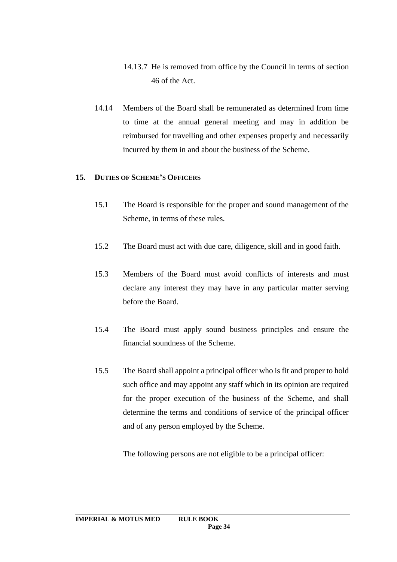- 14.13.7 He is removed from office by the Council in terms of section 46 of the Act.
- 14.14 Members of the Board shall be remunerated as determined from time to time at the annual general meeting and may in addition be reimbursed for travelling and other expenses properly and necessarily incurred by them in and about the business of the Scheme.

### **15. DUTIES OF SCHEME'S OFFICERS**

- 15.1 The Board is responsible for the proper and sound management of the Scheme, in terms of these rules.
- 15.2 The Board must act with due care, diligence, skill and in good faith.
- 15.3 Members of the Board must avoid conflicts of interests and must declare any interest they may have in any particular matter serving before the Board.
- 15.4 The Board must apply sound business principles and ensure the financial soundness of the Scheme.
- 15.5 The Board shall appoint a principal officer who is fit and proper to hold such office and may appoint any staff which in its opinion are required for the proper execution of the business of the Scheme, and shall determine the terms and conditions of service of the principal officer and of any person employed by the Scheme.

The following persons are not eligible to be a principal officer: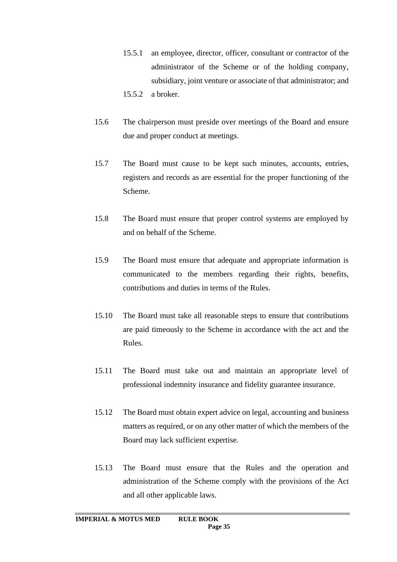- 15.5.1 an employee, director, officer, consultant or contractor of the administrator of the Scheme or of the holding company, subsidiary, joint venture or associate of that administrator; and 15.5.2 a broker.
- 15.6 The chairperson must preside over meetings of the Board and ensure due and proper conduct at meetings.
- 15.7 The Board must cause to be kept such minutes, accounts, entries, registers and records as are essential for the proper functioning of the Scheme.
- 15.8 The Board must ensure that proper control systems are employed by and on behalf of the Scheme.
- 15.9 The Board must ensure that adequate and appropriate information is communicated to the members regarding their rights, benefits, contributions and duties in terms of the Rules.
- 15.10 The Board must take all reasonable steps to ensure that contributions are paid timeously to the Scheme in accordance with the act and the Rules.
- 15.11 The Board must take out and maintain an appropriate level of professional indemnity insurance and fidelity guarantee insurance.
- 15.12 The Board must obtain expert advice on legal, accounting and business matters as required, or on any other matter of which the members of the Board may lack sufficient expertise.
- 15.13 The Board must ensure that the Rules and the operation and administration of the Scheme comply with the provisions of the Act and all other applicable laws.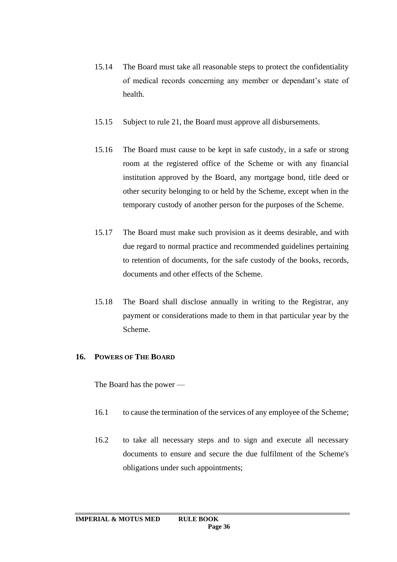- 15.14 The Board must take all reasonable steps to protect the confidentiality of medical records concerning any member or dependant's state of health.
- 15.15 Subject to rule 21, the Board must approve all disbursements.
- 15.16 The Board must cause to be kept in safe custody, in a safe or strong room at the registered office of the Scheme or with any financial institution approved by the Board, any mortgage bond, title deed or other security belonging to or held by the Scheme, except when in the temporary custody of another person for the purposes of the Scheme.
- 15.17 The Board must make such provision as it deems desirable, and with due regard to normal practice and recommended guidelines pertaining to retention of documents, for the safe custody of the books, records, documents and other effects of the Scheme.
- 15.18 The Board shall disclose annually in writing to the Registrar, any payment or considerations made to them in that particular year by the Scheme.

## **16. POWERS OF THE BOARD**

The Board has the power —

- 16.1 to cause the termination of the services of any employee of the Scheme;
- 16.2 to take all necessary steps and to sign and execute all necessary documents to ensure and secure the due fulfilment of the Scheme's obligations under such appointments;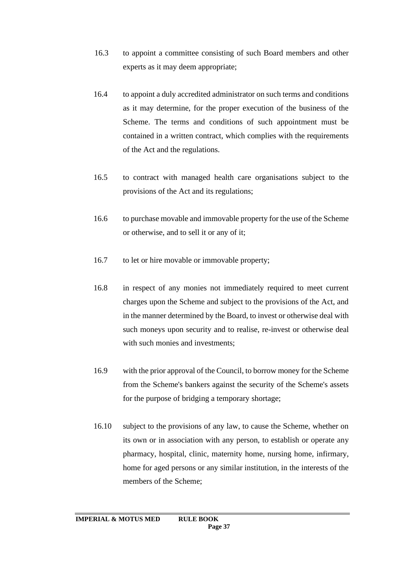- 16.3 to appoint a committee consisting of such Board members and other experts as it may deem appropriate;
- 16.4 to appoint a duly accredited administrator on such terms and conditions as it may determine, for the proper execution of the business of the Scheme. The terms and conditions of such appointment must be contained in a written contract, which complies with the requirements of the Act and the regulations.
- 16.5 to contract with managed health care organisations subject to the provisions of the Act and its regulations;
- 16.6 to purchase movable and immovable property for the use of the Scheme or otherwise, and to sell it or any of it;
- 16.7 to let or hire movable or immovable property;
- 16.8 in respect of any monies not immediately required to meet current charges upon the Scheme and subject to the provisions of the Act, and in the manner determined by the Board, to invest or otherwise deal with such moneys upon security and to realise, re-invest or otherwise deal with such monies and investments;
- 16.9 with the prior approval of the Council, to borrow money for the Scheme from the Scheme's bankers against the security of the Scheme's assets for the purpose of bridging a temporary shortage;
- 16.10 subject to the provisions of any law, to cause the Scheme, whether on its own or in association with any person, to establish or operate any pharmacy, hospital, clinic, maternity home, nursing home, infirmary, home for aged persons or any similar institution, in the interests of the members of the Scheme;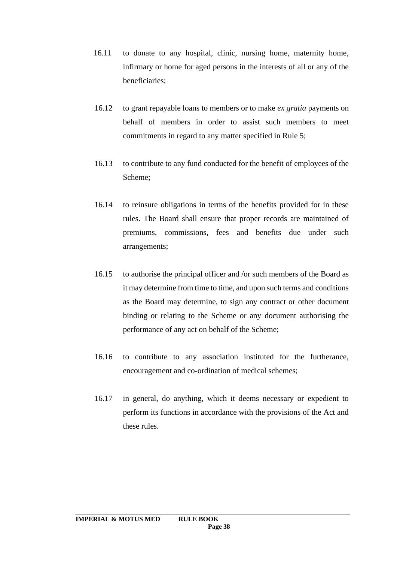- 16.11 to donate to any hospital, clinic, nursing home, maternity home, infirmary or home for aged persons in the interests of all or any of the beneficiaries;
- 16.12 to grant repayable loans to members or to make *ex gratia* payments on behalf of members in order to assist such members to meet commitments in regard to any matter specified in Rule 5;
- 16.13 to contribute to any fund conducted for the benefit of employees of the Scheme;
- 16.14 to reinsure obligations in terms of the benefits provided for in these rules. The Board shall ensure that proper records are maintained of premiums, commissions, fees and benefits due under such arrangements;
- 16.15 to authorise the principal officer and /or such members of the Board as it may determine from time to time, and upon such terms and conditions as the Board may determine, to sign any contract or other document binding or relating to the Scheme or any document authorising the performance of any act on behalf of the Scheme;
- 16.16 to contribute to any association instituted for the furtherance, encouragement and co-ordination of medical schemes;
- 16.17 in general, do anything, which it deems necessary or expedient to perform its functions in accordance with the provisions of the Act and these rules.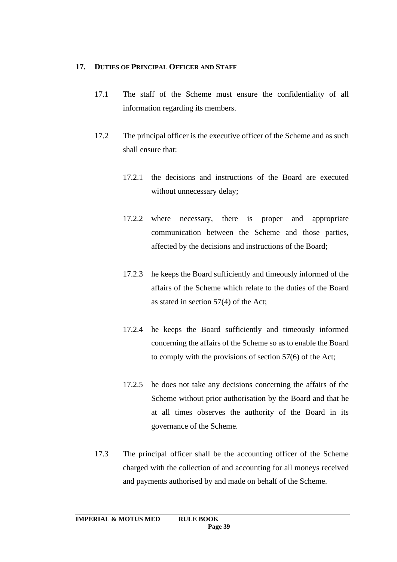## **17. DUTIES OF PRINCIPAL OFFICER AND STAFF**

- 17.1 The staff of the Scheme must ensure the confidentiality of all information regarding its members.
- 17.2 The principal officer is the executive officer of the Scheme and as such shall ensure that:
	- 17.2.1 the decisions and instructions of the Board are executed without unnecessary delay;
	- 17.2.2 where necessary, there is proper and appropriate communication between the Scheme and those parties, affected by the decisions and instructions of the Board;
	- 17.2.3 he keeps the Board sufficiently and timeously informed of the affairs of the Scheme which relate to the duties of the Board as stated in section 57(4) of the Act;
	- 17.2.4 he keeps the Board sufficiently and timeously informed concerning the affairs of the Scheme so as to enable the Board to comply with the provisions of section 57(6) of the Act;
	- 17.2.5 he does not take any decisions concerning the affairs of the Scheme without prior authorisation by the Board and that he at all times observes the authority of the Board in its governance of the Scheme.
- 17.3 The principal officer shall be the accounting officer of the Scheme charged with the collection of and accounting for all moneys received and payments authorised by and made on behalf of the Scheme.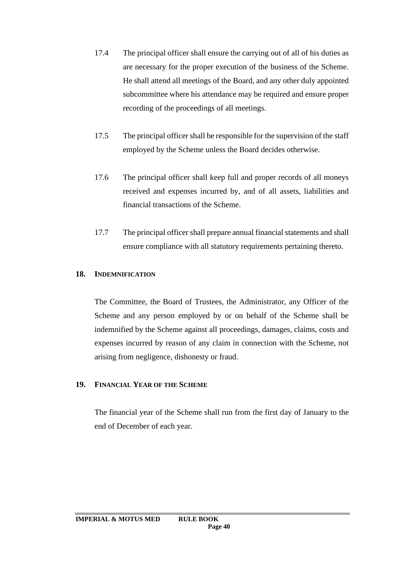- 17.4 The principal officer shall ensure the carrying out of all of his duties as are necessary for the proper execution of the business of the Scheme. He shall attend all meetings of the Board, and any other duly appointed subcommittee where his attendance may be required and ensure proper recording of the proceedings of all meetings.
- 17.5 The principal officer shall be responsible for the supervision of the staff employed by the Scheme unless the Board decides otherwise.
- 17.6 The principal officer shall keep full and proper records of all moneys received and expenses incurred by, and of all assets, liabilities and financial transactions of the Scheme.
- 17.7 The principal officer shall prepare annual financial statements and shall ensure compliance with all statutory requirements pertaining thereto.

## **18. INDEMNIFICATION**

The Committee, the Board of Trustees, the Administrator, any Officer of the Scheme and any person employed by or on behalf of the Scheme shall be indemnified by the Scheme against all proceedings, damages, claims, costs and expenses incurred by reason of any claim in connection with the Scheme, not arising from negligence, dishonesty or fraud.

### **19. FINANCIAL YEAR OF THE SCHEME**

The financial year of the Scheme shall run from the first day of January to the end of December of each year.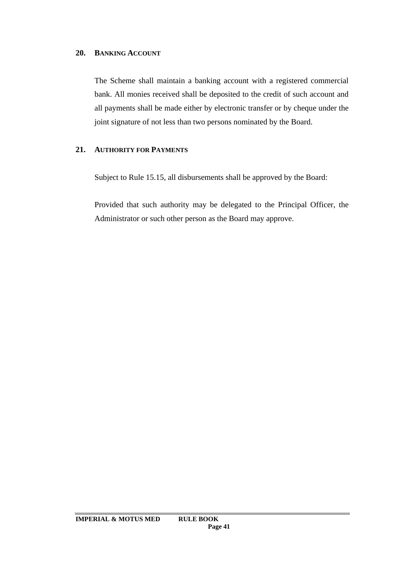## **20. BANKING ACCOUNT**

The Scheme shall maintain a banking account with a registered commercial bank. All monies received shall be deposited to the credit of such account and all payments shall be made either by electronic transfer or by cheque under the joint signature of not less than two persons nominated by the Board.

## **21. AUTHORITY FOR PAYMENTS**

Subject to Rule 15.15, all disbursements shall be approved by the Board:

Provided that such authority may be delegated to the Principal Officer, the Administrator or such other person as the Board may approve.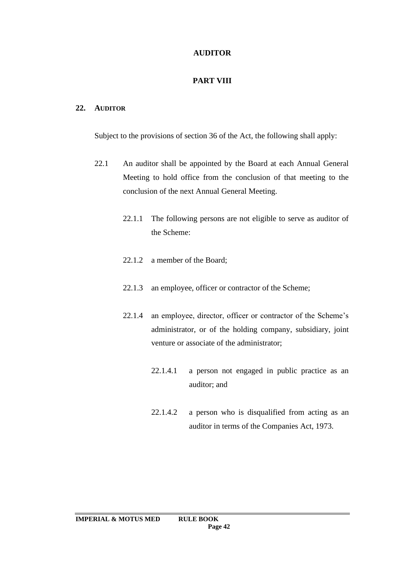# **AUDITOR**

# **PART VIII**

## **22. AUDITOR**

Subject to the provisions of section 36 of the Act, the following shall apply:

- 22.1 An auditor shall be appointed by the Board at each Annual General Meeting to hold office from the conclusion of that meeting to the conclusion of the next Annual General Meeting.
	- 22.1.1 The following persons are not eligible to serve as auditor of the Scheme:
	- 22.1.2 a member of the Board;
	- 22.1.3 an employee, officer or contractor of the Scheme;
	- 22.1.4 an employee, director, officer or contractor of the Scheme's administrator, or of the holding company, subsidiary, joint venture or associate of the administrator;
		- 22.1.4.1 a person not engaged in public practice as an auditor; and
		- 22.1.4.2 a person who is disqualified from acting as an auditor in terms of the Companies Act, 1973.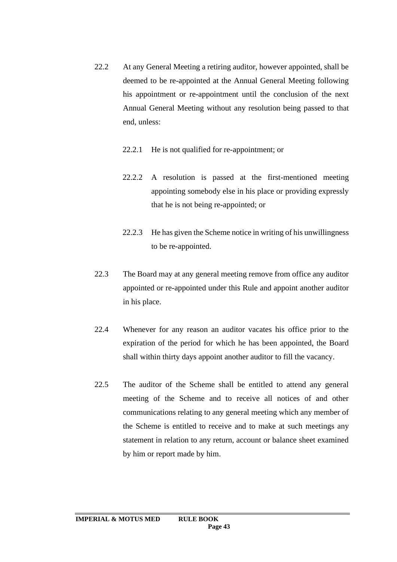- 22.2 At any General Meeting a retiring auditor, however appointed, shall be deemed to be re-appointed at the Annual General Meeting following his appointment or re-appointment until the conclusion of the next Annual General Meeting without any resolution being passed to that end, unless:
	- 22.2.1 He is not qualified for re-appointment; or
	- 22.2.2 A resolution is passed at the first-mentioned meeting appointing somebody else in his place or providing expressly that he is not being re-appointed; or
	- 22.2.3 He has given the Scheme notice in writing of his unwillingness to be re-appointed.
- 22.3 The Board may at any general meeting remove from office any auditor appointed or re-appointed under this Rule and appoint another auditor in his place.
- 22.4 Whenever for any reason an auditor vacates his office prior to the expiration of the period for which he has been appointed, the Board shall within thirty days appoint another auditor to fill the vacancy.
- 22.5 The auditor of the Scheme shall be entitled to attend any general meeting of the Scheme and to receive all notices of and other communications relating to any general meeting which any member of the Scheme is entitled to receive and to make at such meetings any statement in relation to any return, account or balance sheet examined by him or report made by him.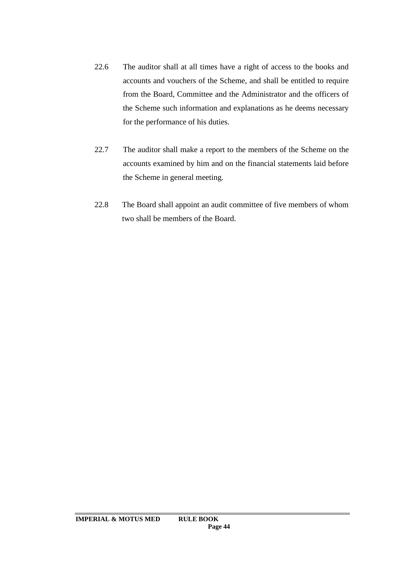- 22.6 The auditor shall at all times have a right of access to the books and accounts and vouchers of the Scheme, and shall be entitled to require from the Board, Committee and the Administrator and the officers of the Scheme such information and explanations as he deems necessary for the performance of his duties.
- 22.7 The auditor shall make a report to the members of the Scheme on the accounts examined by him and on the financial statements laid before the Scheme in general meeting.
- 22.8 The Board shall appoint an audit committee of five members of whom two shall be members of the Board.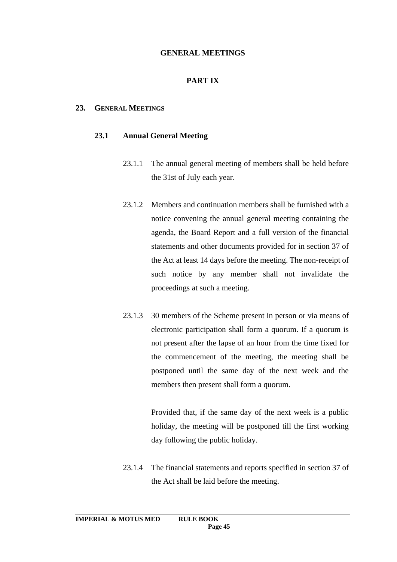## **GENERAL MEETINGS**

## **PART IX**

#### **23. GENERAL MEETINGS**

#### **23.1 Annual General Meeting**

- 23.1.1 The annual general meeting of members shall be held before the 31st of July each year.
- 23.1.2 Members and continuation members shall be furnished with a notice convening the annual general meeting containing the agenda, the Board Report and a full version of the financial statements and other documents provided for in section 37 of the Act at least 14 days before the meeting. The non-receipt of such notice by any member shall not invalidate the proceedings at such a meeting.
- 23.1.3 30 members of the Scheme present in person or via means of electronic participation shall form a quorum. If a quorum is not present after the lapse of an hour from the time fixed for the commencement of the meeting, the meeting shall be postponed until the same day of the next week and the members then present shall form a quorum.

Provided that, if the same day of the next week is a public holiday, the meeting will be postponed till the first working day following the public holiday.

23.1.4 The financial statements and reports specified in section 37 of the Act shall be laid before the meeting.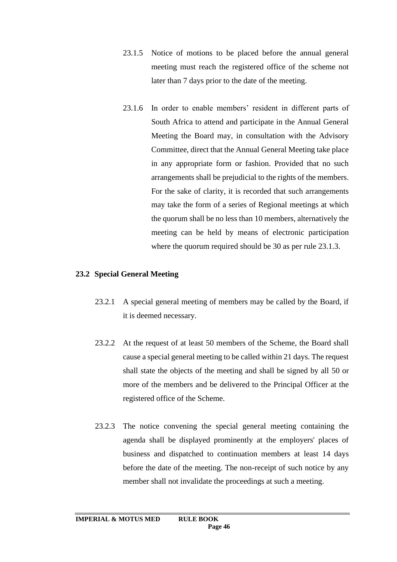- 23.1.5 Notice of motions to be placed before the annual general meeting must reach the registered office of the scheme not later than 7 days prior to the date of the meeting.
- 23.1.6 In order to enable members' resident in different parts of South Africa to attend and participate in the Annual General Meeting the Board may, in consultation with the Advisory Committee, direct that the Annual General Meeting take place in any appropriate form or fashion. Provided that no such arrangements shall be prejudicial to the rights of the members. For the sake of clarity, it is recorded that such arrangements may take the form of a series of Regional meetings at which the quorum shall be no less than 10 members, alternatively the meeting can be held by means of electronic participation where the quorum required should be 30 as per rule 23.1.3.

### **23.2 Special General Meeting**

- 23.2.1 A special general meeting of members may be called by the Board, if it is deemed necessary.
- 23.2.2 At the request of at least 50 members of the Scheme, the Board shall cause a special general meeting to be called within 21 days. The request shall state the objects of the meeting and shall be signed by all 50 or more of the members and be delivered to the Principal Officer at the registered office of the Scheme.
- 23.2.3 The notice convening the special general meeting containing the agenda shall be displayed prominently at the employers' places of business and dispatched to continuation members at least 14 days before the date of the meeting. The non-receipt of such notice by any member shall not invalidate the proceedings at such a meeting.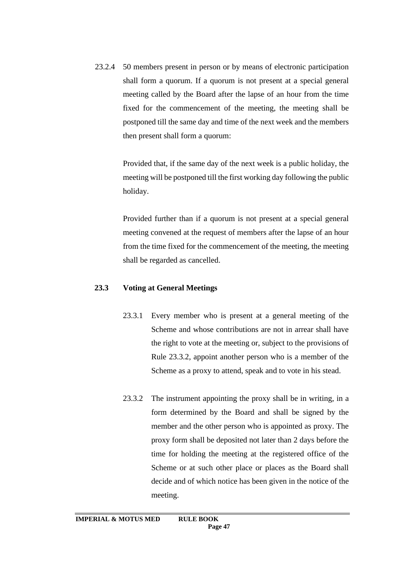23.2.4 50 members present in person or by means of electronic participation shall form a quorum. If a quorum is not present at a special general meeting called by the Board after the lapse of an hour from the time fixed for the commencement of the meeting, the meeting shall be postponed till the same day and time of the next week and the members then present shall form a quorum:

> Provided that, if the same day of the next week is a public holiday, the meeting will be postponed till the first working day following the public holiday.

> Provided further than if a quorum is not present at a special general meeting convened at the request of members after the lapse of an hour from the time fixed for the commencement of the meeting, the meeting shall be regarded as cancelled.

### **23.3 Voting at General Meetings**

- 23.3.1 Every member who is present at a general meeting of the Scheme and whose contributions are not in arrear shall have the right to vote at the meeting or, subject to the provisions of Rule 23.3.2, appoint another person who is a member of the Scheme as a proxy to attend, speak and to vote in his stead.
- 23.3.2 The instrument appointing the proxy shall be in writing, in a form determined by the Board and shall be signed by the member and the other person who is appointed as proxy. The proxy form shall be deposited not later than 2 days before the time for holding the meeting at the registered office of the Scheme or at such other place or places as the Board shall decide and of which notice has been given in the notice of the meeting.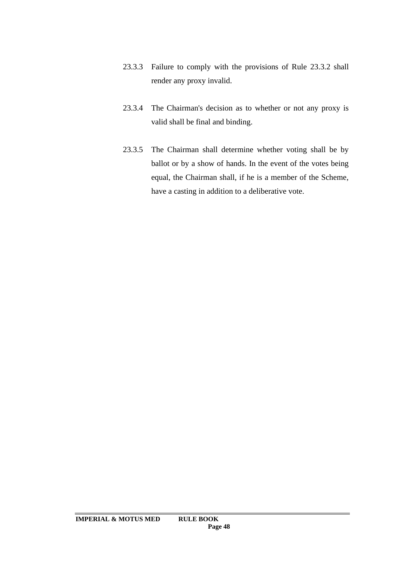- 23.3.3 Failure to comply with the provisions of Rule 23.3.2 shall render any proxy invalid.
- 23.3.4 The Chairman's decision as to whether or not any proxy is valid shall be final and binding.
- 23.3.5 The Chairman shall determine whether voting shall be by ballot or by a show of hands. In the event of the votes being equal, the Chairman shall, if he is a member of the Scheme, have a casting in addition to a deliberative vote.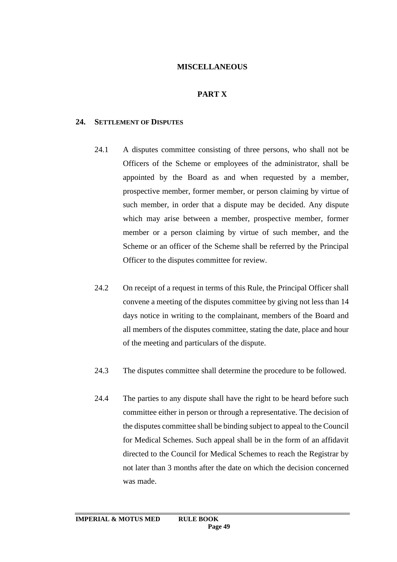#### **MISCELLANEOUS**

## **PART X**

#### **24. SETTLEMENT OF DISPUTES**

- 24.1 A disputes committee consisting of three persons, who shall not be Officers of the Scheme or employees of the administrator, shall be appointed by the Board as and when requested by a member, prospective member, former member, or person claiming by virtue of such member, in order that a dispute may be decided. Any dispute which may arise between a member, prospective member, former member or a person claiming by virtue of such member, and the Scheme or an officer of the Scheme shall be referred by the Principal Officer to the disputes committee for review.
- 24.2 On receipt of a request in terms of this Rule, the Principal Officer shall convene a meeting of the disputes committee by giving not less than 14 days notice in writing to the complainant, members of the Board and all members of the disputes committee, stating the date, place and hour of the meeting and particulars of the dispute.
- 24.3 The disputes committee shall determine the procedure to be followed.
- 24.4 The parties to any dispute shall have the right to be heard before such committee either in person or through a representative. The decision of the disputes committee shall be binding subject to appeal to the Council for Medical Schemes. Such appeal shall be in the form of an affidavit directed to the Council for Medical Schemes to reach the Registrar by not later than 3 months after the date on which the decision concerned was made.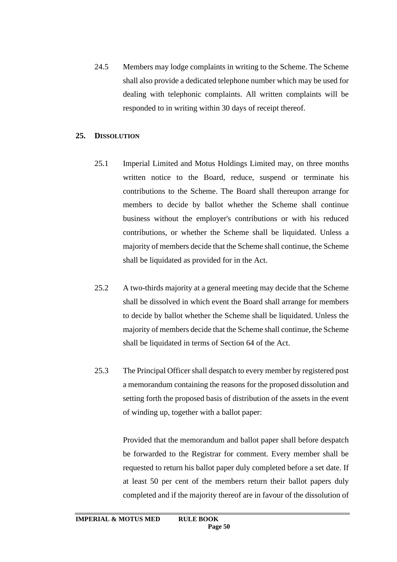24.5 Members may lodge complaints in writing to the Scheme. The Scheme shall also provide a dedicated telephone number which may be used for dealing with telephonic complaints. All written complaints will be responded to in writing within 30 days of receipt thereof.

#### **25. DISSOLUTION**

- 25.1 Imperial Limited and Motus Holdings Limited may, on three months written notice to the Board, reduce, suspend or terminate his contributions to the Scheme. The Board shall thereupon arrange for members to decide by ballot whether the Scheme shall continue business without the employer's contributions or with his reduced contributions, or whether the Scheme shall be liquidated. Unless a majority of members decide that the Scheme shall continue, the Scheme shall be liquidated as provided for in the Act.
- 25.2 A two-thirds majority at a general meeting may decide that the Scheme shall be dissolved in which event the Board shall arrange for members to decide by ballot whether the Scheme shall be liquidated. Unless the majority of members decide that the Scheme shall continue, the Scheme shall be liquidated in terms of Section 64 of the Act.
- 25.3 The Principal Officer shall despatch to every member by registered post a memorandum containing the reasons for the proposed dissolution and setting forth the proposed basis of distribution of the assets in the event of winding up, together with a ballot paper:

Provided that the memorandum and ballot paper shall before despatch be forwarded to the Registrar for comment. Every member shall be requested to return his ballot paper duly completed before a set date. If at least 50 per cent of the members return their ballot papers duly completed and if the majority thereof are in favour of the dissolution of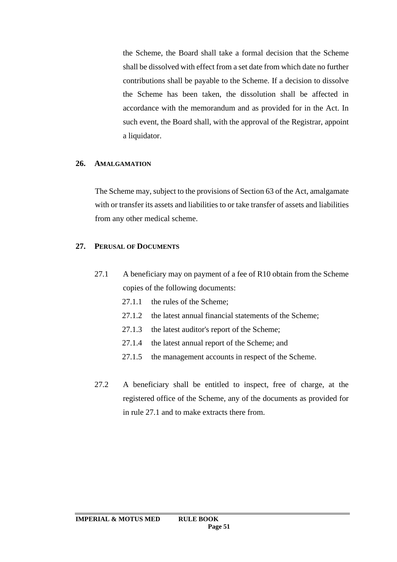the Scheme, the Board shall take a formal decision that the Scheme shall be dissolved with effect from a set date from which date no further contributions shall be payable to the Scheme. If a decision to dissolve the Scheme has been taken, the dissolution shall be affected in accordance with the memorandum and as provided for in the Act. In such event, the Board shall, with the approval of the Registrar, appoint a liquidator.

#### **26. AMALGAMATION**

The Scheme may, subject to the provisions of Section 63 of the Act, amalgamate with or transfer its assets and liabilities to or take transfer of assets and liabilities from any other medical scheme.

#### **27. PERUSAL OF DOCUMENTS**

- 27.1 A beneficiary may on payment of a fee of R10 obtain from the Scheme copies of the following documents:
	- 27.1.1 the rules of the Scheme;
	- 27.1.2 the latest annual financial statements of the Scheme;
	- 27.1.3 the latest auditor's report of the Scheme;
	- 27.1.4 the latest annual report of the Scheme; and
	- 27.1.5 the management accounts in respect of the Scheme.
- 27.2 A beneficiary shall be entitled to inspect, free of charge, at the registered office of the Scheme, any of the documents as provided for in rule 27.1 and to make extracts there from.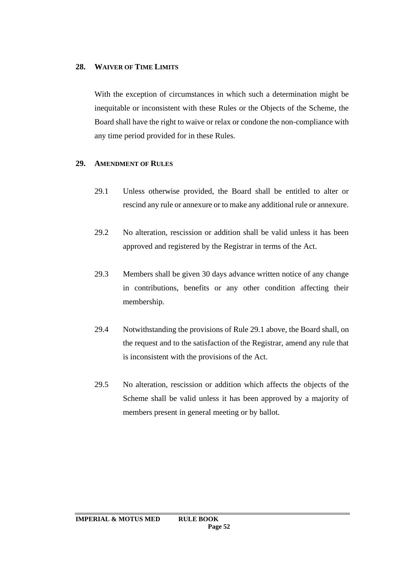## **28. WAIVER OF TIME LIMITS**

With the exception of circumstances in which such a determination might be inequitable or inconsistent with these Rules or the Objects of the Scheme, the Board shall have the right to waive or relax or condone the non-compliance with any time period provided for in these Rules.

## **29. AMENDMENT OF RULES**

- 29.1 Unless otherwise provided, the Board shall be entitled to alter or rescind any rule or annexure or to make any additional rule or annexure.
- 29.2 No alteration, rescission or addition shall be valid unless it has been approved and registered by the Registrar in terms of the Act.
- 29.3 Members shall be given 30 days advance written notice of any change in contributions, benefits or any other condition affecting their membership.
- 29.4 Notwithstanding the provisions of Rule 29.1 above, the Board shall, on the request and to the satisfaction of the Registrar, amend any rule that is inconsistent with the provisions of the Act.
- 29.5 No alteration, rescission or addition which affects the objects of the Scheme shall be valid unless it has been approved by a majority of members present in general meeting or by ballot.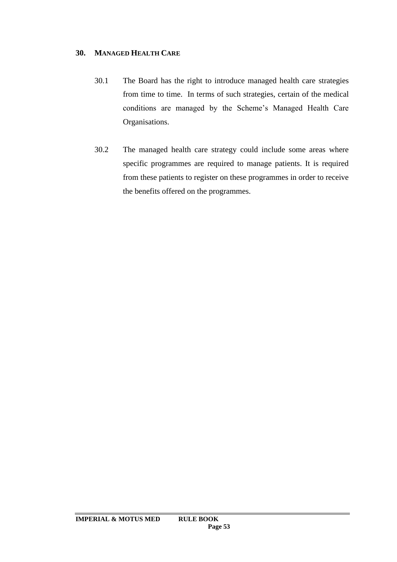## **30. MANAGED HEALTH CARE**

- 30.1 The Board has the right to introduce managed health care strategies from time to time. In terms of such strategies, certain of the medical conditions are managed by the Scheme's Managed Health Care Organisations.
- 30.2 The managed health care strategy could include some areas where specific programmes are required to manage patients. It is required from these patients to register on these programmes in order to receive the benefits offered on the programmes.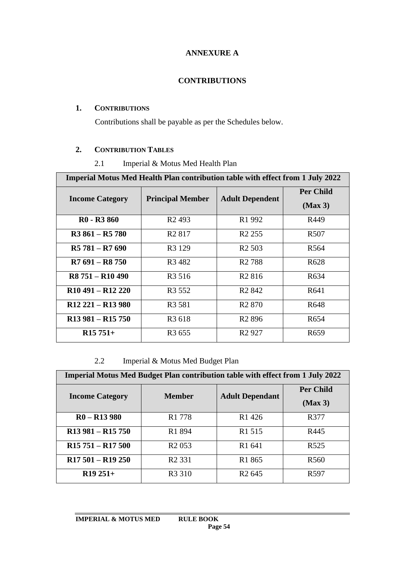# **ANNEXURE A**

## **CONTRIBUTIONS**

## **1. CONTRIBUTIONS**

Contributions shall be payable as per the Schedules below.

## **2. CONTRIBUTION TABLES**

## 2.1 Imperial & Motus Med Health Plan

| <b>Imperial Motus Med Health Plan contribution table with effect from 1 July 2022</b> |                                |                                |                             |  |
|---------------------------------------------------------------------------------------|--------------------------------|--------------------------------|-----------------------------|--|
| <b>Income Category</b>                                                                | <b>Principal Member</b>        | <b>Adult Dependent</b>         | <b>Per Child</b><br>(Max 3) |  |
| R <sub>0</sub> - R <sub>3</sub> 860                                                   | R <sub>2</sub> 493             | R <sub>1</sub> 992             | R449                        |  |
| $R3861 - R5780$                                                                       | R <sub>2</sub> 817             | R <sub>2</sub> 255             | R <sub>507</sub>            |  |
| $R5781 - R7690$                                                                       | R <sub>3</sub> 129             | R <sub>2</sub> 503             | R <sub>564</sub>            |  |
| $R7691 - R8750$                                                                       | R <sub>3</sub> 48 <sub>2</sub> | R <sub>2</sub> 788             | R <sub>628</sub>            |  |
| R <sub>8</sub> 751 – R <sub>10</sub> 490                                              | R <sub>3</sub> 516             | R <sub>2</sub> 816             | R <sub>6</sub> 34           |  |
| $R10$ 491 – $R12$ 220                                                                 | R <sub>3</sub> 552             | R <sub>2</sub> 84 <sub>2</sub> | R <sub>641</sub>            |  |
| $R12 221 - R13 980$                                                                   | R <sub>3</sub> 581             | R <sub>2</sub> 870             | R <sub>648</sub>            |  |
| $R13981 - R15750$                                                                     | R <sub>3</sub> 618             | R <sub>2</sub> 896             | R <sub>654</sub>            |  |
| $R15751+$                                                                             | R <sub>3</sub> 655             | R <sub>2</sub> 927             | R <sub>659</sub>            |  |

## 2.2 Imperial & Motus Med Budget Plan

| <b>Imperial Motus Med Budget Plan contribution table with effect from 1 July 2022</b> |                    |                        |                  |  |
|---------------------------------------------------------------------------------------|--------------------|------------------------|------------------|--|
| <b>Income Category</b>                                                                | <b>Member</b>      | <b>Adult Dependant</b> | <b>Per Child</b> |  |
|                                                                                       |                    |                        | (Max 3)          |  |
| $R0 - R13980$                                                                         | R <sub>1</sub> 778 | R <sub>1</sub> 426     | R377             |  |
| $R13981 - R15750$                                                                     | R1 894             | R <sub>1</sub> 515     | R445             |  |
| $R15751 - R17500$                                                                     | R <sub>2</sub> 053 | R1 641                 | R <sub>525</sub> |  |
| $R17501 - R19250$                                                                     | R <sub>2</sub> 331 | R <sub>1</sub> 865     | R <sub>560</sub> |  |
| $R19251+$                                                                             | R <sub>3</sub> 310 | R <sub>2</sub> 645     | R <sub>597</sub> |  |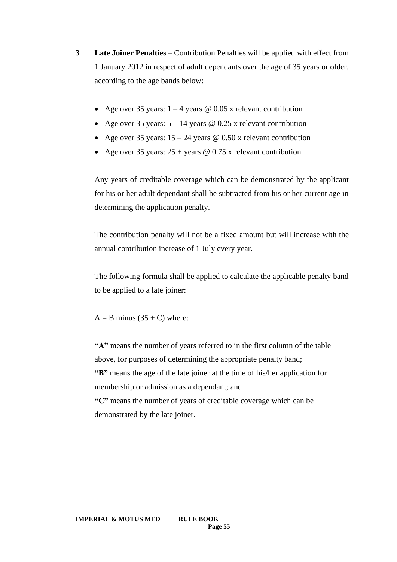- **3 Late Joiner Penalties** Contribution Penalties will be applied with effect from 1 January 2012 in respect of adult dependants over the age of 35 years or older, according to the age bands below:
	- Age over 35 years:  $1 4$  years @ 0.05 x relevant contribution
	- Age over 35 years:  $5 14$  years @ 0.25 x relevant contribution
	- Age over 35 years:  $15 24$  years @ 0.50 x relevant contribution
	- Age over 35 years:  $25 + \text{years}$  @ 0.75 x relevant contribution

Any years of creditable coverage which can be demonstrated by the applicant for his or her adult dependant shall be subtracted from his or her current age in determining the application penalty.

The contribution penalty will not be a fixed amount but will increase with the annual contribution increase of 1 July every year.

The following formula shall be applied to calculate the applicable penalty band to be applied to a late joiner:

 $A = B$  minus (35 + C) where:

**"A"** means the number of years referred to in the first column of the table above, for purposes of determining the appropriate penalty band; **"B"** means the age of the late joiner at the time of his/her application for membership or admission as a dependant; and **"C"** means the number of years of creditable coverage which can be demonstrated by the late joiner.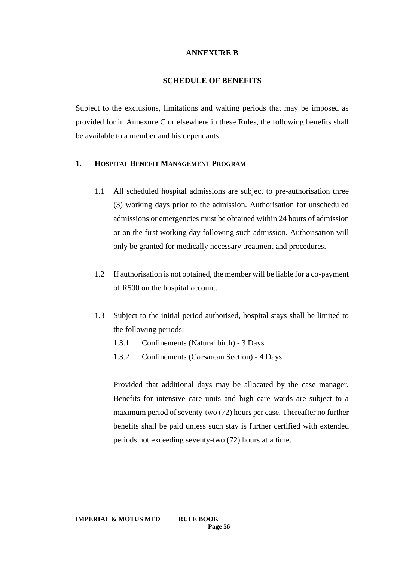## **ANNEXURE B**

## **SCHEDULE OF BENEFITS**

Subject to the exclusions, limitations and waiting periods that may be imposed as provided for in Annexure C or elsewhere in these Rules, the following benefits shall be available to a member and his dependants.

## **1. HOSPITAL BENEFIT MANAGEMENT PROGRAM**

- 1.1 All scheduled hospital admissions are subject to pre-authorisation three (3) working days prior to the admission. Authorisation for unscheduled admissions or emergencies must be obtained within 24 hours of admission or on the first working day following such admission. Authorisation will only be granted for medically necessary treatment and procedures.
- 1.2 If authorisation is not obtained, the member will be liable for a co-payment of R500 on the hospital account.
- 1.3 Subject to the initial period authorised, hospital stays shall be limited to the following periods:
	- 1.3.1 Confinements (Natural birth) 3 Days
	- 1.3.2 Confinements (Caesarean Section) 4 Days

Provided that additional days may be allocated by the case manager. Benefits for intensive care units and high care wards are subject to a maximum period of seventy-two (72) hours per case. Thereafter no further benefits shall be paid unless such stay is further certified with extended periods not exceeding seventy-two (72) hours at a time.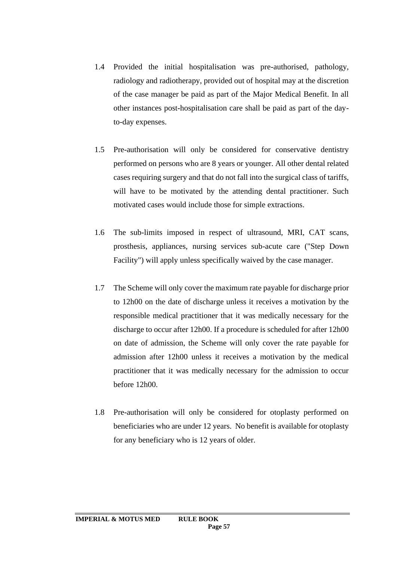- 1.4 Provided the initial hospitalisation was pre-authorised, pathology, radiology and radiotherapy, provided out of hospital may at the discretion of the case manager be paid as part of the Major Medical Benefit. In all other instances post-hospitalisation care shall be paid as part of the dayto-day expenses.
- 1.5 Pre-authorisation will only be considered for conservative dentistry performed on persons who are 8 years or younger. All other dental related cases requiring surgery and that do not fall into the surgical class of tariffs, will have to be motivated by the attending dental practitioner. Such motivated cases would include those for simple extractions.
- 1.6 The sub-limits imposed in respect of ultrasound, MRI, CAT scans, prosthesis, appliances, nursing services sub-acute care ("Step Down Facility") will apply unless specifically waived by the case manager.
- 1.7 The Scheme will only cover the maximum rate payable for discharge prior to 12h00 on the date of discharge unless it receives a motivation by the responsible medical practitioner that it was medically necessary for the discharge to occur after 12h00. If a procedure is scheduled for after 12h00 on date of admission, the Scheme will only cover the rate payable for admission after 12h00 unless it receives a motivation by the medical practitioner that it was medically necessary for the admission to occur before 12h00.
- 1.8 Pre-authorisation will only be considered for otoplasty performed on beneficiaries who are under 12 years. No benefit is available for otoplasty for any beneficiary who is 12 years of older.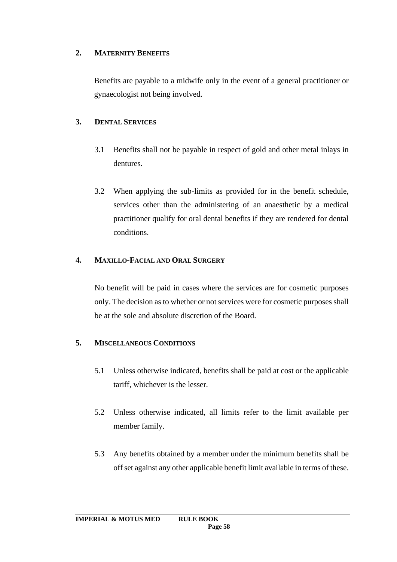## **2. MATERNITY BENEFITS**

Benefits are payable to a midwife only in the event of a general practitioner or gynaecologist not being involved.

# **3. DENTAL SERVICES**

- 3.1 Benefits shall not be payable in respect of gold and other metal inlays in dentures.
- 3.2 When applying the sub-limits as provided for in the benefit schedule, services other than the administering of an anaesthetic by a medical practitioner qualify for oral dental benefits if they are rendered for dental conditions.

# **4. MAXILLO-FACIAL AND ORAL SURGERY**

No benefit will be paid in cases where the services are for cosmetic purposes only. The decision as to whether or not services were for cosmetic purposes shall be at the sole and absolute discretion of the Board.

# **5. MISCELLANEOUS CONDITIONS**

- 5.1 Unless otherwise indicated, benefits shall be paid at cost or the applicable tariff, whichever is the lesser.
- 5.2 Unless otherwise indicated, all limits refer to the limit available per member family.
- 5.3 Any benefits obtained by a member under the minimum benefits shall be off set against any other applicable benefit limit available in terms of these.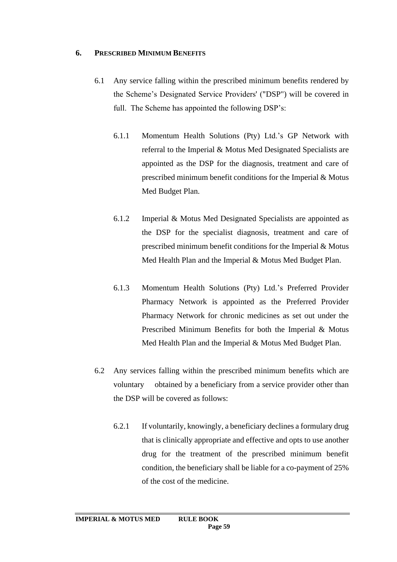## **6. PRESCRIBED MINIMUM BENEFITS**

- 6.1 Any service falling within the prescribed minimum benefits rendered by the Scheme's Designated Service Providers' ("DSP") will be covered in full. The Scheme has appointed the following DSP's:
	- 6.1.1 Momentum Health Solutions (Pty) Ltd.'s GP Network with referral to the Imperial & Motus Med Designated Specialists are appointed as the DSP for the diagnosis, treatment and care of prescribed minimum benefit conditions for the Imperial & Motus Med Budget Plan.
	- 6.1.2 Imperial & Motus Med Designated Specialists are appointed as the DSP for the specialist diagnosis, treatment and care of prescribed minimum benefit conditions for the Imperial & Motus Med Health Plan and the Imperial & Motus Med Budget Plan.
	- 6.1.3 Momentum Health Solutions (Pty) Ltd.'s Preferred Provider Pharmacy Network is appointed as the Preferred Provider Pharmacy Network for chronic medicines as set out under the Prescribed Minimum Benefits for both the Imperial & Motus Med Health Plan and the Imperial & Motus Med Budget Plan.
- 6.2 Any services falling within the prescribed minimum benefits which are voluntary obtained by a beneficiary from a service provider other than the DSP will be covered as follows:
	- 6.2.1 If voluntarily, knowingly, a beneficiary declines a formulary drug that is clinically appropriate and effective and opts to use another drug for the treatment of the prescribed minimum benefit condition, the beneficiary shall be liable for a co-payment of 25% of the cost of the medicine.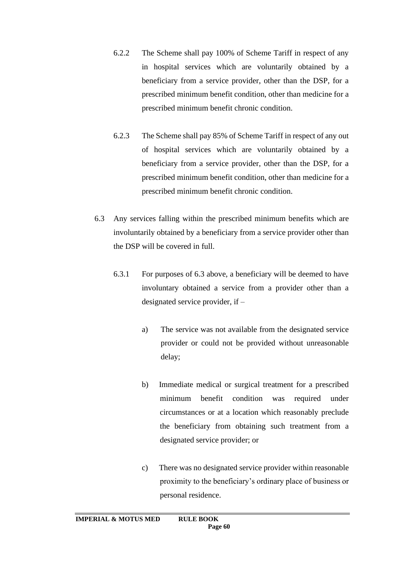- 6.2.2 The Scheme shall pay 100% of Scheme Tariff in respect of any in hospital services which are voluntarily obtained by a beneficiary from a service provider, other than the DSP, for a prescribed minimum benefit condition, other than medicine for a prescribed minimum benefit chronic condition.
- 6.2.3 The Scheme shall pay 85% of Scheme Tariff in respect of any out of hospital services which are voluntarily obtained by a beneficiary from a service provider, other than the DSP, for a prescribed minimum benefit condition, other than medicine for a prescribed minimum benefit chronic condition.
- 6.3 Any services falling within the prescribed minimum benefits which are involuntarily obtained by a beneficiary from a service provider other than the DSP will be covered in full.
	- 6.3.1 For purposes of 6.3 above, a beneficiary will be deemed to have involuntary obtained a service from a provider other than a designated service provider, if –
		- a) The service was not available from the designated service provider or could not be provided without unreasonable delay;
		- b) Immediate medical or surgical treatment for a prescribed minimum benefit condition was required under circumstances or at a location which reasonably preclude the beneficiary from obtaining such treatment from a designated service provider; or
		- c) There was no designated service provider within reasonable proximity to the beneficiary's ordinary place of business or personal residence.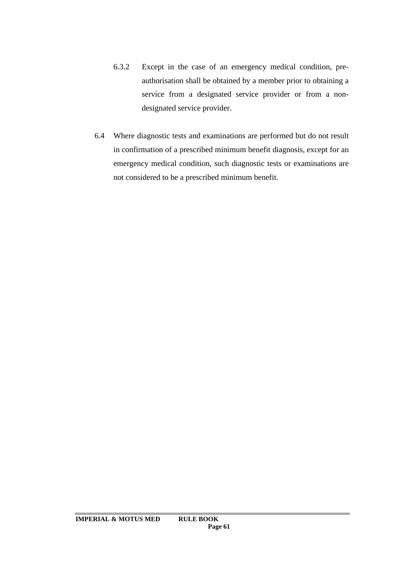- 6.3.2 Except in the case of an emergency medical condition, preauthorisation shall be obtained by a member prior to obtaining a service from a designated service provider or from a nondesignated service provider.
- 6.4 Where diagnostic tests and examinations are performed but do not result in confirmation of a prescribed minimum benefit diagnosis, except for an emergency medical condition, such diagnostic tests or examinations are not considered to be a prescribed minimum benefit.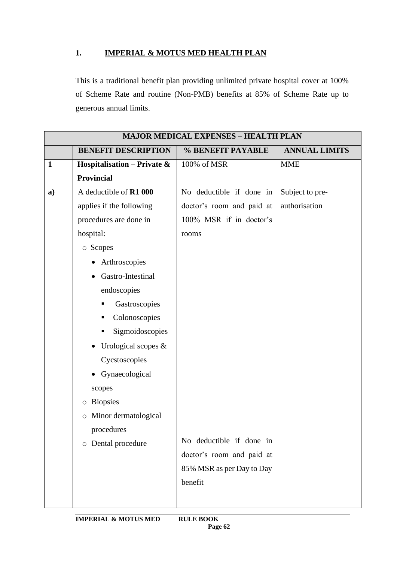# **1. IMPERIAL & MOTUS MED HEALTH PLAN**

This is a traditional benefit plan providing unlimited private hospital cover at 100% of Scheme Rate and routine (Non-PMB) benefits at 85% of Scheme Rate up to generous annual limits.

| <b>MAJOR MEDICAL EXPENSES - HEALTH PLAN</b> |                                             |                           |                      |  |
|---------------------------------------------|---------------------------------------------|---------------------------|----------------------|--|
|                                             | <b>BENEFIT DESCRIPTION</b>                  | % BENEFIT PAYABLE         | <b>ANNUAL LIMITS</b> |  |
| $\mathbf{1}$                                | Hospitalisation – Private $\&$              | 100% of MSR               | <b>MME</b>           |  |
|                                             | <b>Provincial</b>                           |                           |                      |  |
| a)                                          | A deductible of R1 000                      | No deductible if done in  | Subject to pre-      |  |
|                                             | applies if the following                    | doctor's room and paid at | authorisation        |  |
|                                             | procedures are done in                      | 100% MSR if in doctor's   |                      |  |
|                                             | hospital:                                   | rooms                     |                      |  |
|                                             | o Scopes                                    |                           |                      |  |
|                                             | Arthroscopies                               |                           |                      |  |
|                                             | Gastro-Intestinal                           |                           |                      |  |
|                                             | endoscopies                                 |                           |                      |  |
|                                             | Gastroscopies                               |                           |                      |  |
|                                             | Colonoscopies<br>п                          |                           |                      |  |
|                                             | Sigmoidoscopies<br>п                        |                           |                      |  |
|                                             | Urological scopes &<br>$\bullet$            |                           |                      |  |
|                                             | Cycstoscopies                               |                           |                      |  |
|                                             | Gynaecological                              |                           |                      |  |
|                                             | scopes                                      |                           |                      |  |
|                                             | <b>Biopsies</b><br>$\circ$                  |                           |                      |  |
|                                             | Minor dermatological<br>$\circlearrowright$ |                           |                      |  |
|                                             | procedures                                  |                           |                      |  |
|                                             | o Dental procedure                          | No deductible if done in  |                      |  |
|                                             |                                             | doctor's room and paid at |                      |  |
|                                             |                                             | 85% MSR as per Day to Day |                      |  |
|                                             |                                             | benefit                   |                      |  |
|                                             |                                             |                           |                      |  |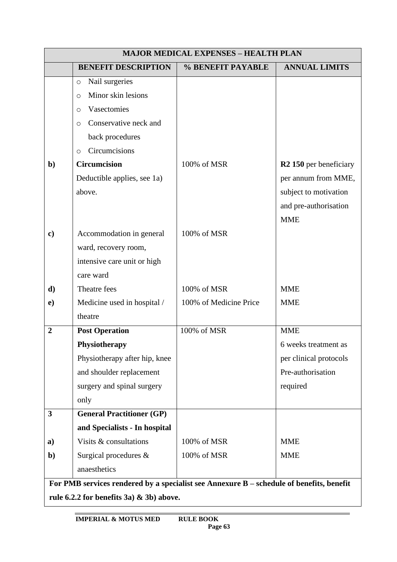| <b>MAJOR MEDICAL EXPENSES - HEALTH PLAN</b> |                                                                                          |                        |                                    |  |
|---------------------------------------------|------------------------------------------------------------------------------------------|------------------------|------------------------------------|--|
|                                             | <b>BENEFIT DESCRIPTION</b>                                                               | % BENEFIT PAYABLE      | <b>ANNUAL LIMITS</b>               |  |
|                                             | Nail surgeries<br>$\circ$                                                                |                        |                                    |  |
|                                             | Minor skin lesions<br>$\circ$                                                            |                        |                                    |  |
|                                             | Vasectomies<br>$\circ$                                                                   |                        |                                    |  |
|                                             | Conservative neck and<br>$\circ$                                                         |                        |                                    |  |
|                                             | back procedures                                                                          |                        |                                    |  |
|                                             | Circumcisions<br>$\circ$                                                                 |                        |                                    |  |
| $\mathbf{b}$                                | <b>Circumcision</b>                                                                      | 100% of MSR            | R <sub>2</sub> 150 per beneficiary |  |
|                                             | Deductible applies, see 1a)                                                              |                        | per annum from MME,                |  |
|                                             | above.                                                                                   |                        | subject to motivation              |  |
|                                             |                                                                                          |                        | and pre-authorisation              |  |
|                                             |                                                                                          |                        | <b>MME</b>                         |  |
| $\bf c)$                                    | Accommodation in general                                                                 | 100% of MSR            |                                    |  |
|                                             | ward, recovery room,                                                                     |                        |                                    |  |
|                                             | intensive care unit or high                                                              |                        |                                    |  |
|                                             | care ward                                                                                |                        |                                    |  |
| d)                                          | Theatre fees                                                                             | 100% of MSR            | <b>MME</b>                         |  |
| $\bf e)$                                    | Medicine used in hospital /                                                              | 100% of Medicine Price | <b>MME</b>                         |  |
|                                             | theatre                                                                                  |                        |                                    |  |
| $\boldsymbol{2}$                            | <b>Post Operation</b>                                                                    | 100% of MSR            | <b>MME</b>                         |  |
|                                             | Physiotherapy                                                                            |                        | 6 weeks treatment as               |  |
|                                             | Physiotherapy after hip, knee                                                            |                        | per clinical protocols             |  |
|                                             | and shoulder replacement                                                                 |                        | Pre-authorisation                  |  |
|                                             | surgery and spinal surgery                                                               |                        | required                           |  |
|                                             | only                                                                                     |                        |                                    |  |
| 3                                           | <b>General Practitioner (GP)</b>                                                         |                        |                                    |  |
|                                             | and Specialists - In hospital                                                            |                        |                                    |  |
| a)                                          | Visits & consultations                                                                   | 100% of MSR            | <b>MME</b>                         |  |
| $\mathbf{b}$                                | Surgical procedures $\&$                                                                 | 100% of MSR            | <b>MME</b>                         |  |
|                                             | anaesthetics                                                                             |                        |                                    |  |
|                                             | For PMB services rendered by a specialist see Annexure B - schedule of benefits, benefit |                        |                                    |  |

**rule 6.2.2 for benefits 3a) & 3b) above.**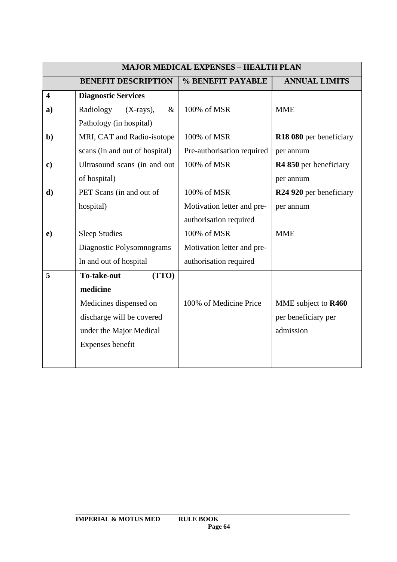| <b>MAJOR MEDICAL EXPENSES - HEALTH PLAN</b> |                                  |                            |                                     |  |
|---------------------------------------------|----------------------------------|----------------------------|-------------------------------------|--|
|                                             | <b>BENEFIT DESCRIPTION</b>       | % BENEFIT PAYABLE          | <b>ANNUAL LIMITS</b>                |  |
| $\overline{\mathbf{4}}$                     | <b>Diagnostic Services</b>       |                            |                                     |  |
| a)                                          | Radiology<br>$(X-rays),$<br>$\&$ | 100% of MSR                | <b>MME</b>                          |  |
|                                             | Pathology (in hospital)          |                            |                                     |  |
| $\mathbf{b}$                                | MRI, CAT and Radio-isotope       | 100% of MSR                | R18 080 per beneficiary             |  |
|                                             | scans (in and out of hospital)   | Pre-authorisation required | per annum                           |  |
| $\mathbf{c})$                               | Ultrasound scans (in and out     | 100% of MSR                | R4 850 per beneficiary              |  |
|                                             | of hospital)                     |                            | per annum                           |  |
| d)                                          | PET Scans (in and out of         | 100% of MSR                | R <sub>24</sub> 920 per beneficiary |  |
|                                             | hospital)                        | Motivation letter and pre- | per annum                           |  |
|                                             |                                  | authorisation required     |                                     |  |
| $\mathbf{e})$                               | <b>Sleep Studies</b>             | 100% of MSR                | <b>MME</b>                          |  |
|                                             | Diagnostic Polysomnograms        | Motivation letter and pre- |                                     |  |
|                                             | In and out of hospital           | authorisation required     |                                     |  |
| 5                                           | (TTO)<br><b>To-take-out</b>      |                            |                                     |  |
|                                             | medicine                         |                            |                                     |  |
|                                             | Medicines dispensed on           | 100% of Medicine Price     | MME subject to R460                 |  |
|                                             | discharge will be covered        |                            | per beneficiary per                 |  |
|                                             | under the Major Medical          |                            | admission                           |  |
|                                             | Expenses benefit                 |                            |                                     |  |
|                                             |                                  |                            |                                     |  |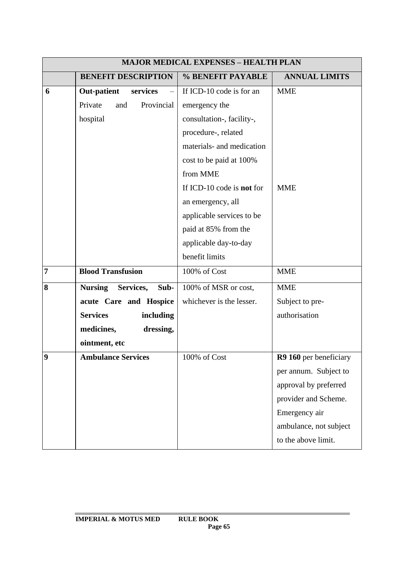|                         | <b>MAJOR MEDICAL EXPENSES - HEALTH PLAN</b> |                                  |                        |  |  |
|-------------------------|---------------------------------------------|----------------------------------|------------------------|--|--|
|                         | <b>BENEFIT DESCRIPTION</b>                  | % BENEFIT PAYABLE                | <b>ANNUAL LIMITS</b>   |  |  |
| 6                       | <b>Out-patient</b><br>services              | If ICD-10 code is for an         | <b>MME</b>             |  |  |
|                         | Private<br>Provincial<br>and                | emergency the                    |                        |  |  |
|                         | hospital                                    | consultation-, facility-,        |                        |  |  |
|                         |                                             | procedure-, related              |                        |  |  |
|                         |                                             | materials- and medication        |                        |  |  |
|                         |                                             | cost to be paid at 100%          |                        |  |  |
|                         |                                             | from MME                         |                        |  |  |
|                         |                                             | If ICD-10 code is <b>not</b> for | <b>MME</b>             |  |  |
|                         |                                             | an emergency, all                |                        |  |  |
|                         |                                             | applicable services to be        |                        |  |  |
|                         |                                             | paid at 85% from the             |                        |  |  |
|                         |                                             | applicable day-to-day            |                        |  |  |
|                         |                                             | benefit limits                   |                        |  |  |
| $\overline{7}$          | <b>Blood Transfusion</b>                    | 100% of Cost                     | <b>MME</b>             |  |  |
| 8                       | <b>Nursing</b><br>Services,<br>Sub-         | 100% of MSR or cost,             | <b>MME</b>             |  |  |
|                         | acute Care and Hospice                      | whichever is the lesser.         | Subject to pre-        |  |  |
|                         | <b>Services</b><br>including                |                                  | authorisation          |  |  |
|                         | medicines,<br>dressing,                     |                                  |                        |  |  |
|                         | ointment, etc                               |                                  |                        |  |  |
| $\overline{\mathbf{9}}$ | <b>Ambulance Services</b>                   | 100% of Cost                     | R9 160 per beneficiary |  |  |
|                         |                                             |                                  | per annum. Subject to  |  |  |
|                         |                                             |                                  | approval by preferred  |  |  |
|                         |                                             |                                  | provider and Scheme.   |  |  |
|                         |                                             |                                  | Emergency air          |  |  |
|                         |                                             |                                  | ambulance, not subject |  |  |
|                         |                                             |                                  | to the above limit.    |  |  |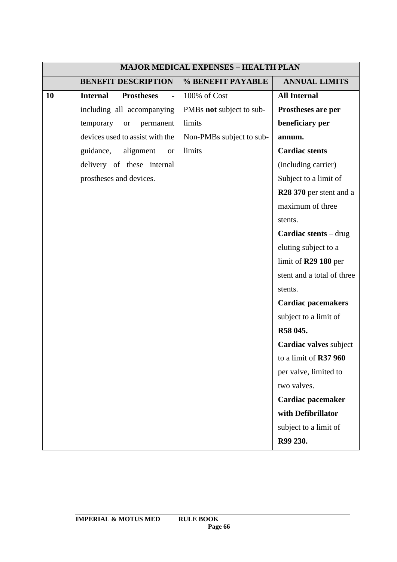| <b>MAJOR MEDICAL EXPENSES - HEALTH PLAN</b> |                                      |                          |                                     |  |
|---------------------------------------------|--------------------------------------|--------------------------|-------------------------------------|--|
|                                             | <b>BENEFIT DESCRIPTION</b>           | % BENEFIT PAYABLE        | <b>ANNUAL LIMITS</b>                |  |
| 10                                          | <b>Prostheses</b><br><b>Internal</b> | 100% of Cost             | <b>All Internal</b>                 |  |
|                                             | including all accompanying           | PMBs not subject to sub- | Prostheses are per                  |  |
|                                             | temporary<br>permanent<br><b>or</b>  | limits                   | beneficiary per                     |  |
|                                             | devices used to assist with the      | Non-PMBs subject to sub- | annum.                              |  |
|                                             | guidance,<br>alignment<br><b>or</b>  | limits                   | <b>Cardiac stents</b>               |  |
|                                             | delivery of these internal           |                          | (including carrier)                 |  |
|                                             | prostheses and devices.              |                          | Subject to a limit of               |  |
|                                             |                                      |                          | R <sub>28</sub> 370 per stent and a |  |
|                                             |                                      |                          | maximum of three                    |  |
|                                             |                                      |                          | stents.                             |  |
|                                             |                                      |                          | <b>Cardiac stents</b> $-$ drug      |  |
|                                             |                                      |                          | eluting subject to a                |  |
|                                             |                                      |                          | limit of $R29$ 180 per              |  |
|                                             |                                      |                          | stent and a total of three          |  |
|                                             |                                      |                          | stents.                             |  |
|                                             |                                      |                          | <b>Cardiac pacemakers</b>           |  |
|                                             |                                      |                          | subject to a limit of               |  |
|                                             |                                      |                          | R58 045.                            |  |
|                                             |                                      |                          | Cardiac valves subject              |  |
|                                             |                                      |                          | to a limit of R37 960               |  |
|                                             |                                      |                          | per valve, limited to               |  |
|                                             |                                      |                          | two valves.                         |  |
|                                             |                                      |                          | Cardiac pacemaker                   |  |
|                                             |                                      |                          | with Defibrillator                  |  |
|                                             |                                      |                          | subject to a limit of               |  |
|                                             |                                      |                          | R99 230.                            |  |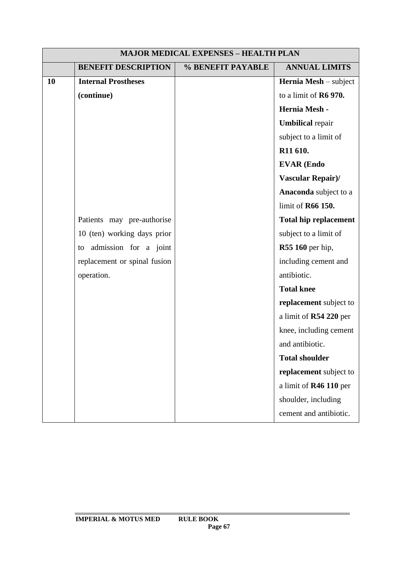| <b>MAJOR MEDICAL EXPENSES - HEALTH PLAN</b> |                              |                   |                              |
|---------------------------------------------|------------------------------|-------------------|------------------------------|
|                                             | <b>BENEFIT DESCRIPTION</b>   | % BENEFIT PAYABLE | <b>ANNUAL LIMITS</b>         |
| 10                                          | <b>Internal Prostheses</b>   |                   | Hernia Mesh - subject        |
|                                             | (continue)                   |                   | to a limit of R6 970.        |
|                                             |                              |                   | Hernia Mesh -                |
|                                             |                              |                   | <b>Umbilical</b> repair      |
|                                             |                              |                   | subject to a limit of        |
|                                             |                              |                   | R11 610.                     |
|                                             |                              |                   | <b>EVAR (Endo</b>            |
|                                             |                              |                   | <b>Vascular Repair)/</b>     |
|                                             |                              |                   | Anaconda subject to a        |
|                                             |                              |                   | limit of R66 150.            |
|                                             | Patients may pre-authorise   |                   | <b>Total hip replacement</b> |
|                                             | 10 (ten) working days prior  |                   | subject to a limit of        |
|                                             | admission for a joint<br>to  |                   | R55 160 per hip,             |
|                                             | replacement or spinal fusion |                   | including cement and         |
|                                             | operation.                   |                   | antibiotic.                  |
|                                             |                              |                   | <b>Total knee</b>            |
|                                             |                              |                   | replacement subject to       |
|                                             |                              |                   | a limit of R54 220 per       |
|                                             |                              |                   | knee, including cement       |
|                                             |                              |                   | and antibiotic.              |
|                                             |                              |                   | <b>Total shoulder</b>        |
|                                             |                              |                   | replacement subject to       |
|                                             |                              |                   | a limit of R46 110 per       |
|                                             |                              |                   | shoulder, including          |
|                                             |                              |                   | cement and antibiotic.       |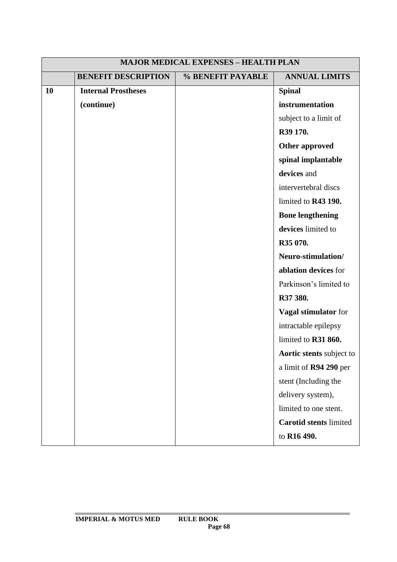| <b>MAJOR MEDICAL EXPENSES - HEALTH PLAN</b> |                            |                   |                                 |
|---------------------------------------------|----------------------------|-------------------|---------------------------------|
|                                             | <b>BENEFIT DESCRIPTION</b> | % BENEFIT PAYABLE | <b>ANNUAL LIMITS</b>            |
| <b>10</b>                                   | <b>Internal Prostheses</b> |                   | <b>Spinal</b>                   |
|                                             | (continue)                 |                   | instrumentation                 |
|                                             |                            |                   | subject to a limit of           |
|                                             |                            |                   | R39 170.                        |
|                                             |                            |                   | <b>Other approved</b>           |
|                                             |                            |                   | spinal implantable              |
|                                             |                            |                   | devices and                     |
|                                             |                            |                   | intervertebral discs            |
|                                             |                            |                   | limited to R43 190.             |
|                                             |                            |                   | <b>Bone lengthening</b>         |
|                                             |                            |                   | devices limited to              |
|                                             |                            |                   | R35 070.                        |
|                                             |                            |                   | Neuro-stimulation/              |
|                                             |                            |                   | ablation devices for            |
|                                             |                            |                   | Parkinson's limited to          |
|                                             |                            |                   | R37 380.                        |
|                                             |                            |                   | Vagal stimulator for            |
|                                             |                            |                   | intractable epilepsy            |
|                                             |                            |                   | limited to R31 860.             |
|                                             |                            |                   | <b>Aortic stents</b> subject to |
|                                             |                            |                   | a limit of R94 290 per          |
|                                             |                            |                   | stent (Including the            |
|                                             |                            |                   | delivery system),               |
|                                             |                            |                   | limited to one stent.           |
|                                             |                            |                   | <b>Carotid stents limited</b>   |
|                                             |                            |                   | to R16 490.                     |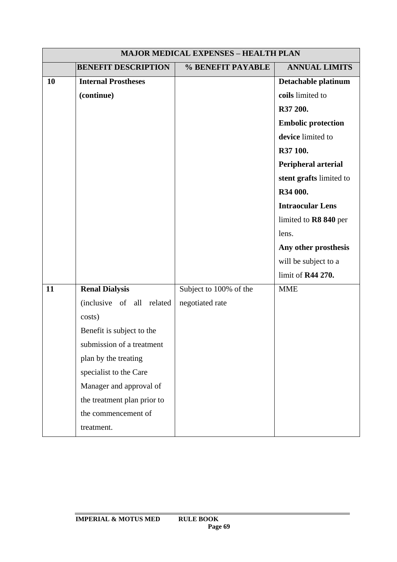|    | <b>MAJOR MEDICAL EXPENSES - HEALTH PLAN</b> |                        |                           |  |
|----|---------------------------------------------|------------------------|---------------------------|--|
|    | <b>BENEFIT DESCRIPTION</b>                  | % BENEFIT PAYABLE      | <b>ANNUAL LIMITS</b>      |  |
| 10 | <b>Internal Prostheses</b>                  |                        | Detachable platinum       |  |
|    | (continue)                                  |                        | coils limited to          |  |
|    |                                             |                        | R37 200.                  |  |
|    |                                             |                        | <b>Embolic protection</b> |  |
|    |                                             |                        | device limited to         |  |
|    |                                             |                        | R37 100.                  |  |
|    |                                             |                        | Peripheral arterial       |  |
|    |                                             |                        | stent grafts limited to   |  |
|    |                                             |                        | R34 000.                  |  |
|    |                                             |                        | <b>Intraocular Lens</b>   |  |
|    |                                             |                        | limited to R8 840 per     |  |
|    |                                             |                        | lens.                     |  |
|    |                                             |                        | Any other prosthesis      |  |
|    |                                             |                        | will be subject to a      |  |
|    |                                             |                        | limit of R44 270.         |  |
| 11 | <b>Renal Dialysis</b>                       | Subject to 100% of the | <b>MME</b>                |  |
|    | (inclusive of all related                   | negotiated rate        |                           |  |
|    | costs)                                      |                        |                           |  |
|    | Benefit is subject to the                   |                        |                           |  |
|    | submission of a treatment                   |                        |                           |  |
|    | plan by the treating                        |                        |                           |  |
|    | specialist to the Care                      |                        |                           |  |
|    | Manager and approval of                     |                        |                           |  |
|    | the treatment plan prior to                 |                        |                           |  |
|    | the commencement of                         |                        |                           |  |
|    | treatment.                                  |                        |                           |  |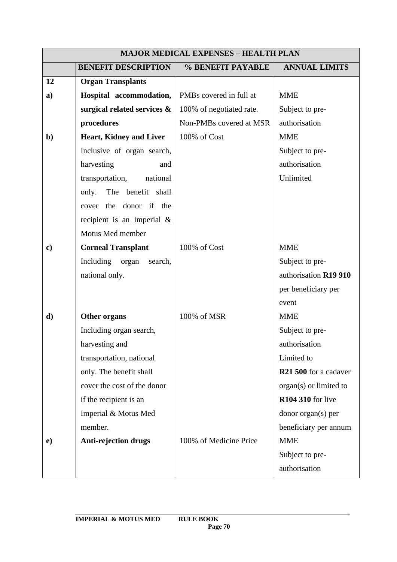|               | <b>MAJOR MEDICAL EXPENSES - HEALTH PLAN</b> |                                     |                                   |  |
|---------------|---------------------------------------------|-------------------------------------|-----------------------------------|--|
|               | <b>BENEFIT DESCRIPTION</b>                  | % BENEFIT PAYABLE                   | <b>ANNUAL LIMITS</b>              |  |
| 12            | <b>Organ Transplants</b>                    |                                     |                                   |  |
| a)            | Hospital accommodation,                     | PMB <sub>s</sub> covered in full at | <b>MME</b>                        |  |
|               | surgical related services &                 | 100% of negotiated rate.            | Subject to pre-                   |  |
|               | procedures                                  | Non-PMBs covered at MSR             | authorisation                     |  |
| $\mathbf{b}$  | <b>Heart, Kidney and Liver</b>              | 100% of Cost                        | <b>MME</b>                        |  |
|               | Inclusive of organ search,                  |                                     | Subject to pre-                   |  |
|               | harvesting<br>and                           |                                     | authorisation                     |  |
|               | transportation,<br>national                 |                                     | Unlimited                         |  |
|               | The benefit shall<br>only.                  |                                     |                                   |  |
|               | the donor if the<br>cover                   |                                     |                                   |  |
|               | recipient is an Imperial $\&$               |                                     |                                   |  |
|               | Motus Med member                            |                                     |                                   |  |
| $\mathbf{c})$ | <b>Corneal Transplant</b>                   | 100% of Cost                        | <b>MME</b>                        |  |
|               | Including<br>organ<br>search,               |                                     | Subject to pre-                   |  |
|               | national only.                              |                                     | authorisation R19 910             |  |
|               |                                             |                                     | per beneficiary per               |  |
|               |                                             |                                     | event                             |  |
| d)            | Other organs                                | 100% of MSR                         | <b>MME</b>                        |  |
|               | Including organ search,                     |                                     | Subject to pre-                   |  |
|               | harvesting and                              |                                     | authorisation                     |  |
|               | transportation, national                    |                                     | Limited to                        |  |
|               | only. The benefit shall                     |                                     | R <sub>21</sub> 500 for a cadaver |  |
|               | cover the cost of the donor                 |                                     | $organ(s)$ or limited to          |  |
|               | if the recipient is an                      |                                     | <b>R104 310</b> for live          |  |
|               | Imperial & Motus Med                        |                                     | donor organ(s) per                |  |
|               | member.                                     |                                     | beneficiary per annum             |  |
| $\bf e)$      | <b>Anti-rejection drugs</b>                 | 100% of Medicine Price              | <b>MME</b>                        |  |
|               |                                             |                                     | Subject to pre-                   |  |
|               |                                             |                                     | authorisation                     |  |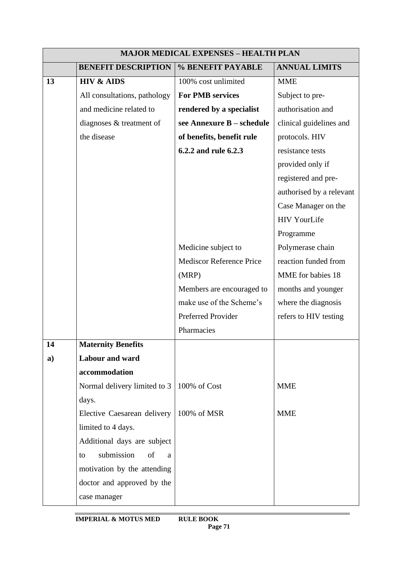|    | <b>MAJOR MEDICAL EXPENSES - HEALTH PLAN</b> |                                 |                          |
|----|---------------------------------------------|---------------------------------|--------------------------|
|    | <b>BENEFIT DESCRIPTION</b>                  | % BENEFIT PAYABLE               | <b>ANNUAL LIMITS</b>     |
| 13 | <b>HIV &amp; AIDS</b>                       | 100% cost unlimited             | <b>MME</b>               |
|    | All consultations, pathology                | <b>For PMB services</b>         | Subject to pre-          |
|    | and medicine related to                     | rendered by a specialist        | authorisation and        |
|    | diagnoses & treatment of                    | see Annexure B - schedule       | clinical guidelines and  |
|    | the disease                                 | of benefits, benefit rule       | protocols. HIV           |
|    |                                             | 6.2.2 and rule 6.2.3            | resistance tests         |
|    |                                             |                                 | provided only if         |
|    |                                             |                                 | registered and pre-      |
|    |                                             |                                 | authorised by a relevant |
|    |                                             |                                 | Case Manager on the      |
|    |                                             |                                 | <b>HIV YourLife</b>      |
|    |                                             |                                 | Programme                |
|    |                                             | Medicine subject to             | Polymerase chain         |
|    |                                             | <b>Mediscor Reference Price</b> | reaction funded from     |
|    |                                             | (MRP)                           | MME for babies 18        |
|    |                                             | Members are encouraged to       | months and younger       |
|    |                                             | make use of the Scheme's        | where the diagnosis      |
|    |                                             | Preferred Provider              | refers to HIV testing    |
|    |                                             | Pharmacies                      |                          |
| 14 | <b>Maternity Benefits</b>                   |                                 |                          |
| a) | <b>Labour and ward</b>                      |                                 |                          |
|    | accommodation                               |                                 |                          |
|    | Normal delivery limited to 3                | 100% of Cost                    | <b>MME</b>               |
|    | days.                                       |                                 |                          |
|    | Elective Caesarean delivery                 | 100% of MSR                     | <b>MME</b>               |
|    | limited to 4 days.                          |                                 |                          |
|    | Additional days are subject                 |                                 |                          |
|    | submission<br>of<br>to<br>a                 |                                 |                          |
|    | motivation by the attending                 |                                 |                          |
|    | doctor and approved by the                  |                                 |                          |
|    | case manager                                |                                 |                          |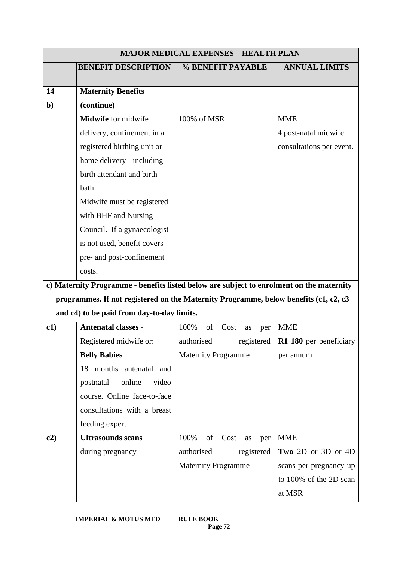|              | <b>MAJOR MEDICAL EXPENSES - HEALTH PLAN</b> |                                                                                          |                          |
|--------------|---------------------------------------------|------------------------------------------------------------------------------------------|--------------------------|
|              | <b>BENEFIT DESCRIPTION</b>                  | % BENEFIT PAYABLE                                                                        | <b>ANNUAL LIMITS</b>     |
|              |                                             |                                                                                          |                          |
| 14           | <b>Maternity Benefits</b>                   |                                                                                          |                          |
| $\mathbf{b}$ | (continue)                                  |                                                                                          |                          |
|              | Midwife for midwife                         | 100% of MSR                                                                              | <b>MME</b>               |
|              | delivery, confinement in a                  |                                                                                          | 4 post-natal midwife     |
|              | registered birthing unit or                 |                                                                                          | consultations per event. |
|              | home delivery - including                   |                                                                                          |                          |
|              | birth attendant and birth                   |                                                                                          |                          |
|              | bath.                                       |                                                                                          |                          |
|              | Midwife must be registered                  |                                                                                          |                          |
|              | with BHF and Nursing                        |                                                                                          |                          |
|              | Council. If a gynaecologist                 |                                                                                          |                          |
|              | is not used, benefit covers                 |                                                                                          |                          |
|              | pre- and post-confinement                   |                                                                                          |                          |
|              | costs.                                      |                                                                                          |                          |
|              |                                             | c) Maternity Programme - benefits listed below are subject to enrolment on the maternity |                          |
|              |                                             | programmes. If not registered on the Maternity Programme, below benefits (c1, c2, c3     |                          |
|              | and c4) to be paid from day-to-day limits.  |                                                                                          |                          |
| c1)          | <b>Antenatal classes -</b>                  | of<br>100%<br>Cost<br>as<br>per                                                          | <b>MME</b>               |
|              | Registered midwife or:                      | authorised<br>registered                                                                 | R1 180 per beneficiary   |
|              | <b>Belly Babies</b>                         | <b>Maternity Programme</b>                                                               | per annum                |
|              | 18 months antenatal and                     |                                                                                          |                          |
|              | postnatal<br>online<br>video                |                                                                                          |                          |
|              | course. Online face-to-face                 |                                                                                          |                          |
|              | consultations with a breast                 |                                                                                          |                          |
|              | feeding expert                              |                                                                                          |                          |
| c2)          | <b>Ultrasounds scans</b>                    | 100%<br>of Cost as<br>per                                                                | <b>MME</b>               |
|              | during pregnancy                            | authorised<br>registered                                                                 | Two 2D or 3D or 4D       |
|              |                                             | <b>Maternity Programme</b>                                                               | scans per pregnancy up   |
|              |                                             |                                                                                          | to 100% of the 2D scan   |
|              |                                             |                                                                                          | at MSR                   |
|              |                                             |                                                                                          |                          |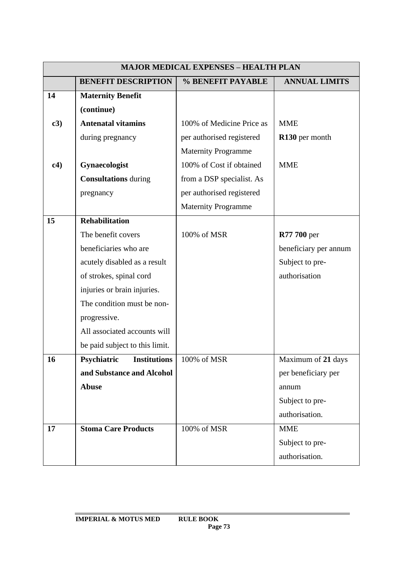|     | <b>MAJOR MEDICAL EXPENSES - HEALTH PLAN</b> |                            |                       |  |
|-----|---------------------------------------------|----------------------------|-----------------------|--|
|     | <b>BENEFIT DESCRIPTION</b>                  | % BENEFIT PAYABLE          | <b>ANNUAL LIMITS</b>  |  |
| 14  | <b>Maternity Benefit</b>                    |                            |                       |  |
|     | (continue)                                  |                            |                       |  |
| c3) | <b>Antenatal vitamins</b>                   | 100% of Medicine Price as  | <b>MME</b>            |  |
|     | during pregnancy                            | per authorised registered  | R130 per month        |  |
|     |                                             | <b>Maternity Programme</b> |                       |  |
| c4) | Gynaecologist                               | 100% of Cost if obtained   | <b>MME</b>            |  |
|     | <b>Consultations</b> during                 | from a DSP specialist. As  |                       |  |
|     | pregnancy                                   | per authorised registered  |                       |  |
|     |                                             | <b>Maternity Programme</b> |                       |  |
| 15  | <b>Rehabilitation</b>                       |                            |                       |  |
|     | The benefit covers                          | 100% of MSR                | <b>R77 700 per</b>    |  |
|     | beneficiaries who are                       |                            | beneficiary per annum |  |
|     | acutely disabled as a result                |                            | Subject to pre-       |  |
|     | of strokes, spinal cord                     |                            | authorisation         |  |
|     | injuries or brain injuries.                 |                            |                       |  |
|     | The condition must be non-                  |                            |                       |  |
|     | progressive.                                |                            |                       |  |
|     | All associated accounts will                |                            |                       |  |
|     | be paid subject to this limit.              |                            |                       |  |
| 16  | <b>Psychiatric</b> Institutions             | 100% of MSR                | Maximum of 21 days    |  |
|     | and Substance and Alcohol                   |                            | per beneficiary per   |  |
|     | <b>Abuse</b>                                |                            | annum                 |  |
|     |                                             |                            | Subject to pre-       |  |
|     |                                             |                            | authorisation.        |  |
| 17  | <b>Stoma Care Products</b>                  | 100% of MSR                | <b>MME</b>            |  |
|     |                                             |                            | Subject to pre-       |  |
|     |                                             |                            | authorisation.        |  |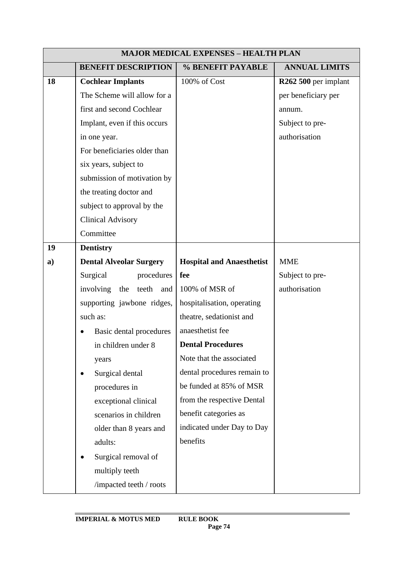|    | <b>MAJOR MEDICAL EXPENSES - HEALTH PLAN</b> |                                  |                      |
|----|---------------------------------------------|----------------------------------|----------------------|
|    | <b>BENEFIT DESCRIPTION</b>                  | % BENEFIT PAYABLE                | <b>ANNUAL LIMITS</b> |
| 18 | <b>Cochlear Implants</b>                    | 100% of Cost                     | R262 500 per implant |
|    | The Scheme will allow for a                 |                                  | per beneficiary per  |
|    | first and second Cochlear                   |                                  | annum.               |
|    | Implant, even if this occurs                |                                  | Subject to pre-      |
|    | in one year.                                |                                  | authorisation        |
|    | For beneficiaries older than                |                                  |                      |
|    | six years, subject to                       |                                  |                      |
|    | submission of motivation by                 |                                  |                      |
|    | the treating doctor and                     |                                  |                      |
|    | subject to approval by the                  |                                  |                      |
|    | <b>Clinical Advisory</b>                    |                                  |                      |
|    | Committee                                   |                                  |                      |
| 19 | <b>Dentistry</b>                            |                                  |                      |
| a) | <b>Dental Alveolar Surgery</b>              | <b>Hospital and Anaesthetist</b> | <b>MME</b>           |
|    | Surgical<br>procedures                      | fee                              | Subject to pre-      |
|    | involving<br>the<br>teeth<br>and            | 100% of MSR of                   | authorisation        |
|    | supporting jawbone ridges,                  | hospitalisation, operating       |                      |
|    | such as:                                    | theatre, sedationist and         |                      |
|    | Basic dental procedures                     | anaesthetist fee                 |                      |
|    | in children under 8                         | <b>Dental Procedures</b>         |                      |
|    | years                                       | Note that the associated         |                      |
|    | Surgical dental                             | dental procedures remain to      |                      |
|    | procedures in                               | be funded at 85% of MSR          |                      |
|    | exceptional clinical                        | from the respective Dental       |                      |
|    | scenarios in children                       | benefit categories as            |                      |
|    | older than 8 years and                      | indicated under Day to Day       |                      |
|    | adults:                                     | benefits                         |                      |
|    | Surgical removal of                         |                                  |                      |
|    | multiply teeth                              |                                  |                      |
|    | /impacted teeth / roots                     |                                  |                      |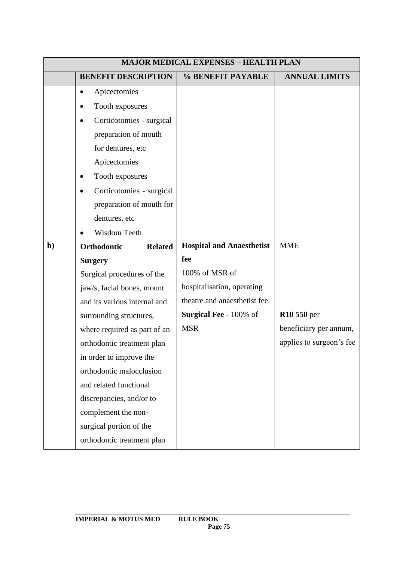|              | <b>MAJOR MEDICAL EXPENSES - HEALTH PLAN</b> |                                  |                          |  |
|--------------|---------------------------------------------|----------------------------------|--------------------------|--|
|              | <b>BENEFIT DESCRIPTION</b>                  | % BENEFIT PAYABLE                | <b>ANNUAL LIMITS</b>     |  |
|              | Apicectomies<br>$\bullet$                   |                                  |                          |  |
|              | Tooth exposures<br>٠                        |                                  |                          |  |
|              | Corticotomies - surgical                    |                                  |                          |  |
|              | preparation of mouth                        |                                  |                          |  |
|              | for dentures, etc                           |                                  |                          |  |
|              | Apicectomies                                |                                  |                          |  |
|              | Tooth exposures                             |                                  |                          |  |
|              | Corticotomies - surgical                    |                                  |                          |  |
|              | preparation of mouth for                    |                                  |                          |  |
|              | dentures, etc                               |                                  |                          |  |
|              | Wisdom Teeth                                |                                  |                          |  |
| $\mathbf{b}$ | Orthodontic<br><b>Related</b>               | <b>Hospital and Anaesthetist</b> | <b>MME</b>               |  |
|              | <b>Surgery</b>                              | fee                              |                          |  |
|              | Surgical procedures of the                  | 100% of MSR of                   |                          |  |
|              | jaw/s, facial bones, mount                  | hospitalisation, operating       |                          |  |
|              | and its various internal and                | theatre and anaesthetist fee.    |                          |  |
|              | surrounding structures,                     | <b>Surgical Fee - 100% of</b>    | R10 550 per              |  |
|              | where required as part of an                | <b>MSR</b>                       | beneficiary per annum,   |  |
|              | orthodontic treatment plan                  |                                  | applies to surgeon's fee |  |
|              | in order to improve the                     |                                  |                          |  |
|              | orthodontic malocclusion                    |                                  |                          |  |
|              | and related functional                      |                                  |                          |  |
|              | discrepancies, and/or to                    |                                  |                          |  |
|              | complement the non-                         |                                  |                          |  |
|              | surgical portion of the                     |                                  |                          |  |
|              | orthodontic treatment plan                  |                                  |                          |  |

## **IMPERIAL & MOTUS MED RULE BOOK**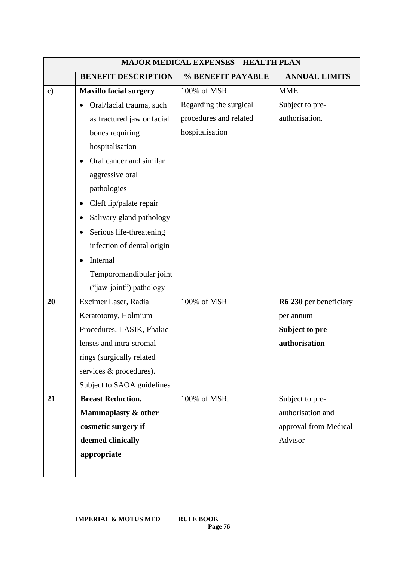|               | <b>MAJOR MEDICAL EXPENSES - HEALTH PLAN</b> |                        |                        |  |
|---------------|---------------------------------------------|------------------------|------------------------|--|
|               | <b>BENEFIT DESCRIPTION</b>                  | % BENEFIT PAYABLE      | <b>ANNUAL LIMITS</b>   |  |
| $\mathbf{c})$ | <b>Maxillo facial surgery</b>               | 100% of MSR            | <b>MME</b>             |  |
|               | Oral/facial trauma, such                    | Regarding the surgical | Subject to pre-        |  |
|               | as fractured jaw or facial                  | procedures and related | authorisation.         |  |
|               | bones requiring                             | hospitalisation        |                        |  |
|               | hospitalisation                             |                        |                        |  |
|               | Oral cancer and similar                     |                        |                        |  |
|               | aggressive oral                             |                        |                        |  |
|               | pathologies                                 |                        |                        |  |
|               | Cleft lip/palate repair                     |                        |                        |  |
|               | Salivary gland pathology                    |                        |                        |  |
|               | Serious life-threatening<br>$\bullet$       |                        |                        |  |
|               | infection of dental origin                  |                        |                        |  |
|               | Internal                                    |                        |                        |  |
|               | Temporomandibular joint                     |                        |                        |  |
|               | ("jaw-joint") pathology                     |                        |                        |  |
| 20            | Excimer Laser, Radial                       | 100% of MSR            | R6 230 per beneficiary |  |
|               | Keratotomy, Holmium                         |                        | per annum              |  |
|               | Procedures, LASIK, Phakic                   |                        | Subject to pre-        |  |
|               | lenses and intra-stromal                    |                        | authorisation          |  |
|               | rings (surgically related                   |                        |                        |  |
|               | services & procedures).                     |                        |                        |  |
|               | Subject to SAOA guidelines                  |                        |                        |  |
| 21            | <b>Breast Reduction,</b>                    | 100% of MSR.           | Subject to pre-        |  |
|               | Mammaplasty & other                         |                        | authorisation and      |  |
|               | cosmetic surgery if                         |                        | approval from Medical  |  |
|               | deemed clinically                           |                        | Advisor                |  |
|               | appropriate                                 |                        |                        |  |
|               |                                             |                        |                        |  |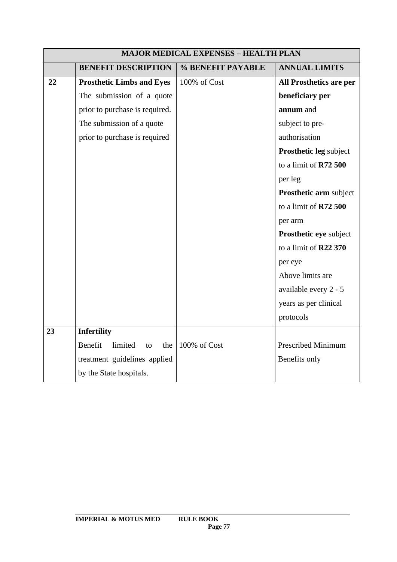|    | <b>MAJOR MEDICAL EXPENSES - HEALTH PLAN</b> |                   |                         |  |
|----|---------------------------------------------|-------------------|-------------------------|--|
|    | <b>BENEFIT DESCRIPTION</b>                  | % BENEFIT PAYABLE | <b>ANNUAL LIMITS</b>    |  |
| 22 | <b>Prosthetic Limbs and Eyes</b>            | 100% of Cost      | All Prosthetics are per |  |
|    | The submission of a quote                   |                   | beneficiary per         |  |
|    | prior to purchase is required.              |                   | annum and               |  |
|    | The submission of a quote                   |                   | subject to pre-         |  |
|    | prior to purchase is required               |                   | authorisation           |  |
|    |                                             |                   | Prosthetic leg subject  |  |
|    |                                             |                   | to a limit of R72 500   |  |
|    |                                             |                   | per leg                 |  |
|    |                                             |                   | Prosthetic arm subject  |  |
|    |                                             |                   | to a limit of $R72500$  |  |
|    |                                             |                   | per arm                 |  |
|    |                                             |                   | Prosthetic eye subject  |  |
|    |                                             |                   | to a limit of R22 370   |  |
|    |                                             |                   | per eye                 |  |
|    |                                             |                   | Above limits are        |  |
|    |                                             |                   | available every 2 - 5   |  |
|    |                                             |                   | years as per clinical   |  |
|    |                                             |                   | protocols               |  |
| 23 | <b>Infertility</b>                          |                   |                         |  |
|    | Benefit<br>limited<br>the<br>to             | 100% of Cost      | Prescribed Minimum      |  |
|    | treatment guidelines applied                |                   | Benefits only           |  |
|    | by the State hospitals.                     |                   |                         |  |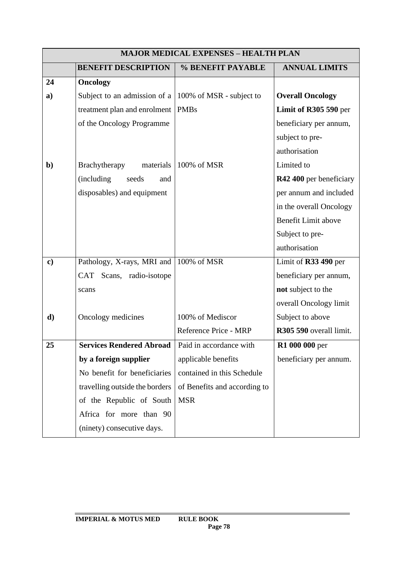| <b>MAJOR MEDICAL EXPENSES - HEALTH PLAN</b> |                                    |                              |                            |
|---------------------------------------------|------------------------------------|------------------------------|----------------------------|
|                                             | <b>BENEFIT DESCRIPTION</b>         | % BENEFIT PAYABLE            | <b>ANNUAL LIMITS</b>       |
| 24                                          | <b>Oncology</b>                    |                              |                            |
| a)                                          | Subject to an admission of a       | 100% of MSR - subject to     | <b>Overall Oncology</b>    |
|                                             | treatment plan and enrolment       | <b>PMBs</b>                  | Limit of R305 590 per      |
|                                             | of the Oncology Programme          |                              | beneficiary per annum,     |
|                                             |                                    |                              | subject to pre-            |
|                                             |                                    |                              | authorisation              |
| $\mathbf{b}$                                | Brachytherapy<br>materials         | 100% of MSR                  | Limited to                 |
|                                             | (including)<br>seeds<br>and        |                              | R42 400 per beneficiary    |
|                                             | disposables) and equipment         |                              | per annum and included     |
|                                             |                                    |                              | in the overall Oncology    |
|                                             |                                    |                              | <b>Benefit Limit above</b> |
|                                             |                                    |                              | Subject to pre-            |
|                                             |                                    |                              | authorisation              |
| $\mathbf{c})$                               | Pathology, X-rays, MRI and         | 100% of MSR                  | Limit of R33 490 per       |
|                                             | <b>CAT</b><br>Scans, radio-isotope |                              | beneficiary per annum,     |
|                                             | scans                              |                              | not subject to the         |
|                                             |                                    |                              | overall Oncology limit     |
| d)                                          | Oncology medicines                 | 100% of Mediscor             | Subject to above           |
|                                             |                                    | Reference Price - MRP        | R305 590 overall limit.    |
| 25                                          | <b>Services Rendered Abroad</b>    | Paid in accordance with      | <b>R1 000 000 per</b>      |
|                                             | by a foreign supplier              | applicable benefits          | beneficiary per annum.     |
|                                             | No benefit for beneficiaries       | contained in this Schedule   |                            |
|                                             | travelling outside the borders     | of Benefits and according to |                            |
|                                             | of the Republic of South           | <b>MSR</b>                   |                            |
|                                             | Africa for more than 90            |                              |                            |
|                                             | (ninety) consecutive days.         |                              |                            |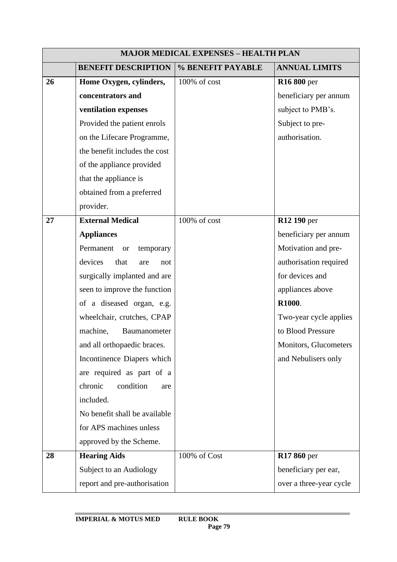|    | <b>MAJOR MEDICAL EXPENSES - HEALTH PLAN</b> |                   |                         |  |
|----|---------------------------------------------|-------------------|-------------------------|--|
|    | <b>BENEFIT DESCRIPTION</b>                  | % BENEFIT PAYABLE | <b>ANNUAL LIMITS</b>    |  |
| 26 | Home Oxygen, cylinders,                     | 100% of cost      | <b>R16 800 per</b>      |  |
|    | concentrators and                           |                   | beneficiary per annum   |  |
|    | ventilation expenses                        |                   | subject to PMB's.       |  |
|    | Provided the patient enrols                 |                   | Subject to pre-         |  |
|    | on the Lifecare Programme,                  |                   | authorisation.          |  |
|    | the benefit includes the cost               |                   |                         |  |
|    | of the appliance provided                   |                   |                         |  |
|    | that the appliance is                       |                   |                         |  |
|    | obtained from a preferred                   |                   |                         |  |
|    | provider.                                   |                   |                         |  |
| 27 | <b>External Medical</b>                     | 100% of cost      | R12 190 per             |  |
|    | <b>Appliances</b>                           |                   | beneficiary per annum   |  |
|    | Permanent<br><b>or</b><br>temporary         |                   | Motivation and pre-     |  |
|    | devices<br>that<br>are<br>not               |                   | authorisation required  |  |
|    | surgically implanted and are                |                   | for devices and         |  |
|    | seen to improve the function                |                   | appliances above        |  |
|    | of a diseased organ, e.g.                   |                   | R1000.                  |  |
|    | wheelchair, crutches, CPAP                  |                   | Two-year cycle applies  |  |
|    | machine,<br>Baumanometer                    |                   | to Blood Pressure       |  |
|    | and all orthopaedic braces.                 |                   | Monitors, Glucometers   |  |
|    | Incontinence Diapers which                  |                   | and Nebulisers only     |  |
|    | are required as part of a                   |                   |                         |  |
|    | chronic<br>condition<br>are                 |                   |                         |  |
|    | included.                                   |                   |                         |  |
|    | No benefit shall be available               |                   |                         |  |
|    | for APS machines unless                     |                   |                         |  |
|    | approved by the Scheme.                     |                   |                         |  |
| 28 | <b>Hearing Aids</b>                         | 100% of Cost      | R17 860 per             |  |
|    | Subject to an Audiology                     |                   | beneficiary per ear,    |  |
|    | report and pre-authorisation                |                   | over a three-year cycle |  |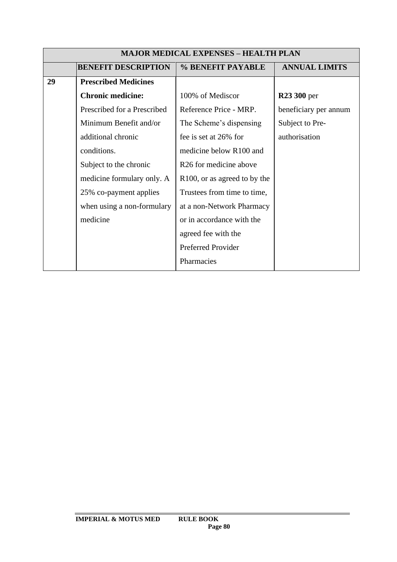|    | <b>MAJOR MEDICAL EXPENSES - HEALTH PLAN</b> |                                    |                       |  |
|----|---------------------------------------------|------------------------------------|-----------------------|--|
|    | <b>BENEFIT DESCRIPTION</b>                  | % BENEFIT PAYABLE                  | <b>ANNUAL LIMITS</b>  |  |
| 29 | <b>Prescribed Medicines</b>                 |                                    |                       |  |
|    | <b>Chronic medicine:</b>                    | 100% of Mediscor                   | <b>R23 300 per</b>    |  |
|    | Prescribed for a Prescribed                 | Reference Price - MRP.             | beneficiary per annum |  |
|    | Minimum Benefit and/or                      | The Scheme's dispensing            | Subject to Pre-       |  |
|    | additional chronic                          | fee is set at 26% for              | authorisation         |  |
|    | conditions.                                 | medicine below R100 and            |                       |  |
|    | Subject to the chronic                      | R <sub>26</sub> for medicine above |                       |  |
|    | medicine formulary only. A                  | R100, or as agreed to by the       |                       |  |
|    | 25% co-payment applies                      | Trustees from time to time,        |                       |  |
|    | when using a non-formulary                  | at a non-Network Pharmacy          |                       |  |
|    | medicine                                    | or in accordance with the          |                       |  |
|    |                                             | agreed fee with the                |                       |  |
|    |                                             | Preferred Provider                 |                       |  |
|    |                                             | Pharmacies                         |                       |  |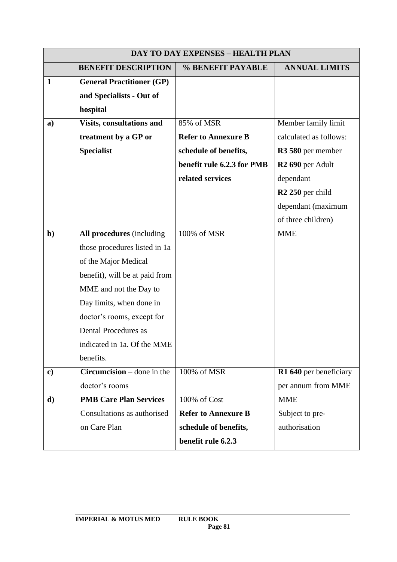|               | <b>DAY TO DAY EXPENSES - HEALTH PLAN</b>                                 |                            |                              |  |
|---------------|--------------------------------------------------------------------------|----------------------------|------------------------------|--|
|               | <b>BENEFIT DESCRIPTION</b>                                               | % BENEFIT PAYABLE          | <b>ANNUAL LIMITS</b>         |  |
| $\mathbf{1}$  | <b>General Practitioner (GP)</b><br>and Specialists - Out of<br>hospital |                            |                              |  |
| a)            | Visits, consultations and                                                | 85% of MSR                 | Member family limit          |  |
|               | treatment by a GP or                                                     | <b>Refer to Annexure B</b> | calculated as follows:       |  |
|               | <b>Specialist</b>                                                        | schedule of benefits,      | R3 580 per member            |  |
|               |                                                                          | benefit rule 6.2.3 for PMB | R <sub>2</sub> 690 per Adult |  |
|               |                                                                          | related services           | dependant                    |  |
|               |                                                                          |                            | R <sub>2</sub> 250 per child |  |
|               |                                                                          |                            | dependant (maximum           |  |
|               |                                                                          |                            | of three children)           |  |
| $b$           | All procedures (including                                                | 100% of MSR                | <b>MME</b>                   |  |
|               | those procedures listed in 1a                                            |                            |                              |  |
|               | of the Major Medical                                                     |                            |                              |  |
|               | benefit), will be at paid from                                           |                            |                              |  |
|               | MME and not the Day to                                                   |                            |                              |  |
|               | Day limits, when done in                                                 |                            |                              |  |
|               | doctor's rooms, except for                                               |                            |                              |  |
|               | Dental Procedures as                                                     |                            |                              |  |
|               | indicated in 1a. Of the MME                                              |                            |                              |  |
|               | benefits.                                                                |                            |                              |  |
| $\mathbf{c})$ | $Circumcision$ – done in the                                             | 100% of MSR                | R1 640 per beneficiary       |  |
|               | doctor's rooms                                                           |                            | per annum from MME           |  |
| $\mathbf{d}$  | <b>PMB Care Plan Services</b>                                            | 100% of Cost               | <b>MME</b>                   |  |
|               | Consultations as authorised                                              | <b>Refer to Annexure B</b> | Subject to pre-              |  |
|               | on Care Plan                                                             | schedule of benefits,      | authorisation                |  |
|               |                                                                          | benefit rule 6.2.3         |                              |  |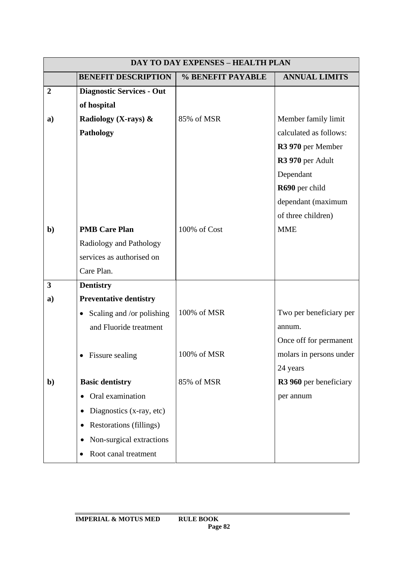|                | <b>DAY TO DAY EXPENSES - HEALTH PLAN</b> |                   |                         |  |
|----------------|------------------------------------------|-------------------|-------------------------|--|
|                | <b>BENEFIT DESCRIPTION</b>               | % BENEFIT PAYABLE | <b>ANNUAL LIMITS</b>    |  |
| $\overline{2}$ | <b>Diagnostic Services - Out</b>         |                   |                         |  |
|                | of hospital                              |                   |                         |  |
| a)             | Radiology (X-rays) &                     | 85% of MSR        | Member family limit     |  |
|                | <b>Pathology</b>                         |                   | calculated as follows:  |  |
|                |                                          |                   | R3 970 per Member       |  |
|                |                                          |                   | R3 970 per Adult        |  |
|                |                                          |                   | Dependant               |  |
|                |                                          |                   | R690 per child          |  |
|                |                                          |                   | dependant (maximum      |  |
|                |                                          |                   | of three children)      |  |
| $\mathbf{b}$   | <b>PMB Care Plan</b>                     | 100% of Cost      | <b>MME</b>              |  |
|                | Radiology and Pathology                  |                   |                         |  |
|                | services as authorised on                |                   |                         |  |
|                | Care Plan.                               |                   |                         |  |
| 3              | <b>Dentistry</b>                         |                   |                         |  |
| a)             | <b>Preventative dentistry</b>            |                   |                         |  |
|                | Scaling and /or polishing<br>$\bullet$   | 100% of MSR       | Two per beneficiary per |  |
|                | and Fluoride treatment                   |                   | annum.                  |  |
|                |                                          |                   | Once off for permanent  |  |
|                | Fissure sealing                          | 100% of MSR       | molars in persons under |  |
|                |                                          |                   | 24 years                |  |
| $\mathbf{b}$   | <b>Basic dentistry</b>                   | 85% of MSR        | R3 960 per beneficiary  |  |
|                | Oral examination                         |                   | per annum               |  |
|                | Diagnostics (x-ray, etc)                 |                   |                         |  |
|                | Restorations (fillings)<br>$\bullet$     |                   |                         |  |
|                | Non-surgical extractions                 |                   |                         |  |
|                | Root canal treatment<br>$\bullet$        |                   |                         |  |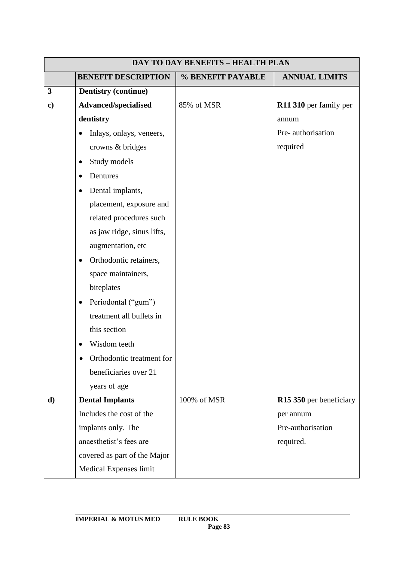| <b>DAY TO DAY BENEFITS - HEALTH PLAN</b> |                                       |                   |                         |
|------------------------------------------|---------------------------------------|-------------------|-------------------------|
|                                          | <b>BENEFIT DESCRIPTION</b>            | % BENEFIT PAYABLE | <b>ANNUAL LIMITS</b>    |
| $\mathbf{3}$                             | <b>Dentistry (continue)</b>           |                   |                         |
| $\mathbf{c})$                            | Advanced/specialised                  | 85% of MSR        | R11 310 per family per  |
|                                          | dentistry                             |                   | annum                   |
|                                          | Inlays, onlays, veneers,<br>$\bullet$ |                   | Pre-authorisation       |
|                                          | crowns & bridges                      |                   | required                |
|                                          | Study models<br>$\bullet$             |                   |                         |
|                                          | Dentures<br>$\bullet$                 |                   |                         |
|                                          | Dental implants,<br>$\bullet$         |                   |                         |
|                                          | placement, exposure and               |                   |                         |
|                                          | related procedures such               |                   |                         |
|                                          | as jaw ridge, sinus lifts,            |                   |                         |
|                                          | augmentation, etc                     |                   |                         |
|                                          | Orthodontic retainers,<br>$\bullet$   |                   |                         |
|                                          | space maintainers,                    |                   |                         |
|                                          | biteplates                            |                   |                         |
|                                          | Periodontal ("gum")<br>$\bullet$      |                   |                         |
|                                          | treatment all bullets in              |                   |                         |
|                                          | this section                          |                   |                         |
|                                          | Wisdom teeth                          |                   |                         |
|                                          | Orthodontic treatment for             |                   |                         |
|                                          | beneficiaries over 21                 |                   |                         |
|                                          | years of age                          |                   |                         |
| d)                                       | <b>Dental Implants</b>                | 100% of MSR       | R15 350 per beneficiary |
|                                          | Includes the cost of the              |                   | per annum               |
|                                          | implants only. The                    |                   | Pre-authorisation       |
|                                          | anaesthetist's fees are               |                   | required.               |
|                                          | covered as part of the Major          |                   |                         |
|                                          | Medical Expenses limit                |                   |                         |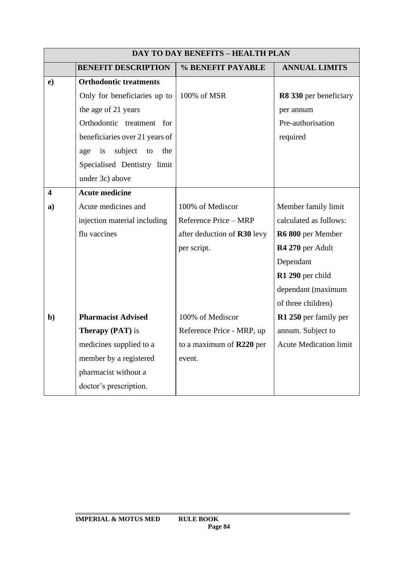|                         | <b>DAY TO DAY BENEFITS - HEALTH PLAN</b> |                             |                               |  |
|-------------------------|------------------------------------------|-----------------------------|-------------------------------|--|
|                         | <b>BENEFIT DESCRIPTION</b>               | % BENEFIT PAYABLE           | <b>ANNUAL LIMITS</b>          |  |
| e)                      | <b>Orthodontic treatments</b>            |                             |                               |  |
|                         | Only for beneficiaries up to             | 100% of MSR                 | R8 330 per beneficiary        |  |
|                         | the age of 21 years                      |                             | per annum                     |  |
|                         | Orthodontic treatment for                |                             | Pre-authorisation             |  |
|                         | beneficiaries over 21 years of           |                             | required                      |  |
|                         | subject<br>the<br>is<br>to<br>age        |                             |                               |  |
|                         | Specialised Dentistry limit              |                             |                               |  |
|                         | under 3c) above                          |                             |                               |  |
| $\overline{\mathbf{4}}$ | <b>Acute medicine</b>                    |                             |                               |  |
| $\mathbf{a}$            | Acute medicines and                      | 100% of Mediscor            | Member family limit           |  |
|                         | injection material including             | Reference Price - MRP       | calculated as follows:        |  |
|                         | flu vaccines                             | after deduction of R30 levy | R6 800 per Member             |  |
|                         |                                          | per script.                 | R4 270 per Adult              |  |
|                         |                                          |                             | Dependant                     |  |
|                         |                                          |                             | R1 290 per child              |  |
|                         |                                          |                             | dependant (maximum            |  |
|                         |                                          |                             | of three children)            |  |
| $\mathbf{b}$            | <b>Pharmacist Advised</b>                | 100% of Mediscor            | R1 250 per family per         |  |
|                         | <b>Therapy (PAT)</b> is                  | Reference Price - MRP, up   | annum. Subject to             |  |
|                         | medicines supplied to a                  | to a maximum of R220 per    | <b>Acute Medication limit</b> |  |
|                         | member by a registered                   | event.                      |                               |  |
|                         | pharmacist without a                     |                             |                               |  |
|                         | doctor's prescription.                   |                             |                               |  |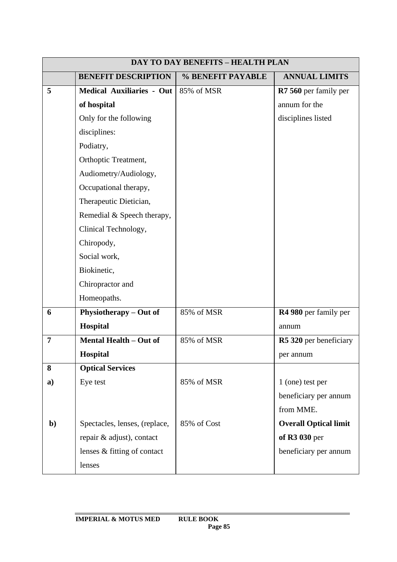|              | <b>DAY TO DAY BENEFITS - HEALTH PLAN</b> |                   |                              |  |
|--------------|------------------------------------------|-------------------|------------------------------|--|
|              | <b>BENEFIT DESCRIPTION</b>               | % BENEFIT PAYABLE | <b>ANNUAL LIMITS</b>         |  |
| 5            | <b>Medical Auxiliaries - Out</b>         | 85% of MSR        | R7 560 per family per        |  |
|              | of hospital                              |                   | annum for the                |  |
|              | Only for the following                   |                   | disciplines listed           |  |
|              | disciplines:                             |                   |                              |  |
|              | Podiatry,                                |                   |                              |  |
|              | Orthoptic Treatment,                     |                   |                              |  |
|              | Audiometry/Audiology,                    |                   |                              |  |
|              | Occupational therapy,                    |                   |                              |  |
|              | Therapeutic Dietician,                   |                   |                              |  |
|              | Remedial & Speech therapy,               |                   |                              |  |
|              | Clinical Technology,                     |                   |                              |  |
|              | Chiropody,                               |                   |                              |  |
|              | Social work,                             |                   |                              |  |
|              | Biokinetic,                              |                   |                              |  |
|              | Chiropractor and                         |                   |                              |  |
|              | Homeopaths.                              |                   |                              |  |
| 6            | Physiotherapy - Out of                   | 85% of MSR        | R4 980 per family per        |  |
|              | Hospital                                 |                   | annum                        |  |
| 7            | Mental Health - Out of                   | 85% of MSR        | R5 320 per beneficiary       |  |
|              | <b>Hospital</b>                          |                   | per annum                    |  |
| 8            | <b>Optical Services</b>                  |                   |                              |  |
| a)           | Eye test                                 | 85% of MSR        | 1 (one) test per             |  |
|              |                                          |                   | beneficiary per annum        |  |
|              |                                          |                   | from MME.                    |  |
| $\mathbf{b}$ | Spectacles, lenses, (replace,            | 85% of Cost       | <b>Overall Optical limit</b> |  |
|              | repair & adjust), contact                |                   | of R3 030 per                |  |
|              | lenses & fitting of contact              |                   | beneficiary per annum        |  |
|              | lenses                                   |                   |                              |  |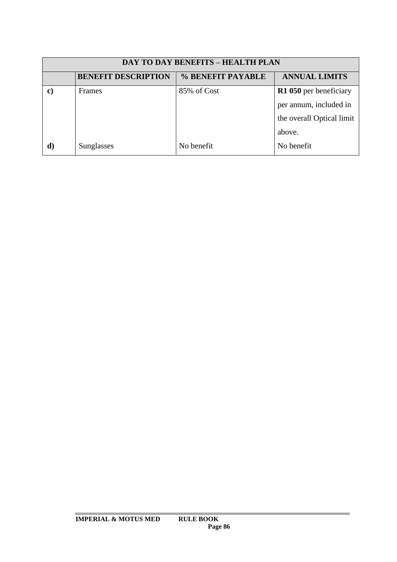| <b>DAY TO DAY BENEFITS - HEALTH PLAN</b> |                            |                   |                           |
|------------------------------------------|----------------------------|-------------------|---------------------------|
|                                          | <b>BENEFIT DESCRIPTION</b> | % BENEFIT PAYABLE | <b>ANNUAL LIMITS</b>      |
| $\mathbf{c}$                             | <b>Frames</b>              | 85% of Cost       | R1 050 per beneficiary    |
|                                          |                            |                   | per annum, included in    |
|                                          |                            |                   | the overall Optical limit |
|                                          |                            |                   | above.                    |
|                                          | Sunglasses                 | No benefit        | No benefit                |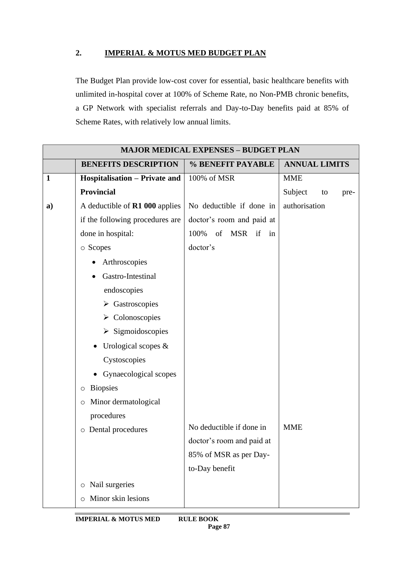## **2. IMPERIAL & MOTUS MED BUDGET PLAN**

The Budget Plan provide low-cost cover for essential, basic healthcare benefits with unlimited in-hospital cover at 100% of Scheme Rate, no Non-PMB chronic benefits, a GP Network with specialist referrals and Day-to-Day benefits paid at 85% of Scheme Rates, with relatively low annual limits.

|              |                                       | <b>MAJOR MEDICAL EXPENSES - BUDGET PLAN</b> |                       |
|--------------|---------------------------------------|---------------------------------------------|-----------------------|
|              | <b>BENEFITS DESCRIPTION</b>           | % BENEFIT PAYABLE                           | <b>ANNUAL LIMITS</b>  |
| $\mathbf{1}$ | Hospitalisation - Private and         | 100% of MSR                                 | <b>MME</b>            |
|              | <b>Provincial</b>                     |                                             | Subject<br>to<br>pre- |
| a)           | A deductible of <b>R1 000</b> applies | No deductible if done in                    | authorisation         |
|              | if the following procedures are       | doctor's room and paid at                   |                       |
|              | done in hospital:                     | 100%<br>of<br>MSR if<br>in                  |                       |
|              | o Scopes                              | doctor's                                    |                       |
|              | Arthroscopies                         |                                             |                       |
|              | Gastro-Intestinal                     |                                             |                       |
|              | endoscopies                           |                                             |                       |
|              | $\triangleright$ Gastroscopies        |                                             |                       |
|              | $\triangleright$ Colonoscopies        |                                             |                       |
|              | $\triangleright$ Sigmoidoscopies      |                                             |                       |
|              | Urological scopes $\&$                |                                             |                       |
|              | Cystoscopies                          |                                             |                       |
|              | Gynaecological scopes                 |                                             |                       |
|              | <b>Biopsies</b><br>O                  |                                             |                       |
|              | Minor dermatological<br>$\circ$       |                                             |                       |
|              | procedures                            |                                             |                       |
|              | Dental procedures<br>$\circ$          | No deductible if done in                    | <b>MME</b>            |
|              |                                       | doctor's room and paid at                   |                       |
|              |                                       | 85% of MSR as per Day-                      |                       |
|              |                                       | to-Day benefit                              |                       |
|              | Nail surgeries<br>$\circ$             |                                             |                       |
|              | Minor skin lesions<br>$\circ$         |                                             |                       |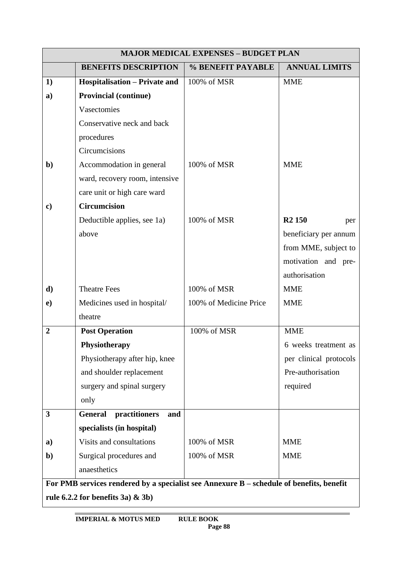|                | <b>MAJOR MEDICAL EXPENSES - BUDGET PLAN</b>                                                |                        |                           |  |
|----------------|--------------------------------------------------------------------------------------------|------------------------|---------------------------|--|
|                | <b>BENEFITS DESCRIPTION</b>                                                                | % BENEFIT PAYABLE      | <b>ANNUAL LIMITS</b>      |  |
| 1)             | <b>Hospitalisation – Private and</b>                                                       | 100% of MSR            | <b>MME</b>                |  |
| a)             | <b>Provincial (continue)</b>                                                               |                        |                           |  |
|                | Vasectomies                                                                                |                        |                           |  |
|                | Conservative neck and back                                                                 |                        |                           |  |
|                | procedures                                                                                 |                        |                           |  |
|                | Circumcisions                                                                              |                        |                           |  |
| $\mathbf{b}$   | Accommodation in general                                                                   | 100% of MSR            | <b>MME</b>                |  |
|                | ward, recovery room, intensive                                                             |                        |                           |  |
|                | care unit or high care ward                                                                |                        |                           |  |
| $\mathbf{c}$   | <b>Circumcision</b>                                                                        |                        |                           |  |
|                | Deductible applies, see 1a)                                                                | 100% of MSR            | R <sub>2</sub> 150<br>per |  |
|                | above                                                                                      |                        | beneficiary per annum     |  |
|                |                                                                                            |                        | from MME, subject to      |  |
|                |                                                                                            |                        | motivation and pre-       |  |
|                |                                                                                            |                        | authorisation             |  |
| d)             | <b>Theatre Fees</b>                                                                        | 100% of MSR            | <b>MME</b>                |  |
| $\bf e)$       | Medicines used in hospital/                                                                | 100% of Medicine Price | <b>MME</b>                |  |
|                | theatre                                                                                    |                        |                           |  |
| $\overline{2}$ | <b>Post Operation</b>                                                                      | 100% of MSR            | <b>MME</b>                |  |
|                | Physiotherapy                                                                              |                        | 6 weeks treatment as      |  |
|                | Physiotherapy after hip, knee                                                              |                        | per clinical protocols    |  |
|                | and shoulder replacement                                                                   |                        | Pre-authorisation         |  |
|                | surgery and spinal surgery                                                                 |                        | required                  |  |
|                | only                                                                                       |                        |                           |  |
| 3              | practitioners<br><b>General</b><br>and                                                     |                        |                           |  |
|                | specialists (in hospital)                                                                  |                        |                           |  |
| a)             | Visits and consultations                                                                   | 100% of MSR            | <b>MME</b>                |  |
| $\mathbf{b}$   | Surgical procedures and                                                                    | 100% of MSR            | <b>MME</b>                |  |
|                | anaesthetics                                                                               |                        |                           |  |
|                | For PMB services rendered by a specialist see Annexure $B$ – schedule of benefits, benefit |                        |                           |  |
|                | rule 6.2.2 for benefits 3a) $\&$ 3b)                                                       |                        |                           |  |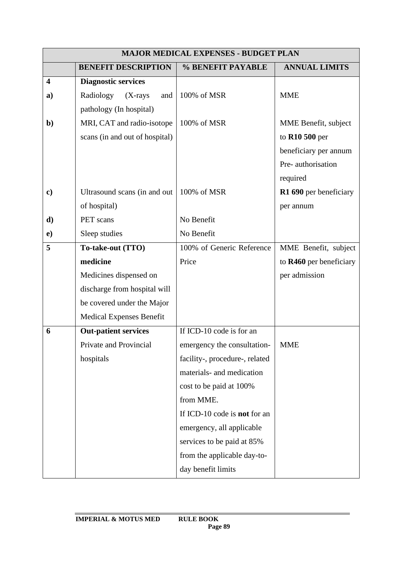|                         | <b>MAJOR MEDICAL EXPENSES - BUDGET PLAN</b> |                                     |                         |
|-------------------------|---------------------------------------------|-------------------------------------|-------------------------|
|                         | <b>BENEFIT DESCRIPTION</b>                  | % BENEFIT PAYABLE                   | <b>ANNUAL LIMITS</b>    |
| $\overline{\mathbf{4}}$ | <b>Diagnostic services</b>                  |                                     |                         |
| a)                      | Radiology<br>$(X-rays$<br>and               | 100% of MSR                         | <b>MME</b>              |
|                         | pathology (In hospital)                     |                                     |                         |
| $\mathbf{b}$            | MRI, CAT and radio-isotope                  | 100% of MSR                         | MME Benefit, subject    |
|                         | scans (in and out of hospital)              |                                     | to R10 500 per          |
|                         |                                             |                                     | beneficiary per annum   |
|                         |                                             |                                     | Pre-authorisation       |
|                         |                                             |                                     | required                |
| $\mathbf{c})$           | Ultrasound scans (in and out                | 100% of MSR                         | R1 690 per beneficiary  |
|                         | of hospital)                                |                                     | per annum               |
| d)                      | PET scans                                   | No Benefit                          |                         |
| $\mathbf{e})$           | Sleep studies                               | No Benefit                          |                         |
| 5                       | To-take-out (TTO)                           | 100% of Generic Reference           | MME Benefit, subject    |
|                         | medicine                                    | Price                               | to R460 per beneficiary |
|                         | Medicines dispensed on                      |                                     | per admission           |
|                         | discharge from hospital will                |                                     |                         |
|                         | be covered under the Major                  |                                     |                         |
|                         | <b>Medical Expenses Benefit</b>             |                                     |                         |
| 6                       | <b>Out-patient services</b>                 | If ICD-10 code is for an            |                         |
|                         | Private and Provincial                      | emergency the consultation-         | <b>MME</b>              |
|                         | hospitals                                   | facility-, procedure-, related      |                         |
|                         |                                             | materials- and medication           |                         |
|                         |                                             | cost to be paid at 100%             |                         |
|                         |                                             | from MME.                           |                         |
|                         |                                             | If ICD-10 code is <b>not</b> for an |                         |
|                         |                                             | emergency, all applicable           |                         |
|                         |                                             | services to be paid at 85%          |                         |
|                         |                                             | from the applicable day-to-         |                         |
|                         |                                             | day benefit limits                  |                         |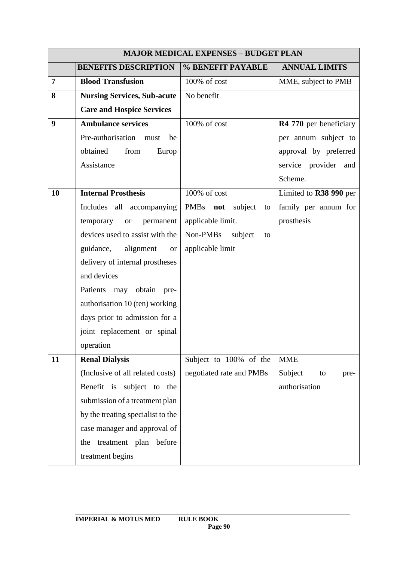|    |                                     | <b>MAJOR MEDICAL EXPENSES - BUDGET PLAN</b> |                        |
|----|-------------------------------------|---------------------------------------------|------------------------|
|    | <b>BENEFITS DESCRIPTION</b>         | % BENEFIT PAYABLE                           | <b>ANNUAL LIMITS</b>   |
| 7  | <b>Blood Transfusion</b>            | 100% of cost                                | MME, subject to PMB    |
| 8  | <b>Nursing Services, Sub-acute</b>  | No benefit                                  |                        |
|    | <b>Care and Hospice Services</b>    |                                             |                        |
| 9  | <b>Ambulance services</b>           | 100% of cost                                | R4 770 per beneficiary |
|    | Pre-authorisation<br>must<br>be     |                                             | per annum subject to   |
|    | obtained<br>from<br>Europ           |                                             | approval by preferred  |
|    | Assistance                          |                                             | service provider and   |
|    |                                     |                                             | Scheme.                |
| 10 | <b>Internal Prosthesis</b>          | 100% of cost                                | Limited to R38 990 per |
|    | Includes all accompanying           | PMBs not<br>subject<br>to                   | family per annum for   |
|    | temporary<br>permanent<br><b>or</b> | applicable limit.                           | prosthesis             |
|    | devices used to assist with the     | Non-PMBs<br>subject<br>to                   |                        |
|    | alignment<br>guidance,<br><b>or</b> | applicable limit                            |                        |
|    | delivery of internal prostheses     |                                             |                        |
|    | and devices                         |                                             |                        |
|    | Patients may obtain pre-            |                                             |                        |
|    | authorisation 10 (ten) working      |                                             |                        |
|    | days prior to admission for a       |                                             |                        |
|    | joint replacement or spinal         |                                             |                        |
|    | operation                           |                                             |                        |
| 11 | <b>Renal Dialysis</b>               | Subject to 100% of the                      | <b>MME</b>             |
|    | (Inclusive of all related costs)    | negotiated rate and PMBs                    | Subject<br>to<br>pre-  |
|    | Benefit is subject to the           |                                             | authorisation          |
|    | submission of a treatment plan      |                                             |                        |
|    | by the treating specialist to the   |                                             |                        |
|    | case manager and approval of        |                                             |                        |
|    | treatment plan before<br>the        |                                             |                        |
|    | treatment begins                    |                                             |                        |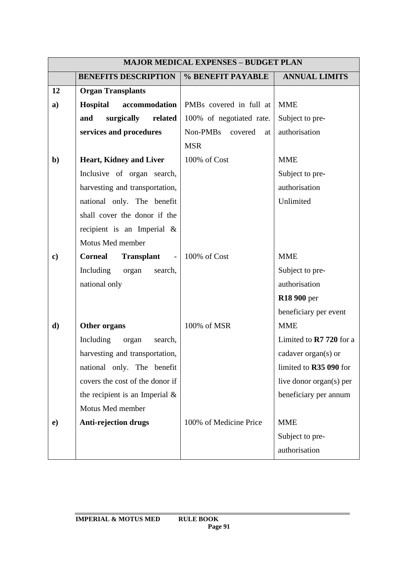|               | <b>MAJOR MEDICAL EXPENSES - BUDGET PLAN</b> |                          |                                   |
|---------------|---------------------------------------------|--------------------------|-----------------------------------|
|               | <b>BENEFITS DESCRIPTION</b>                 | % BENEFIT PAYABLE        | <b>ANNUAL LIMITS</b>              |
| 12            | <b>Organ Transplants</b>                    |                          |                                   |
| a)            | <b>Hospital</b><br>accommodation            | PMBs covered in full at  | <b>MME</b>                        |
|               | surgically related<br>and                   | 100% of negotiated rate. | Subject to pre-                   |
|               | services and procedures                     | Non-PMBs covered<br>at   | authorisation                     |
|               |                                             | <b>MSR</b>               |                                   |
| $\mathbf{b}$  | <b>Heart, Kidney and Liver</b>              | 100% of Cost             | <b>MME</b>                        |
|               | Inclusive of organ search,                  |                          | Subject to pre-                   |
|               | harvesting and transportation,              |                          | authorisation                     |
|               | national only. The benefit                  |                          | Unlimited                         |
|               | shall cover the donor if the                |                          |                                   |
|               | recipient is an Imperial $\&$               |                          |                                   |
|               | Motus Med member                            |                          |                                   |
| $\mathbf{c})$ | <b>Corneal Transplant</b> - 100% of Cost    |                          | <b>MME</b>                        |
|               | Including organ search,                     |                          | Subject to pre-                   |
|               | national only                               |                          | authorisation                     |
|               |                                             |                          | <b>R18 900 per</b>                |
|               |                                             |                          | beneficiary per event             |
| d)            | Other organs                                | 100% of MSR              | <b>MME</b>                        |
|               | Including organ<br>search,                  |                          | Limited to $\mathbb{R}$ 720 for a |
|               | harvesting and transportation,              |                          | cadaver organ(s) or               |
|               | national only. The benefit                  |                          | limited to R35 090 for            |
|               | covers the cost of the donor if             |                          | live donor organ(s) per           |
|               | the recipient is an Imperial $\&$           |                          | beneficiary per annum             |
|               | Motus Med member                            |                          |                                   |
| $\bf e)$      | <b>Anti-rejection drugs</b>                 | 100% of Medicine Price   | <b>MME</b>                        |
|               |                                             |                          | Subject to pre-                   |
|               |                                             |                          | authorisation                     |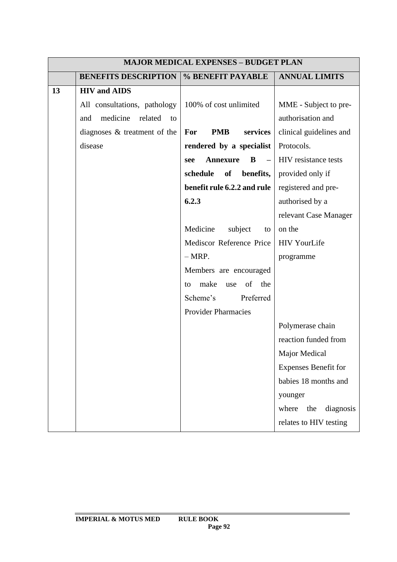|    |                                  | <b>MAJOR MEDICAL EXPENSES - BUDGET PLAN</b>             |                             |
|----|----------------------------------|---------------------------------------------------------|-----------------------------|
|    | <b>BENEFITS DESCRIPTION</b>      | % BENEFIT PAYABLE                                       | <b>ANNUAL LIMITS</b>        |
| 13 | <b>HIV</b> and AIDS              |                                                         |                             |
|    | All consultations, pathology     | 100% of cost unlimited                                  | MME - Subject to pre-       |
|    | medicine<br>related<br>and<br>to |                                                         | authorisation and           |
|    | diagnoses & treatment of the     | <b>PMB</b><br>services<br>For                           | clinical guidelines and     |
|    | disease                          | rendered by a specialist                                | Protocols.                  |
|    |                                  | <b>Annexure</b><br>B<br>$\overline{\phantom{m}}$<br>see | HIV resistance tests        |
|    |                                  | schedule<br>of<br>benefits,                             | provided only if            |
|    |                                  | benefit rule 6.2.2 and rule                             | registered and pre-         |
|    |                                  | 6.2.3                                                   | authorised by a             |
|    |                                  |                                                         | relevant Case Manager       |
|    |                                  | Medicine<br>subject<br>to                               | on the                      |
|    |                                  | Mediscor Reference Price                                | <b>HIV YourLife</b>         |
|    |                                  | $-MRP.$                                                 | programme                   |
|    |                                  | Members are encouraged                                  |                             |
|    |                                  | of<br>the<br>make<br>use<br>to                          |                             |
|    |                                  | Scheme's<br>Preferred                                   |                             |
|    |                                  | <b>Provider Pharmacies</b>                              |                             |
|    |                                  |                                                         | Polymerase chain            |
|    |                                  |                                                         | reaction funded from        |
|    |                                  |                                                         | Major Medical               |
|    |                                  |                                                         | <b>Expenses Benefit for</b> |
|    |                                  |                                                         | babies 18 months and        |
|    |                                  |                                                         | younger                     |
|    |                                  |                                                         | diagnosis<br>where<br>the   |
|    |                                  |                                                         | relates to HIV testing      |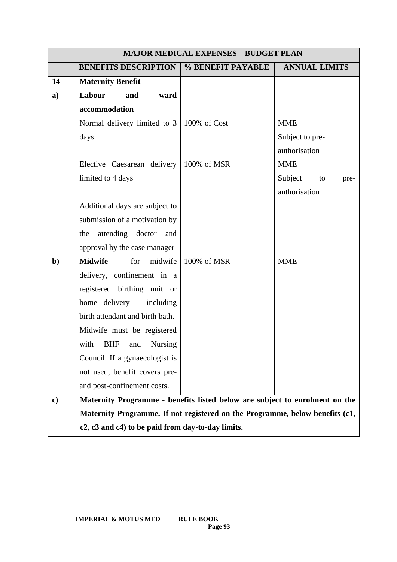|               | <b>MAJOR MEDICAL EXPENSES - BUDGET PLAN</b>                                  |                   |                       |  |
|---------------|------------------------------------------------------------------------------|-------------------|-----------------------|--|
|               | <b>BENEFITS DESCRIPTION</b>                                                  | % BENEFIT PAYABLE | <b>ANNUAL LIMITS</b>  |  |
| 14            | <b>Maternity Benefit</b>                                                     |                   |                       |  |
| $\mathbf{a}$  | Labour<br>and<br>ward                                                        |                   |                       |  |
|               | accommodation                                                                |                   |                       |  |
|               | Normal delivery limited to 3                                                 | 100% of Cost      | <b>MME</b>            |  |
|               | days                                                                         |                   | Subject to pre-       |  |
|               |                                                                              |                   | authorisation         |  |
|               | Elective Caesarean delivery                                                  | 100% of MSR       | <b>MME</b>            |  |
|               | limited to 4 days                                                            |                   | Subject<br>to<br>pre- |  |
|               |                                                                              |                   | authorisation         |  |
|               | Additional days are subject to                                               |                   |                       |  |
|               | submission of a motivation by                                                |                   |                       |  |
|               | the attending doctor and                                                     |                   |                       |  |
|               | approval by the case manager                                                 |                   |                       |  |
| $\mathbf{b}$  | <b>Midwife</b><br>$-$ for<br>midwife                                         | 100% of MSR       | <b>MME</b>            |  |
|               | delivery, confinement in a                                                   |                   |                       |  |
|               | registered birthing unit or                                                  |                   |                       |  |
|               | home delivery - including                                                    |                   |                       |  |
|               | birth attendant and birth bath.                                              |                   |                       |  |
|               | Midwife must be registered                                                   |                   |                       |  |
|               | with BHF and Nursing                                                         |                   |                       |  |
|               | Council. If a gynaecologist is                                               |                   |                       |  |
|               | not used, benefit covers pre-                                                |                   |                       |  |
|               | and post-confinement costs.                                                  |                   |                       |  |
| $\mathbf{c})$ | Maternity Programme - benefits listed below are subject to enrolment on the  |                   |                       |  |
|               | Maternity Programme. If not registered on the Programme, below benefits (c1, |                   |                       |  |
|               | c2, c3 and c4) to be paid from day-to-day limits.                            |                   |                       |  |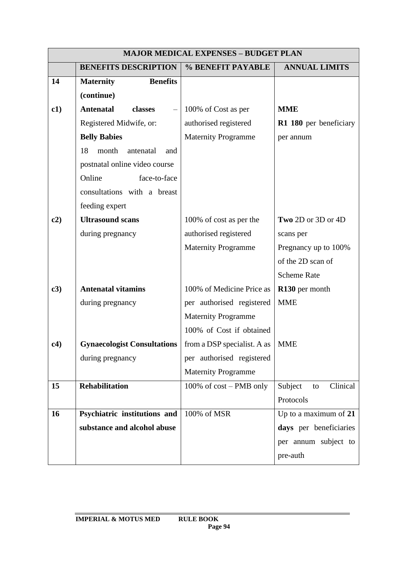|     |                                     | <b>MAJOR MEDICAL EXPENSES - BUDGET PLAN</b> |                           |
|-----|-------------------------------------|---------------------------------------------|---------------------------|
|     | <b>BENEFITS DESCRIPTION</b>         | % BENEFIT PAYABLE                           | <b>ANNUAL LIMITS</b>      |
| 14  | <b>Benefits</b><br><b>Maternity</b> |                                             |                           |
|     | (continue)                          |                                             |                           |
| c1) | <b>Antenatal</b><br>classes         | 100% of Cost as per                         | <b>MME</b>                |
|     | Registered Midwife, or:             | authorised registered                       | R1 180 per beneficiary    |
|     | <b>Belly Babies</b>                 | <b>Maternity Programme</b>                  | per annum                 |
|     | 18<br>month<br>antenatal<br>and     |                                             |                           |
|     | postnatal online video course       |                                             |                           |
|     | face-to-face<br>Online              |                                             |                           |
|     | consultations with a breast         |                                             |                           |
|     | feeding expert                      |                                             |                           |
| c2) | <b>Ultrasound scans</b>             | 100% of cost as per the                     | Two 2D or 3D or 4D        |
|     | during pregnancy                    | authorised registered                       | scans per                 |
|     |                                     | <b>Maternity Programme</b>                  | Pregnancy up to 100%      |
|     |                                     |                                             | of the 2D scan of         |
|     |                                     |                                             | <b>Scheme Rate</b>        |
| c3) | <b>Antenatal vitamins</b>           | 100% of Medicine Price as                   | R130 per month            |
|     | during pregnancy                    | per authorised registered                   | <b>MME</b>                |
|     |                                     | <b>Maternity Programme</b>                  |                           |
|     |                                     | 100% of Cost if obtained                    |                           |
| c4) | <b>Gynaecologist Consultations</b>  | from a DSP specialist. A as $\mid$ MME      |                           |
|     | during pregnancy                    | per authorised registered                   |                           |
|     |                                     | <b>Maternity Programme</b>                  |                           |
| 15  | Rehabilitation                      | 100% of cost – PMB only                     | Subject<br>Clinical<br>to |
|     |                                     |                                             | Protocols                 |
| 16  | Psychiatric institutions and        | 100% of MSR                                 | Up to a maximum of 21     |
|     | substance and alcohol abuse         |                                             | days per beneficiaries    |
|     |                                     |                                             | per annum subject to      |
|     |                                     |                                             | pre-auth                  |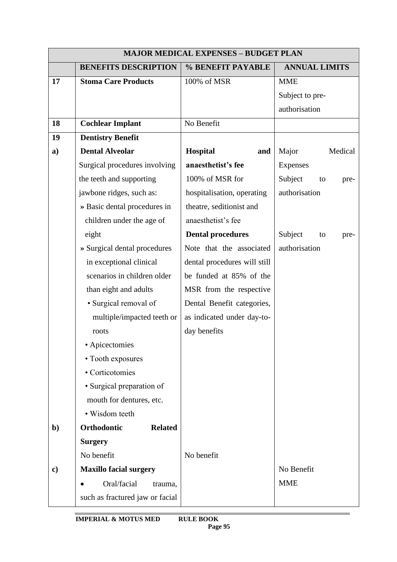|               |                                 | <b>MAJOR MEDICAL EXPENSES - BUDGET PLAN</b> |                       |
|---------------|---------------------------------|---------------------------------------------|-----------------------|
|               | <b>BENEFITS DESCRIPTION</b>     | % BENEFIT PAYABLE                           | <b>ANNUAL LIMITS</b>  |
| 17            | <b>Stoma Care Products</b>      | 100% of MSR                                 | <b>MME</b>            |
|               |                                 |                                             | Subject to pre-       |
|               |                                 |                                             | authorisation         |
| 18            | <b>Cochlear Implant</b>         | No Benefit                                  |                       |
| 19            | <b>Dentistry Benefit</b>        |                                             |                       |
| $\mathbf{a}$  | <b>Dental Alveolar</b>          | Hospital<br>and                             | Major<br>Medical      |
|               | Surgical procedures involving   | anaesthetist's fee                          | <b>Expenses</b>       |
|               | the teeth and supporting        | 100% of MSR for                             | Subject<br>to<br>pre- |
|               | jawbone ridges, such as:        | hospitalisation, operating                  | authorisation         |
|               | » Basic dental procedures in    | theatre, seditionist and                    |                       |
|               | children under the age of       | anaesthetist's fee                          |                       |
|               | eight                           | <b>Dental procedures</b>                    | Subject<br>to<br>pre- |
|               | » Surgical dental procedures    | Note that the associated                    | authorisation         |
|               | in exceptional clinical         | dental procedures will still                |                       |
|               | scenarios in children older     | be funded at 85% of the                     |                       |
|               | than eight and adults           | MSR from the respective                     |                       |
|               | • Surgical removal of           | Dental Benefit categories,                  |                       |
|               | multiple/impacted teeth or      | as indicated under day-to-                  |                       |
|               | roots                           | day benefits                                |                       |
|               | • Apicectomies                  |                                             |                       |
|               | • Tooth exposures               |                                             |                       |
|               | • Corticotomies                 |                                             |                       |
|               | • Surgical preparation of       |                                             |                       |
|               | mouth for dentures, etc.        |                                             |                       |
|               | • Wisdom teeth                  |                                             |                       |
| $\mathbf{b}$  | Orthodontic<br><b>Related</b>   |                                             |                       |
|               | <b>Surgery</b>                  |                                             |                       |
|               | No benefit                      | No benefit                                  |                       |
| $\mathbf{c})$ | <b>Maxillo facial surgery</b>   |                                             | No Benefit            |
|               | Oral/facial<br>trauma,          |                                             | <b>MME</b>            |
|               | such as fractured jaw or facial |                                             |                       |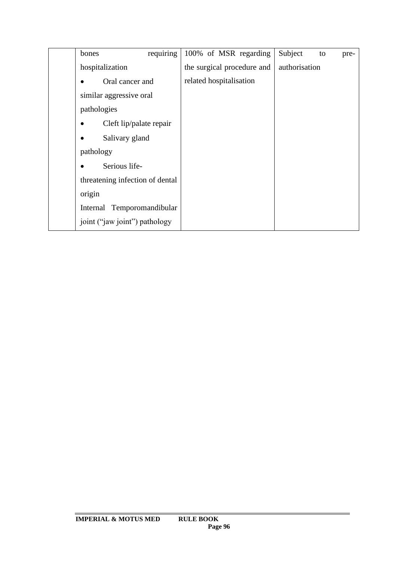| requiring<br>bones              | 100% of MSR regarding      | Subject<br>to<br>pre- |
|---------------------------------|----------------------------|-----------------------|
| hospitalization                 | the surgical procedure and | authorisation         |
| Oral cancer and                 | related hospitalisation    |                       |
| similar aggressive oral         |                            |                       |
| pathologies                     |                            |                       |
| Cleft lip/palate repair         |                            |                       |
| Salivary gland                  |                            |                       |
| pathology                       |                            |                       |
| Serious life-                   |                            |                       |
| threatening infection of dental |                            |                       |
| origin                          |                            |                       |
| Internal Temporomandibular      |                            |                       |
| joint ("jaw joint") pathology   |                            |                       |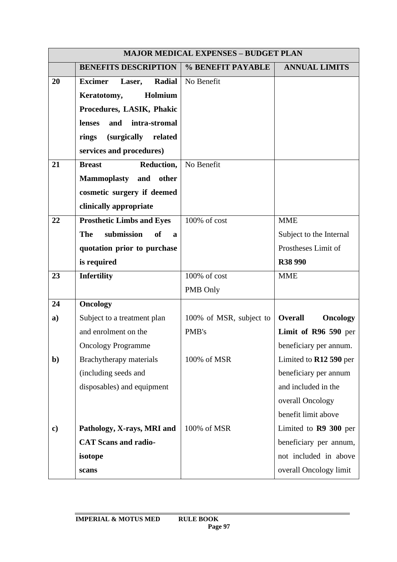|               | <b>MAJOR MEDICAL EXPENSES - BUDGET PLAN</b>    |                         |                                   |
|---------------|------------------------------------------------|-------------------------|-----------------------------------|
|               | <b>BENEFITS DESCRIPTION</b>                    | % BENEFIT PAYABLE       | <b>ANNUAL LIMITS</b>              |
| 20            | <b>Radial</b><br><b>Excimer</b><br>Laser,      | No Benefit              |                                   |
|               | Holmium<br>Keratotomy,                         |                         |                                   |
|               | Procedures, LASIK, Phakic                      |                         |                                   |
|               | and<br>intra-stromal<br>lenses                 |                         |                                   |
|               | (surgically related<br>rings                   |                         |                                   |
|               | services and procedures)                       |                         |                                   |
| 21            | Reduction,<br><b>Breast</b>                    | No Benefit              |                                   |
|               | <b>Mammoplasty</b><br>and other                |                         |                                   |
|               | cosmetic surgery if deemed                     |                         |                                   |
|               | clinically appropriate                         |                         |                                   |
| 22            | <b>Prosthetic Limbs and Eyes</b>               | 100% of cost            | <b>MME</b>                        |
|               | The<br>submission<br><b>of</b><br>$\mathbf{a}$ |                         | Subject to the Internal           |
|               | quotation prior to purchase                    |                         | Prostheses Limit of               |
|               | is required                                    |                         | <b>R38 990</b>                    |
| 23            | <b>Infertility</b>                             | 100% of cost            | <b>MME</b>                        |
|               |                                                | PMB Only                |                                   |
| 24            | <b>Oncology</b>                                |                         |                                   |
| a)            | Subject to a treatment plan                    | 100% of MSR, subject to | <b>Overall</b><br><b>Oncology</b> |
|               | and enrolment on the                           | PMB's                   | Limit of R96 590 per              |
|               | <b>Oncology Programme</b>                      |                         | beneficiary per annum.            |
| $\mathbf{b}$  | Brachytherapy materials                        | 100% of MSR             | Limited to R12 590 per            |
|               | (including seeds and                           |                         | beneficiary per annum             |
|               | disposables) and equipment                     |                         | and included in the               |
|               |                                                |                         | overall Oncology                  |
|               |                                                |                         | benefit limit above               |
| $\mathbf{c})$ | Pathology, X-rays, MRI and                     | 100% of MSR             | Limited to R9 300 per             |
|               | <b>CAT Scans and radio-</b>                    |                         | beneficiary per annum,            |
|               | isotope                                        |                         | not included in above             |
|               | scans                                          |                         | overall Oncology limit            |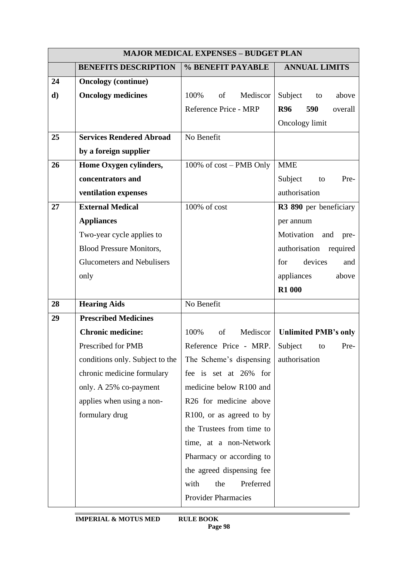|    | <b>MAJOR MEDICAL EXPENSES - BUDGET PLAN</b> |                                   |                              |
|----|---------------------------------------------|-----------------------------------|------------------------------|
|    | <b>BENEFITS DESCRIPTION</b>                 | % BENEFIT PAYABLE                 | <b>ANNUAL LIMITS</b>         |
| 24 | <b>Oncology</b> (continue)                  |                                   |                              |
| d) | <b>Oncology medicines</b>                   | 100%<br>Mediscor<br>of            | Subject to<br>above          |
|    |                                             | Reference Price - MRP             | 590<br><b>R96</b><br>overall |
|    |                                             |                                   | Oncology limit               |
| 25 | <b>Services Rendered Abroad</b>             | No Benefit                        |                              |
|    | by a foreign supplier                       |                                   |                              |
| 26 | Home Oxygen cylinders,                      | 100% of cost – PMB Only           | <b>MME</b>                   |
|    | concentrators and                           |                                   | Subject<br>Pre-<br>to        |
|    | ventilation expenses                        |                                   | authorisation                |
| 27 | <b>External Medical</b>                     | 100% of cost                      | R3 890 per beneficiary       |
|    | <b>Appliances</b>                           |                                   | per annum                    |
|    | Two-year cycle applies to                   |                                   | Motivation<br>and<br>pre-    |
|    | <b>Blood Pressure Monitors,</b>             |                                   | authorisation<br>required    |
|    | <b>Glucometers and Nebulisers</b>           |                                   | for<br>devices<br>and        |
|    | only                                        |                                   | appliances<br>above          |
|    |                                             |                                   | <b>R1 000</b>                |
| 28 | <b>Hearing Aids</b>                         | No Benefit                        |                              |
| 29 | <b>Prescribed Medicines</b>                 |                                   |                              |
|    | <b>Chronic medicine:</b>                    | of<br>Mediscor  <br>100%          | <b>Unlimited PMB's only</b>  |
|    | Prescribed for PMB                          | Reference Price - MRP. Subject to | Pre-                         |
|    | conditions only. Subject to the             | The Scheme's dispensing           | authorisation                |
|    | chronic medicine formulary                  | fee is set at 26% for             |                              |
|    | only. A 25% co-payment                      | medicine below R100 and           |                              |
|    | applies when using a non-                   | R26 for medicine above            |                              |
|    | formulary drug                              | R100, or as agreed to by          |                              |
|    |                                             | the Trustees from time to         |                              |
|    |                                             | time, at a non-Network            |                              |
|    |                                             | Pharmacy or according to          |                              |
|    |                                             | the agreed dispensing fee         |                              |
|    |                                             | Preferred<br>with<br>the          |                              |
|    |                                             | <b>Provider Pharmacies</b>        |                              |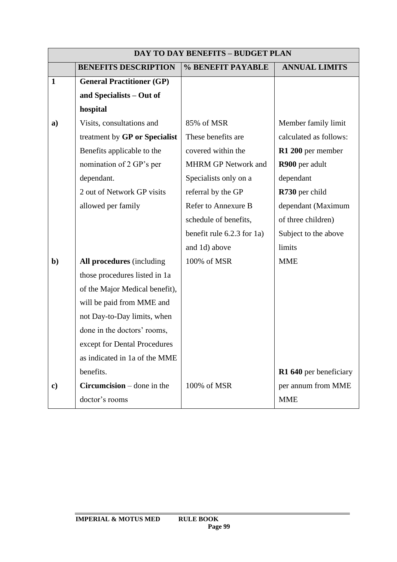| <b>DAY TO DAY BENEFITS - BUDGET PLAN</b> |                                  |                            |                        |
|------------------------------------------|----------------------------------|----------------------------|------------------------|
|                                          | <b>BENEFITS DESCRIPTION</b>      | % BENEFIT PAYABLE          | <b>ANNUAL LIMITS</b>   |
| $\mathbf{1}$                             | <b>General Practitioner (GP)</b> |                            |                        |
|                                          | and Specialists - Out of         |                            |                        |
|                                          | hospital                         |                            |                        |
| a)                                       | Visits, consultations and        | 85% of MSR                 | Member family limit    |
|                                          | treatment by GP or Specialist    | These benefits are         | calculated as follows: |
|                                          | Benefits applicable to the       | covered within the         | R1 200 per member      |
|                                          | nomination of 2 GP's per         | <b>MHRM GP Network and</b> | R900 per adult         |
|                                          | dependant.                       | Specialists only on a      | dependant              |
|                                          | 2 out of Network GP visits       | referral by the GP         | R730 per child         |
|                                          | allowed per family               | Refer to Annexure B        | dependant (Maximum     |
|                                          |                                  | schedule of benefits,      | of three children)     |
|                                          |                                  | benefit rule 6.2.3 for 1a) | Subject to the above   |
|                                          |                                  | and 1d) above              | limits                 |
| $\mathbf{b}$                             | All procedures (including        | 100% of MSR                | <b>MME</b>             |
|                                          | those procedures listed in 1a    |                            |                        |
|                                          | of the Major Medical benefit),   |                            |                        |
|                                          | will be paid from MME and        |                            |                        |
|                                          | not Day-to-Day limits, when      |                            |                        |
|                                          | done in the doctors' rooms,      |                            |                        |
|                                          | except for Dental Procedures     |                            |                        |
|                                          | as indicated in 1a of the MME    |                            |                        |
|                                          | benefits.                        |                            | R1 640 per beneficiary |
| $\mathbf{c})$                            | $Circumcision$ – done in the     | 100% of MSR                | per annum from MME     |
|                                          | doctor's rooms                   |                            | <b>MME</b>             |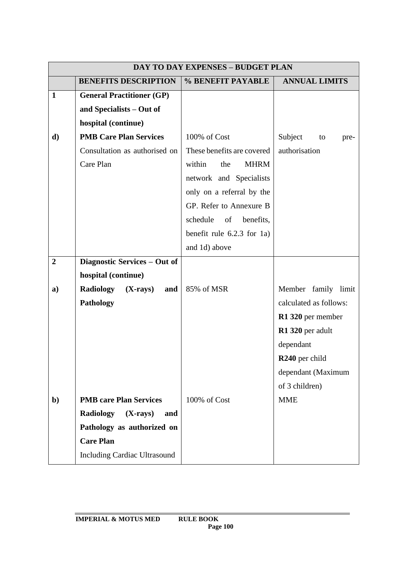|                |                                       | <b>DAY TO DAY EXPENSES - BUDGET PLAN</b> |                            |
|----------------|---------------------------------------|------------------------------------------|----------------------------|
|                | <b>BENEFITS DESCRIPTION</b>           | % BENEFIT PAYABLE                        | <b>ANNUAL LIMITS</b>       |
| $\mathbf{1}$   | <b>General Practitioner (GP)</b>      |                                          |                            |
|                | and Specialists - Out of              |                                          |                            |
|                | hospital (continue)                   |                                          |                            |
| d)             | <b>PMB Care Plan Services</b>         | 100% of Cost                             | Subject<br>to<br>pre-      |
|                | Consultation as authorised on         | These benefits are covered               | authorisation              |
|                | Care Plan                             | within<br><b>MHRM</b><br>the             |                            |
|                |                                       | network and Specialists                  |                            |
|                |                                       | only on a referral by the                |                            |
|                |                                       | GP. Refer to Annexure B                  |                            |
|                |                                       | schedule<br>of<br>benefits,              |                            |
|                |                                       | benefit rule $6.2.3$ for 1a)             |                            |
|                |                                       | and 1d) above                            |                            |
| $\overline{2}$ | Diagnostic Services - Out of          |                                          |                            |
|                | hospital (continue)                   |                                          |                            |
| a)             | Radiology<br>$(X-rays)$<br>and        | 85% of MSR                               | Member family limit        |
|                | Pathology                             |                                          | calculated as follows:     |
|                |                                       |                                          | R1 320 per member          |
|                |                                       |                                          | R1 320 per adult           |
|                |                                       |                                          | dependant                  |
|                |                                       |                                          | R <sub>240</sub> per child |
|                |                                       |                                          | dependant (Maximum         |
|                |                                       |                                          | of 3 children)             |
| $\mathbf{b}$   | <b>PMB</b> care Plan Services         | 100% of Cost                             | <b>MME</b>                 |
|                | <b>Radiology</b><br>$(X-rays)$<br>and |                                          |                            |
|                | Pathology as authorized on            |                                          |                            |
|                | <b>Care Plan</b>                      |                                          |                            |
|                | <b>Including Cardiac Ultrasound</b>   |                                          |                            |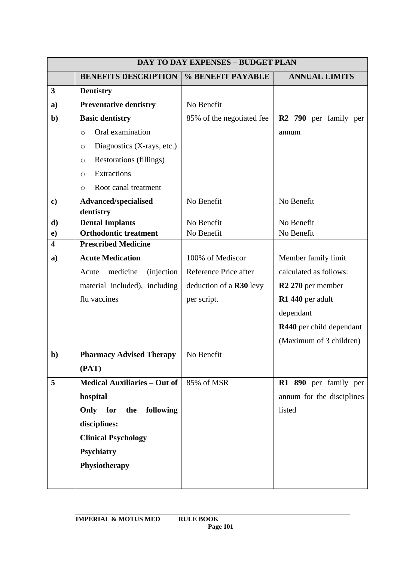|                         | <b>DAY TO DAY EXPENSES - BUDGET PLAN</b> |                                |                                   |  |
|-------------------------|------------------------------------------|--------------------------------|-----------------------------------|--|
|                         | <b>BENEFITS DESCRIPTION</b>              | % BENEFIT PAYABLE              | <b>ANNUAL LIMITS</b>              |  |
| 3                       | <b>Dentistry</b>                         |                                |                                   |  |
| a)                      | <b>Preventative dentistry</b>            | No Benefit                     |                                   |  |
| $\mathbf{b}$            | <b>Basic dentistry</b>                   | 85% of the negotiated fee      | R <sub>2</sub> 790 per family per |  |
|                         | Oral examination<br>$\circ$              |                                | annum                             |  |
|                         | Diagnostics (X-rays, etc.)<br>$\circ$    |                                |                                   |  |
|                         | Restorations (fillings)<br>$\circ$       |                                |                                   |  |
|                         | Extractions<br>$\circ$                   |                                |                                   |  |
|                         | Root canal treatment<br>$\circ$          |                                |                                   |  |
| $\mathbf{c})$           | <b>Advanced/specialised</b>              | No Benefit                     | No Benefit                        |  |
|                         | dentistry                                |                                |                                   |  |
| d)                      | <b>Dental Implants</b>                   | No Benefit                     | No Benefit                        |  |
| $\mathbf{e})$           | <b>Orthodontic treatment</b>             | No Benefit                     | No Benefit                        |  |
| $\overline{\mathbf{4}}$ | <b>Prescribed Medicine</b>               |                                |                                   |  |
| a)                      | <b>Acute Medication</b>                  | 100% of Mediscor               | Member family limit               |  |
|                         | medicine<br><i>(injection)</i><br>Acute  | Reference Price after          | calculated as follows:            |  |
|                         | material included), including            | deduction of a <b>R30</b> levy | R <sub>2</sub> 270 per member     |  |
|                         | flu vaccines                             | per script.                    | R1 440 per adult                  |  |
|                         |                                          |                                | dependant                         |  |
|                         |                                          |                                | R440 per child dependant          |  |
|                         |                                          |                                | (Maximum of 3 children)           |  |
| $b$                     | <b>Pharmacy Advised Therapy</b>          | No Benefit                     |                                   |  |
|                         | (PAT)                                    |                                |                                   |  |
| 5                       | <b>Medical Auxiliaries - Out of</b>      | 85% of MSR                     | R1 890 per family per             |  |
|                         | hospital                                 |                                | annum for the disciplines         |  |
|                         | Only for the<br>following                |                                | listed                            |  |
|                         | disciplines:                             |                                |                                   |  |
|                         | <b>Clinical Psychology</b>               |                                |                                   |  |
|                         | <b>Psychiatry</b>                        |                                |                                   |  |
|                         | Physiotherapy                            |                                |                                   |  |
|                         |                                          |                                |                                   |  |
|                         |                                          |                                |                                   |  |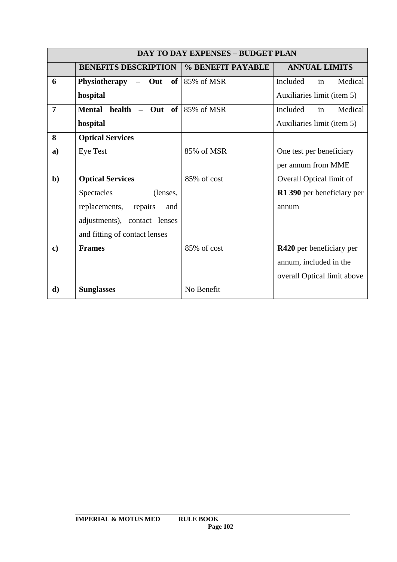|                | <b>DAY TO DAY EXPENSES - BUDGET PLAN</b>    |                   |                             |  |
|----------------|---------------------------------------------|-------------------|-----------------------------|--|
|                | <b>BENEFITS DESCRIPTION</b>                 | % BENEFIT PAYABLE | <b>ANNUAL LIMITS</b>        |  |
| 6              | Physiotherapy<br>$-$ Out                    | of $85%$ of MSR   | Included<br>Medical<br>in   |  |
|                | hospital                                    |                   | Auxiliaries limit (item 5)  |  |
| $\overline{7}$ | of <sub>1</sub><br>Mental health<br>$-$ Out | 85% of MSR        | Medical<br>Included<br>in   |  |
|                | hospital                                    |                   | Auxiliaries limit (item 5)  |  |
| 8              | <b>Optical Services</b>                     |                   |                             |  |
| a)             | <b>Eye Test</b>                             | 85% of MSR        | One test per beneficiary    |  |
|                |                                             |                   | per annum from MME          |  |
| $\mathbf{b}$   | <b>Optical Services</b>                     | 85% of cost       | Overall Optical limit of    |  |
|                | <b>Spectacles</b><br>(lenses,               |                   | R1 390 per beneficiary per  |  |
|                | replacements,<br>repairs<br>and             |                   | annum                       |  |
|                | adjustments), contact lenses                |                   |                             |  |
|                | and fitting of contact lenses               |                   |                             |  |
| $\mathbf{c})$  | <b>Frames</b>                               | 85% of cost       | R420 per beneficiary per    |  |
|                |                                             |                   | annum, included in the      |  |
|                |                                             |                   | overall Optical limit above |  |
| d)             | <b>Sunglasses</b>                           | No Benefit        |                             |  |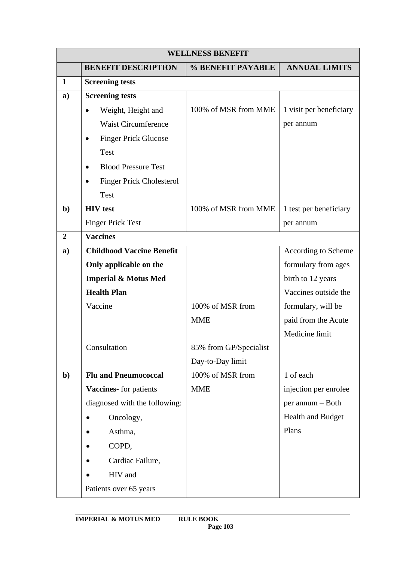| <b>WELLNESS BENEFIT</b> |                                              |                        |                         |
|-------------------------|----------------------------------------------|------------------------|-------------------------|
|                         | <b>BENEFIT DESCRIPTION</b>                   | % BENEFIT PAYABLE      | <b>ANNUAL LIMITS</b>    |
| $\mathbf{1}$            | <b>Screening tests</b>                       |                        |                         |
| a)                      | <b>Screening tests</b>                       |                        |                         |
|                         | Weight, Height and<br>$\bullet$              | 100% of MSR from MME   | 1 visit per beneficiary |
|                         | <b>Waist Circumference</b>                   |                        | per annum               |
|                         | <b>Finger Prick Glucose</b>                  |                        |                         |
|                         | <b>Test</b>                                  |                        |                         |
|                         | <b>Blood Pressure Test</b>                   |                        |                         |
|                         | <b>Finger Prick Cholesterol</b><br>$\bullet$ |                        |                         |
|                         | Test                                         |                        |                         |
| $\mathbf{b}$            | <b>HIV</b> test                              | 100% of MSR from MME   | 1 test per beneficiary  |
|                         | <b>Finger Prick Test</b>                     |                        | per annum               |
| $\overline{2}$          | <b>Vaccines</b>                              |                        |                         |
| a)                      | <b>Childhood Vaccine Benefit</b>             |                        | According to Scheme     |
|                         | Only applicable on the                       |                        | formulary from ages     |
|                         | <b>Imperial &amp; Motus Med</b>              |                        | birth to 12 years       |
|                         | <b>Health Plan</b>                           |                        | Vaccines outside the    |
|                         | Vaccine                                      | 100% of MSR from       | formulary, will be      |
|                         |                                              | <b>MME</b>             | paid from the Acute     |
|                         |                                              |                        | Medicine limit          |
|                         | Consultation                                 | 85% from GP/Specialist |                         |
|                         |                                              | Day-to-Day limit       |                         |
| $\mathbf{b}$            | <b>Flu and Pneumococcal</b>                  | 100% of MSR from       | 1 of each               |
|                         | Vaccines- for patients                       | <b>MME</b>             | injection per enrolee   |
|                         | diagnosed with the following:                |                        | per annum - Both        |
|                         | Oncology,                                    |                        | Health and Budget       |
|                         | Asthma,                                      |                        | Plans                   |
|                         | COPD,                                        |                        |                         |
|                         | Cardiac Failure,                             |                        |                         |
|                         | HIV and                                      |                        |                         |
|                         | Patients over 65 years                       |                        |                         |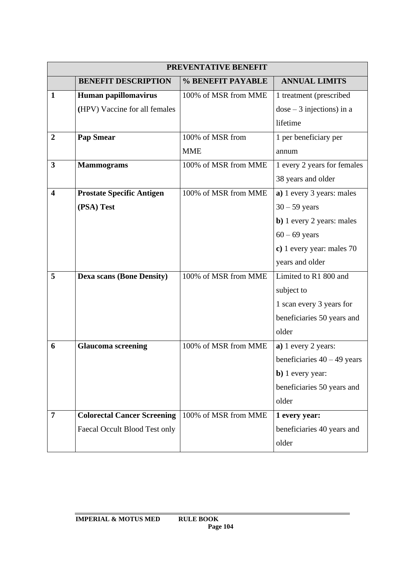|                         | PREVENTATIVE BENEFIT               |                      |                                   |  |
|-------------------------|------------------------------------|----------------------|-----------------------------------|--|
|                         | <b>BENEFIT DESCRIPTION</b>         | % BENEFIT PAYABLE    | <b>ANNUAL LIMITS</b>              |  |
| $\mathbf{1}$            | Human papillomavirus               | 100% of MSR from MME | 1 treatment (prescribed           |  |
|                         | (HPV) Vaccine for all females      |                      | $dose-3$ injections) in a         |  |
|                         |                                    |                      | lifetime                          |  |
| $\boldsymbol{2}$        | <b>Pap Smear</b>                   | 100% of MSR from     | 1 per beneficiary per             |  |
|                         |                                    | <b>MME</b>           | annum                             |  |
| $\mathbf{3}$            | <b>Mammograms</b>                  | 100% of MSR from MME | 1 every 2 years for females       |  |
|                         |                                    |                      | 38 years and older                |  |
| $\overline{\mathbf{4}}$ | <b>Prostate Specific Antigen</b>   | 100% of MSR from MME | a) 1 every 3 years: males         |  |
|                         | (PSA) Test                         |                      | $30 - 59$ years                   |  |
|                         |                                    |                      | <b>b</b> ) 1 every 2 years: males |  |
|                         |                                    |                      | $60 - 69$ years                   |  |
|                         |                                    |                      | c) 1 every year: males 70         |  |
|                         |                                    |                      | years and older                   |  |
| 5                       | <b>Dexa scans (Bone Density)</b>   | 100% of MSR from MME | Limited to R1 800 and             |  |
|                         |                                    |                      | subject to                        |  |
|                         |                                    |                      | 1 scan every 3 years for          |  |
|                         |                                    |                      | beneficiaries 50 years and        |  |
|                         |                                    |                      | older                             |  |
| 6                       | <b>Glaucoma screening</b>          | 100% of MSR from MME | a) 1 every 2 years:               |  |
|                         |                                    |                      | beneficiaries $40 - 49$ years     |  |
|                         |                                    |                      | b) 1 every year:                  |  |
|                         |                                    |                      | beneficiaries 50 years and        |  |
|                         |                                    |                      | older                             |  |
| $\overline{7}$          | <b>Colorectal Cancer Screening</b> | 100% of MSR from MME | 1 every year:                     |  |
|                         | Faecal Occult Blood Test only      |                      | beneficiaries 40 years and        |  |
|                         |                                    |                      | older                             |  |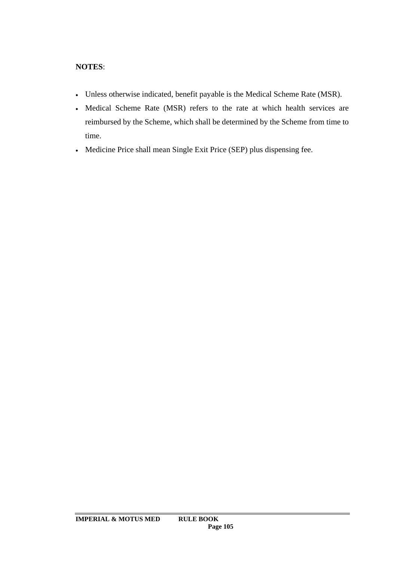# **NOTES**:

- Unless otherwise indicated, benefit payable is the Medical Scheme Rate (MSR).
- Medical Scheme Rate (MSR) refers to the rate at which health services are reimbursed by the Scheme, which shall be determined by the Scheme from time to time.
- Medicine Price shall mean Single Exit Price (SEP) plus dispensing fee.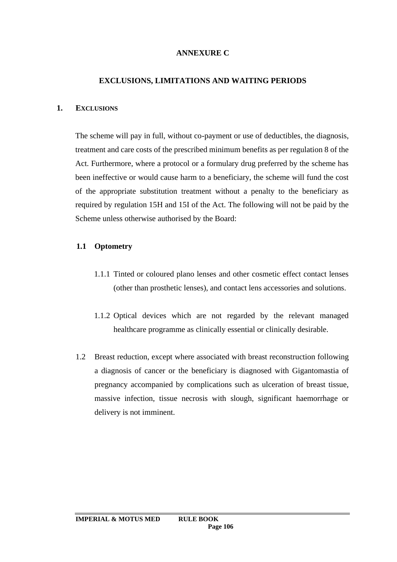# **ANNEXURE C**

### **EXCLUSIONS, LIMITATIONS AND WAITING PERIODS**

#### **1. EXCLUSIONS**

The scheme will pay in full, without co-payment or use of deductibles, the diagnosis, treatment and care costs of the prescribed minimum benefits as per regulation 8 of the Act. Furthermore, where a protocol or a formulary drug preferred by the scheme has been ineffective or would cause harm to a beneficiary, the scheme will fund the cost of the appropriate substitution treatment without a penalty to the beneficiary as required by regulation 15H and 15I of the Act. The following will not be paid by the Scheme unless otherwise authorised by the Board:

### **1.1 Optometry**

- 1.1.1 Tinted or coloured plano lenses and other cosmetic effect contact lenses (other than prosthetic lenses), and contact lens accessories and solutions.
- 1.1.2 Optical devices which are not regarded by the relevant managed healthcare programme as clinically essential or clinically desirable.
- 1.2 Breast reduction, except where associated with breast reconstruction following a diagnosis of cancer or the beneficiary is diagnosed with Gigantomastia of pregnancy accompanied by complications such as ulceration of breast tissue, massive infection, tissue necrosis with slough, significant haemorrhage or delivery is not imminent.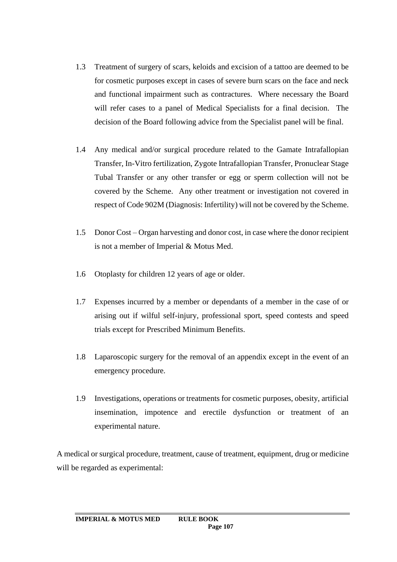- 1.3 Treatment of surgery of scars, keloids and excision of a tattoo are deemed to be for cosmetic purposes except in cases of severe burn scars on the face and neck and functional impairment such as contractures. Where necessary the Board will refer cases to a panel of Medical Specialists for a final decision. The decision of the Board following advice from the Specialist panel will be final.
- 1.4 Any medical and/or surgical procedure related to the Gamate Intrafallopian Transfer, In-Vitro fertilization, Zygote Intrafallopian Transfer, Pronuclear Stage Tubal Transfer or any other transfer or egg or sperm collection will not be covered by the Scheme. Any other treatment or investigation not covered in respect of Code 902M (Diagnosis: Infertility) will not be covered by the Scheme.
- 1.5 Donor Cost Organ harvesting and donor cost, in case where the donor recipient is not a member of Imperial & Motus Med.
- 1.6 Otoplasty for children 12 years of age or older.
- 1.7 Expenses incurred by a member or dependants of a member in the case of or arising out if wilful self-injury, professional sport, speed contests and speed trials except for Prescribed Minimum Benefits.
- 1.8 Laparoscopic surgery for the removal of an appendix except in the event of an emergency procedure.
- 1.9 Investigations, operations or treatments for cosmetic purposes, obesity, artificial insemination, impotence and erectile dysfunction or treatment of an experimental nature.

A medical or surgical procedure, treatment, cause of treatment, equipment, drug or medicine will be regarded as experimental: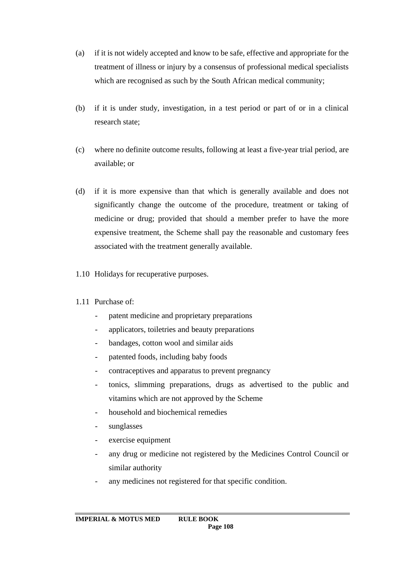- (a) if it is not widely accepted and know to be safe, effective and appropriate for the treatment of illness or injury by a consensus of professional medical specialists which are recognised as such by the South African medical community;
- (b) if it is under study, investigation, in a test period or part of or in a clinical research state;
- (c) where no definite outcome results, following at least a five-year trial period, are available; or
- (d) if it is more expensive than that which is generally available and does not significantly change the outcome of the procedure, treatment or taking of medicine or drug; provided that should a member prefer to have the more expensive treatment, the Scheme shall pay the reasonable and customary fees associated with the treatment generally available.
- 1.10 Holidays for recuperative purposes.

# 1.11 Purchase of:

- patent medicine and proprietary preparations
- applicators, toiletries and beauty preparations
- bandages, cotton wool and similar aids
- patented foods, including baby foods
- contraceptives and apparatus to prevent pregnancy
- tonics, slimming preparations, drugs as advertised to the public and vitamins which are not approved by the Scheme
- household and biochemical remedies
- sunglasses
- exercise equipment
- any drug or medicine not registered by the Medicines Control Council or similar authority
- any medicines not registered for that specific condition.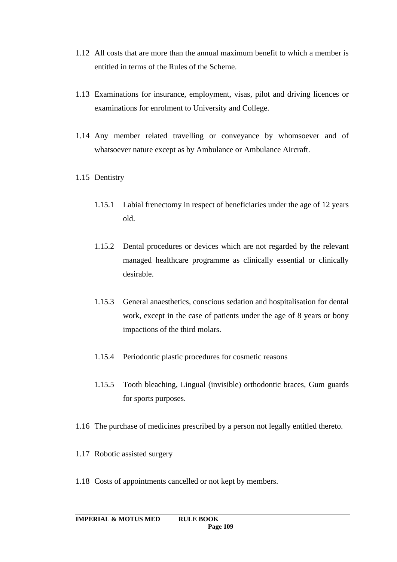- 1.12 All costs that are more than the annual maximum benefit to which a member is entitled in terms of the Rules of the Scheme.
- 1.13 Examinations for insurance, employment, visas, pilot and driving licences or examinations for enrolment to University and College.
- 1.14 Any member related travelling or conveyance by whomsoever and of whatsoever nature except as by Ambulance or Ambulance Aircraft.
- 1.15 Dentistry
	- 1.15.1 Labial frenectomy in respect of beneficiaries under the age of 12 years old.
	- 1.15.2 Dental procedures or devices which are not regarded by the relevant managed healthcare programme as clinically essential or clinically desirable.
	- 1.15.3 General anaesthetics, conscious sedation and hospitalisation for dental work, except in the case of patients under the age of 8 years or bony impactions of the third molars.
	- 1.15.4 Periodontic plastic procedures for cosmetic reasons
	- 1.15.5 Tooth bleaching, Lingual (invisible) orthodontic braces, Gum guards for sports purposes.
- 1.16 The purchase of medicines prescribed by a person not legally entitled thereto.
- 1.17 Robotic assisted surgery
- 1.18 Costs of appointments cancelled or not kept by members.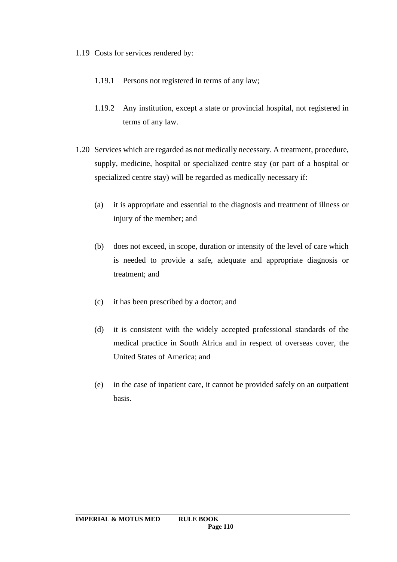1.19 Costs for services rendered by:

- 1.19.1 Persons not registered in terms of any law;
- 1.19.2 Any institution, except a state or provincial hospital, not registered in terms of any law.
- 1.20 Services which are regarded as not medically necessary. A treatment, procedure, supply, medicine, hospital or specialized centre stay (or part of a hospital or specialized centre stay) will be regarded as medically necessary if:
	- (a) it is appropriate and essential to the diagnosis and treatment of illness or injury of the member; and
	- (b) does not exceed, in scope, duration or intensity of the level of care which is needed to provide a safe, adequate and appropriate diagnosis or treatment; and
	- (c) it has been prescribed by a doctor; and
	- (d) it is consistent with the widely accepted professional standards of the medical practice in South Africa and in respect of overseas cover, the United States of America; and
	- (e) in the case of inpatient care, it cannot be provided safely on an outpatient basis.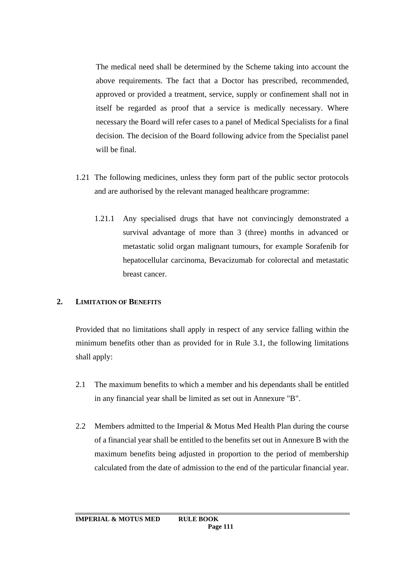The medical need shall be determined by the Scheme taking into account the above requirements. The fact that a Doctor has prescribed, recommended, approved or provided a treatment, service, supply or confinement shall not in itself be regarded as proof that a service is medically necessary. Where necessary the Board will refer cases to a panel of Medical Specialists for a final decision. The decision of the Board following advice from the Specialist panel will be final.

- 1.21 The following medicines, unless they form part of the public sector protocols and are authorised by the relevant managed healthcare programme:
	- 1.21.1 Any specialised drugs that have not convincingly demonstrated a survival advantage of more than 3 (three) months in advanced or metastatic solid organ malignant tumours, for example Sorafenib for hepatocellular carcinoma, Bevacizumab for colorectal and metastatic breast cancer.

### **2. LIMITATION OF BENEFITS**

Provided that no limitations shall apply in respect of any service falling within the minimum benefits other than as provided for in Rule 3.1, the following limitations shall apply:

- 2.1 The maximum benefits to which a member and his dependants shall be entitled in any financial year shall be limited as set out in Annexure "B".
- 2.2 Members admitted to the Imperial & Motus Med Health Plan during the course of a financial year shall be entitled to the benefits set out in Annexure B with the maximum benefits being adjusted in proportion to the period of membership calculated from the date of admission to the end of the particular financial year.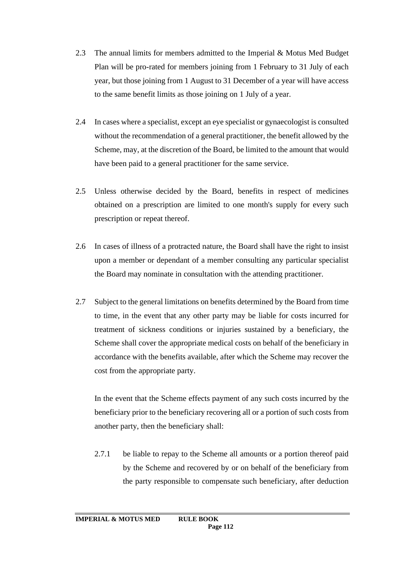- 2.3 The annual limits for members admitted to the Imperial & Motus Med Budget Plan will be pro-rated for members joining from 1 February to 31 July of each year, but those joining from 1 August to 31 December of a year will have access to the same benefit limits as those joining on 1 July of a year.
- 2.4 In cases where a specialist, except an eye specialist or gynaecologist is consulted without the recommendation of a general practitioner, the benefit allowed by the Scheme, may, at the discretion of the Board, be limited to the amount that would have been paid to a general practitioner for the same service.
- 2.5 Unless otherwise decided by the Board, benefits in respect of medicines obtained on a prescription are limited to one month's supply for every such prescription or repeat thereof.
- 2.6 In cases of illness of a protracted nature, the Board shall have the right to insist upon a member or dependant of a member consulting any particular specialist the Board may nominate in consultation with the attending practitioner.
- 2.7 Subject to the general limitations on benefits determined by the Board from time to time, in the event that any other party may be liable for costs incurred for treatment of sickness conditions or injuries sustained by a beneficiary, the Scheme shall cover the appropriate medical costs on behalf of the beneficiary in accordance with the benefits available, after which the Scheme may recover the cost from the appropriate party.

In the event that the Scheme effects payment of any such costs incurred by the beneficiary prior to the beneficiary recovering all or a portion of such costs from another party, then the beneficiary shall:

2.7.1 be liable to repay to the Scheme all amounts or a portion thereof paid by the Scheme and recovered by or on behalf of the beneficiary from the party responsible to compensate such beneficiary, after deduction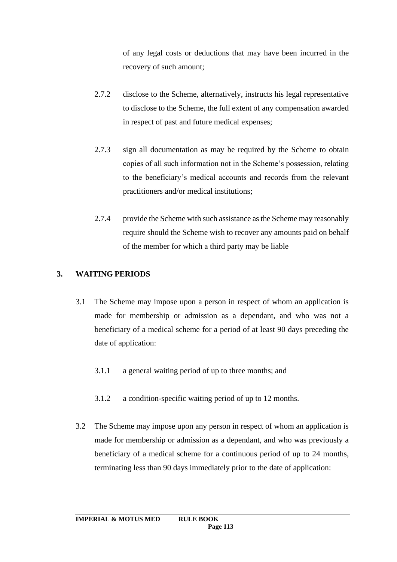of any legal costs or deductions that may have been incurred in the recovery of such amount;

- 2.7.2 disclose to the Scheme, alternatively, instructs his legal representative to disclose to the Scheme, the full extent of any compensation awarded in respect of past and future medical expenses;
- 2.7.3 sign all documentation as may be required by the Scheme to obtain copies of all such information not in the Scheme's possession, relating to the beneficiary's medical accounts and records from the relevant practitioners and/or medical institutions;
- 2.7.4 provide the Scheme with such assistance as the Scheme may reasonably require should the Scheme wish to recover any amounts paid on behalf of the member for which a third party may be liable

# **3. WAITING PERIODS**

- 3.1 The Scheme may impose upon a person in respect of whom an application is made for membership or admission as a dependant, and who was not a beneficiary of a medical scheme for a period of at least 90 days preceding the date of application:
	- 3.1.1 a general waiting period of up to three months; and
	- 3.1.2 a condition-specific waiting period of up to 12 months.
- 3.2 The Scheme may impose upon any person in respect of whom an application is made for membership or admission as a dependant, and who was previously a beneficiary of a medical scheme for a continuous period of up to 24 months, terminating less than 90 days immediately prior to the date of application: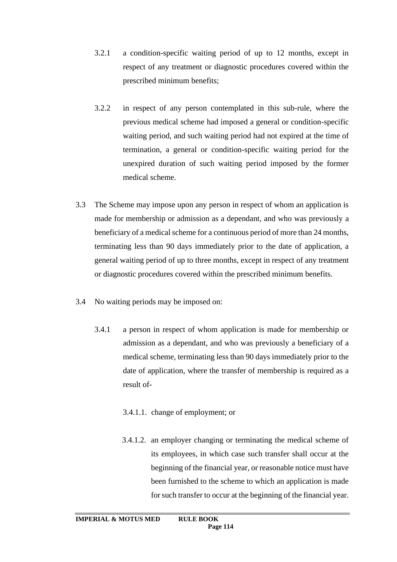- 3.2.1 a condition-specific waiting period of up to 12 months, except in respect of any treatment or diagnostic procedures covered within the prescribed minimum benefits;
- 3.2.2 in respect of any person contemplated in this sub-rule, where the previous medical scheme had imposed a general or condition-specific waiting period, and such waiting period had not expired at the time of termination, a general or condition-specific waiting period for the unexpired duration of such waiting period imposed by the former medical scheme.
- 3.3 The Scheme may impose upon any person in respect of whom an application is made for membership or admission as a dependant, and who was previously a beneficiary of a medical scheme for a continuous period of more than 24 months, terminating less than 90 days immediately prior to the date of application, a general waiting period of up to three months, except in respect of any treatment or diagnostic procedures covered within the prescribed minimum benefits.
- 3.4 No waiting periods may be imposed on:
	- 3.4.1 a person in respect of whom application is made for membership or admission as a dependant, and who was previously a beneficiary of a medical scheme, terminating less than 90 days immediately prior to the date of application, where the transfer of membership is required as a result of-
		- 3.4.1.1. change of employment; or
		- 3.4.1.2. an employer changing or terminating the medical scheme of its employees, in which case such transfer shall occur at the beginning of the financial year, or reasonable notice must have been furnished to the scheme to which an application is made for such transfer to occur at the beginning of the financial year.